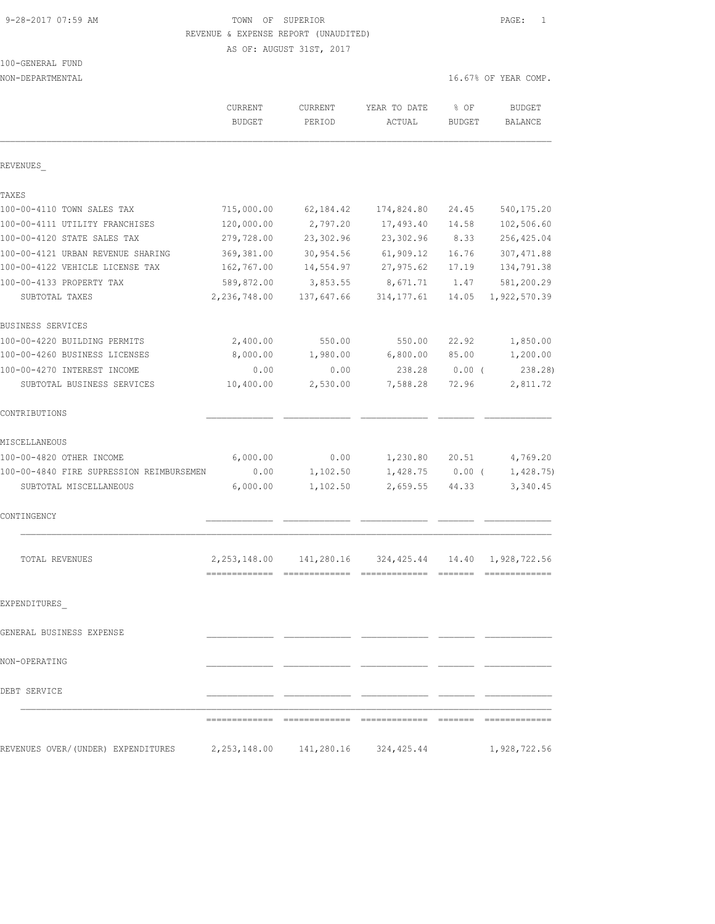# 9-28-2017 07:59 AM TOWN OF SUPERIOR PAGE: 1 REVENUE & EXPENSE REPORT (UNAUDITED)

AS OF: AUGUST 31ST, 2017

| 100-GENERAL FUND      |  |
|-----------------------|--|
| ,,,,,,,,,,,,,,,,,,,,, |  |

NON-DEPARTMENTAL 16.67% OF YEAR COMP.

|                                          | CURRENT<br><b>BUDGET</b>        | CURRENT<br>PERIOD | YEAR TO DATE<br>ACTUAL      | $8$ OF<br><b>BUDGET</b> | <b>BUDGET</b><br><b>BALANCE</b> |
|------------------------------------------|---------------------------------|-------------------|-----------------------------|-------------------------|---------------------------------|
| REVENUES                                 |                                 |                   |                             |                         |                                 |
| TAXES                                    |                                 |                   |                             |                         |                                 |
| 100-00-4110 TOWN SALES TAX               | 715,000.00                      | 62,184.42         | 174,824.80                  | 24.45                   | 540, 175.20                     |
| 100-00-4111 UTILITY FRANCHISES           | 120,000.00                      | 2,797.20          | 17,493.40                   | 14.58                   | 102,506.60                      |
| 100-00-4120 STATE SALES TAX              | 279,728.00                      | 23,302.96         | 23,302.96                   | 8.33                    | 256, 425.04                     |
| 100-00-4121 URBAN REVENUE SHARING        | 369,381.00                      | 30,954.56         | 61,909.12                   | 16.76                   | 307, 471.88                     |
| 100-00-4122 VEHICLE LICENSE TAX          | 162,767.00                      | 14,554.97         | 27,975.62                   | 17.19                   | 134,791.38                      |
| 100-00-4133 PROPERTY TAX                 | 589,872.00                      | 3,853.55          | 8,671.71                    | 1.47                    | 581,200.29                      |
| SUBTOTAL TAXES                           | 2,236,748.00                    | 137,647.66        | 314, 177.61                 | 14.05                   | 1,922,570.39                    |
| BUSINESS SERVICES                        |                                 |                   |                             |                         |                                 |
| 100-00-4220 BUILDING PERMITS             | 2,400.00                        | 550.00            | 550.00                      | 22.92                   | 1,850.00                        |
| 100-00-4260 BUSINESS LICENSES            | 8,000.00                        | 1,980.00          | 6,800.00                    | 85.00                   | 1,200.00                        |
| 100-00-4270 INTEREST INCOME              | 0.00                            | 0.00              | 238.28                      | $0.00$ (                | 238.28)                         |
| SUBTOTAL BUSINESS SERVICES               | 10,400.00                       | 2,530.00          | 7,588.28                    | 72.96                   | 2,811.72                        |
| CONTRIBUTIONS                            |                                 |                   |                             |                         |                                 |
| MISCELLANEOUS                            |                                 |                   |                             |                         |                                 |
| 100-00-4820 OTHER INCOME                 | 6,000.00                        | 0.00              | 1,230.80                    | 20.51                   | 4,769.20                        |
| 100-00-4840 FIRE SUPRESSION REIMBURSEMEN | 0.00                            | 1,102.50          | 1,428.75                    | $0.00$ (                | 1,428.75)                       |
| SUBTOTAL MISCELLANEOUS                   | 6,000.00                        | 1,102.50          | 2,659.55                    | 44.33                   | 3,340.45                        |
| CONTINGENCY                              |                                 |                   |                             |                         |                                 |
| TOTAL REVENUES                           | 2, 253, 148.00<br>============= | 141,280.16        | 324,425.44<br>============= | 14.40                   | 1,928,722.56<br>-------------   |
| EXPENDITURES                             |                                 |                   |                             |                         |                                 |
| GENERAL BUSINESS EXPENSE                 |                                 |                   |                             |                         |                                 |
| NON-OPERATING                            |                                 |                   |                             |                         |                                 |
|                                          |                                 |                   |                             |                         |                                 |
| DEBT SERVICE                             |                                 |                   |                             |                         |                                 |
|                                          |                                 |                   |                             |                         |                                 |
| REVENUES OVER/(UNDER) EXPENDITURES       | 2,253,148.00                    | 141,280.16        | 324,425.44                  |                         | 1,928,722.56                    |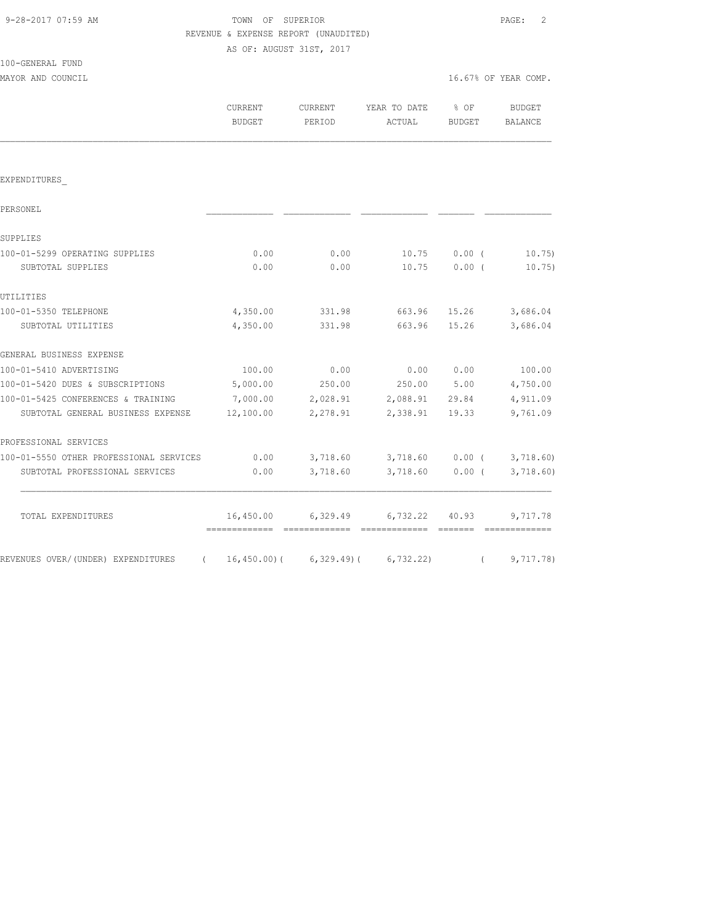# TOWN OF SUPERIOR **PAGE:** 2 REVENUE & EXPENSE REPORT (UNAUDITED)

AS OF: AUGUST 31ST, 2017

| 100-GENERAL FUND |  |
|------------------|--|
|                  |  |

|                                                | CURRENT<br><b>BUDGET</b> | <b>CURRENT</b><br>PERIOD | YEAR TO DATE<br>ACTUAL | % OF<br>BUDGET | <b>BUDGET</b><br><b>BALANCE</b> |
|------------------------------------------------|--------------------------|--------------------------|------------------------|----------------|---------------------------------|
|                                                |                          |                          |                        |                |                                 |
| EXPENDITURES                                   |                          |                          |                        |                |                                 |
| PERSONEL                                       |                          |                          |                        |                |                                 |
| SUPPLIES                                       |                          |                          |                        |                |                                 |
| 100-01-5299 OPERATING SUPPLIES                 | 0.00                     | 0.00                     | 10.75                  | 0.00(          | 10.75)                          |
| SUBTOTAL SUPPLIES                              | 0.00                     | 0.00                     | 10.75                  | 0.00(          | 10.75)                          |
| UTILITIES                                      |                          |                          |                        |                |                                 |
| 100-01-5350 TELEPHONE                          | 4,350.00                 | 331.98                   | 663.96                 | 15.26          | 3,686.04                        |
| SUBTOTAL UTILITIES                             | 4,350.00                 | 331.98                   | 663.96                 | 15.26          | 3,686.04                        |
| GENERAL BUSINESS EXPENSE                       |                          |                          |                        |                |                                 |
| 100-01-5410 ADVERTISING                        | 100.00                   | 0.00                     | 0.00                   | 0.00           | 100.00                          |
| 100-01-5420 DUES & SUBSCRIPTIONS               | 5,000.00                 | 250.00                   | 250.00                 | 5.00           | 4,750.00                        |
| 100-01-5425 CONFERENCES & TRAINING             | 7,000.00                 | 2,028.91                 | 2,088.91               | 29.84          | 4,911.09                        |
| SUBTOTAL GENERAL BUSINESS EXPENSE              | 12,100.00                | 2,278.91                 | 2,338.91               | 19.33          | 9,761.09                        |
| PROFESSIONAL SERVICES                          |                          |                          |                        |                |                                 |
| 100-01-5550 OTHER PROFESSIONAL SERVICES        | 0.00                     | 3,718.60                 | 3,718.60               | $0.00$ (       | 3,718.60                        |
| SUBTOTAL PROFESSIONAL SERVICES                 | 0.00                     | 3,718.60                 | 3,718.60               | 0.00(          | 3,718.60)                       |
| TOTAL EXPENDITURES                             | 16,450.00                | 6,329.49                 | 6,732.22               | 40.93          | 9,717.78                        |
| REVENUES OVER/(UNDER) EXPENDITURES<br>$\left($ | $16,450.00$ (            | $6,329.49$ (             | 6, 732.22)             | $\left($       | 9,717.78)                       |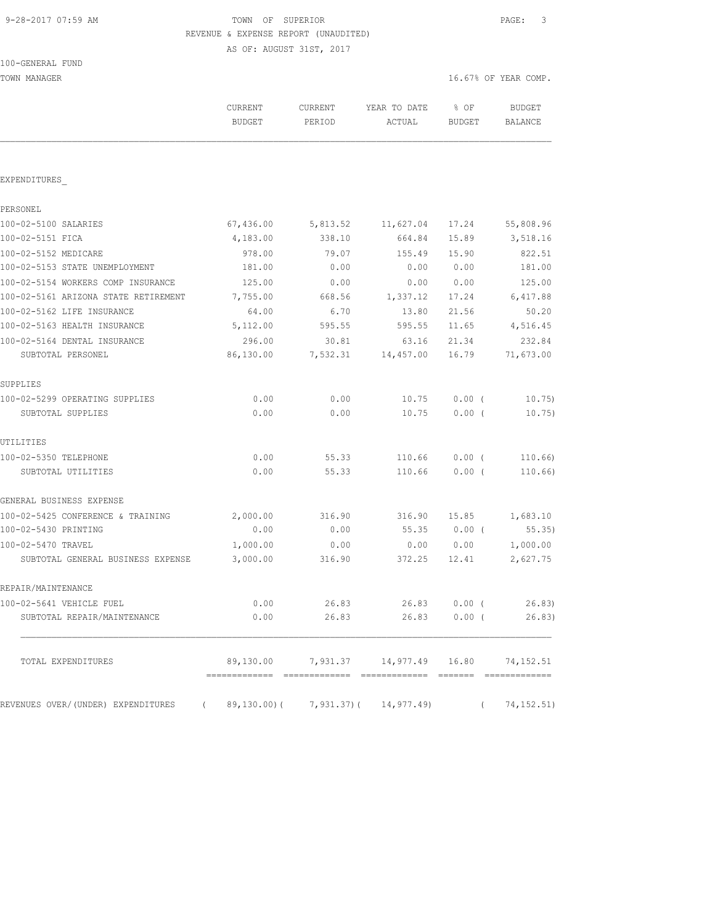# 9-28-2017 07:59 AM TOWN OF SUPERIOR PAGE: 3 REVENUE & EXPENSE REPORT (UNAUDITED)

AS OF: AUGUST 31ST, 2017

TOWN MANAGER 16.67% OF YEAR COMP.

|                                                                     | CURRENT<br><b>BUDGET</b> | CURRENT<br>PERIOD | YEAR TO DATE<br>ACTUAL             | % OF<br><b>BUDGET</b> | BUDGET<br>BALANCE        |
|---------------------------------------------------------------------|--------------------------|-------------------|------------------------------------|-----------------------|--------------------------|
| EXPENDITURES                                                        |                          |                   |                                    |                       |                          |
| PERSONEL                                                            |                          |                   |                                    |                       |                          |
| 100-02-5100 SALARIES                                                | 67,436.00                | 5,813.52          | 11,627.04                          | 17.24                 | 55,808.96                |
| 100-02-5151 FICA                                                    | 4,183.00                 | 338.10            | 664.84                             | 15.89                 | 3,518.16                 |
| 100-02-5152 MEDICARE                                                | 978.00                   | 79.07             | 155.49                             | 15.90                 | 822.51                   |
| 100-02-5153 STATE UNEMPLOYMENT                                      | 181.00                   | 0.00              | 0.00                               | 0.00                  | 181.00                   |
| 100-02-5154 WORKERS COMP INSURANCE                                  | 125.00                   | 0.00              | 0.00                               | 0.00                  | 125.00                   |
| 100-02-5161 ARIZONA STATE RETIREMENT                                | 7,755.00                 | 668.56            | 1,337.12                           | 17.24                 | 6,417.88                 |
| 100-02-5162 LIFE INSURANCE                                          | 64.00                    | 6.70              | 13.80                              | 21.56                 | 50.20                    |
| 100-02-5163 HEALTH INSURANCE                                        | 5,112.00                 | 595.55            | 595.55                             | 11.65                 | 4,516.45                 |
| 100-02-5164 DENTAL INSURANCE                                        | 296.00                   | 30.81             | 63.16                              | 21.34                 | 232.84                   |
| SUBTOTAL PERSONEL                                                   | 86,130.00                | 7,532.31          | 14,457.00                          | 16.79                 | 71,673.00                |
| SUPPLIES                                                            |                          |                   |                                    |                       |                          |
| 100-02-5299 OPERATING SUPPLIES                                      | 0.00                     | 0.00              | 10.75                              | 0.00(                 | 10.75)                   |
| SUBTOTAL SUPPLIES                                                   | 0.00                     | 0.00              | 10.75                              | $0.00$ (              | 10.75)                   |
| UTILITIES                                                           |                          |                   |                                    |                       |                          |
| 100-02-5350 TELEPHONE                                               | 0.00                     | 55.33             | 110.66                             | $0.00$ (              | 110.66)                  |
| SUBTOTAL UTILITIES                                                  | 0.00                     | 55.33             | 110.66                             | $0.00$ (              | 110.66)                  |
| GENERAL BUSINESS EXPENSE                                            |                          |                   |                                    |                       |                          |
| 100-02-5425 CONFERENCE & TRAINING                                   | 2,000.00                 | 316.90            | 316.90                             | 15.85                 | 1,683.10                 |
| 100-02-5430 PRINTING                                                | 0.00                     | 0.00              | 55.35                              | $0.00$ (              | 55.35)                   |
| 100-02-5470 TRAVEL                                                  | 1,000.00                 | 0.00              | 0.00                               | 0.00                  | 1,000.00                 |
| SUBTOTAL GENERAL BUSINESS EXPENSE                                   | 3,000.00                 | 316.90            | 372.25                             | 12.41                 | 2,627.75                 |
| REPAIR/MAINTENANCE                                                  |                          |                   |                                    |                       |                          |
| 100-02-5641 VEHICLE FUEL                                            | 0.00                     | 26.83             | 26.83                              | $0.00$ (              | 26.83)                   |
| SUBTOTAL REPAIR/MAINTENANCE                                         | 0.00                     | 26.83             |                                    | 26.83 0.00 (          | 26.83)                   |
| TOTAL EXPENDITURES                                                  |                          |                   | 89,130.00 7,931.37 14,977.49 16.80 |                       | 74,152.51                |
| REVENUES OVER/(UNDER) EXPENDITURES (89,130.00)(7,931.37)(14,977.49) |                          |                   |                                    |                       | 74,152.51)<br>$\sqrt{2}$ |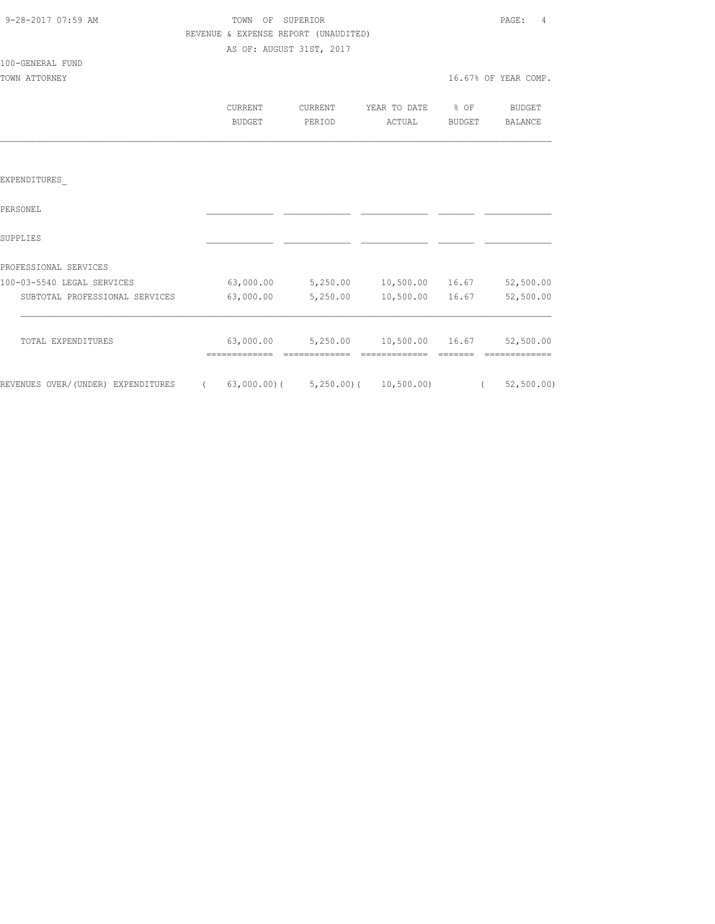| 9-28-2017 07:59 AM |  |
|--------------------|--|
|                    |  |

100-GENERAL FUND

#### TOWN OF SUPERIOR **PAGE:** 4 REVENUE & EXPENSE REPORT (UNAUDITED) AS OF: AUGUST 31ST, 2017

TOWN ATTORNEY TO A REPORT OF THE SERVICE OF A REPORT OF THE SERVICE OF THE SERVICE OF THE SERVICE OF THE SERVICE OF THE SERVICE OF THE SERVICE OF THE SERVICE OF THE SERVICE OF THE SERVICE OF THE SERVICE OF THE SERVICE OF T

|                                | CURRENT<br>BUDGET | CURRENT<br>PERIOD | YEAR TO DATE<br>ACTUAL | % OF<br>BUDGET | BUDGET<br>BALANCE |
|--------------------------------|-------------------|-------------------|------------------------|----------------|-------------------|
|                                |                   |                   |                        |                |                   |
| EXPENDITURES                   |                   |                   |                        |                |                   |
| PERSONEL                       |                   |                   |                        |                |                   |
| SUPPLIES                       |                   |                   |                        |                |                   |
| PROFESSIONAL SERVICES          |                   |                   |                        |                |                   |
| 100-03-5540 LEGAL SERVICES     | 63,000.00         | 5,250.00          | 10,500.00              | 16.67          | 52,500.00         |
| SUBTOTAL PROFESSIONAL SERVICES | 63,000.00         | 5,250.00          | 10,500.00              | 16.67          | 52,500.00         |
| TOTAL EXPENDITURES             | 63,000.00         | 5,250.00          | 10,500.00 16.67        |                | 52,500.00         |

REVENUES OVER/(UNDER) EXPENDITURES ( 63,000.00)( 5,250.00)( 10,500.00) ( 52,500.00)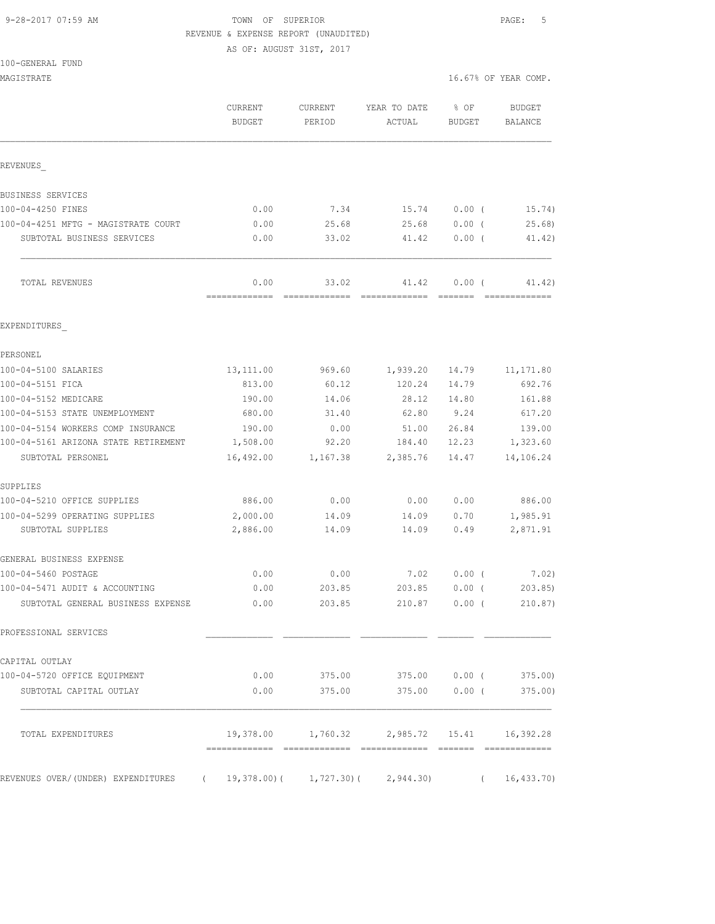# 9-28-2017 07:59 AM TOWN OF SUPERIOR PAGE: 5 REVENUE & EXPENSE REPORT (UNAUDITED)

AS OF: AUGUST 31ST, 2017

|  | 100-GENERAL FUND |  |
|--|------------------|--|
|  |                  |  |

| 100-GENERAL FUND<br>MAGISTRATE       |                          |                   |                        |                       | 16.67% OF YEAR COMP.     |
|--------------------------------------|--------------------------|-------------------|------------------------|-----------------------|--------------------------|
|                                      | CURRENT<br><b>BUDGET</b> | CURRENT<br>PERIOD | YEAR TO DATE<br>ACTUAL | % OF<br><b>BUDGET</b> | <b>BUDGET</b><br>BALANCE |
| REVENUES                             |                          |                   |                        |                       |                          |
| BUSINESS SERVICES                    |                          |                   |                        |                       |                          |
| 100-04-4250 FINES                    | 0.00                     | 7.34              | 15.74                  | $0.00$ (              | 15.74)                   |
| 100-04-4251 MFTG - MAGISTRATE COURT  | 0.00                     | 25.68             | 25.68                  | 0.00(                 | 25.68                    |
| SUBTOTAL BUSINESS SERVICES           | 0.00                     | 33.02             | 41.42                  | $0.00$ (              | 41.42)                   |
| TOTAL REVENUES                       | 0.00                     | 33.02             | 41.42                  | $0.00$ (              | 41.42)                   |
| EXPENDITURES                         |                          |                   |                        |                       |                          |
| PERSONEL                             |                          |                   |                        |                       |                          |
| 100-04-5100 SALARIES                 | 13, 111.00               | 969.60            | 1,939.20               | 14.79                 | 11, 171.80               |
| 100-04-5151 FICA                     | 813.00                   | 60.12             | 120.24                 | 14.79                 | 692.76                   |
| 100-04-5152 MEDICARE                 | 190.00                   | 14.06             | 28.12                  | 14.80                 | 161.88                   |
| 100-04-5153 STATE UNEMPLOYMENT       | 680.00                   | 31.40             | 62.80                  | 9.24                  | 617.20                   |
| 100-04-5154 WORKERS COMP INSURANCE   | 190.00                   | 0.00              | 51.00                  | 26.84                 | 139.00                   |
| 100-04-5161 ARIZONA STATE RETIREMENT | 1,508.00                 | 92.20             | 184.40                 | 12.23                 | 1,323.60                 |
| SUBTOTAL PERSONEL                    | 16,492.00                | 1,167.38          | 2,385.76               | 14.47                 | 14,106.24                |
| SUPPLIES                             |                          |                   |                        |                       |                          |
| 100-04-5210 OFFICE SUPPLIES          | 886.00                   | 0.00              | 0.00                   | 0.00                  | 886.00                   |
| 100-04-5299 OPERATING SUPPLIES       | 2,000.00                 | 14.09             | 14.09                  | 0.70                  | 1,985.91                 |
| SUBTOTAL SUPPLIES                    | 2,886.00                 | 14.09             | 14.09                  | 0.49                  | 2,871.91                 |
| GENERAL BUSINESS EXPENSE             |                          |                   |                        |                       |                          |
| 100-04-5460 POSTAGE                  | 0.00                     | 0.00              | 7.02                   | 0.00(                 | 7.02)                    |
| 100-04-5471 AUDIT & ACCOUNTING       | 0.00                     | 203.85            | 203.85                 | $0.00$ (              | 203.85                   |
| SUBTOTAL GENERAL BUSINESS EXPENSE    | 0.00                     | 203.85            | 210.87                 | 0.00(                 | 210.87)                  |
| PROFESSIONAL SERVICES                |                          |                   |                        |                       |                          |

100-04-5720 OFFICE EQUIPMENT 0.00 375.00 375.00 0.00 ( 375.00) SUBTOTAL CAPITAL OUTLAY 0.00 375.00 375.00 0.00 ( 375.00)

CAPITAL OUTLAY

|  | REVENUES OVER/(UNDER) EXPENDITURES | 19,378.00)( 1,727.30)( 2,944.30) |  | (16, 433, 70) |
|--|------------------------------------|----------------------------------|--|---------------|
|  |                                    |                                  |  |               |

============= ============= ============= ======= =============

TOTAL EXPENDITURES 19,378.00 1,760.32 2,985.72 15.41 16,392.28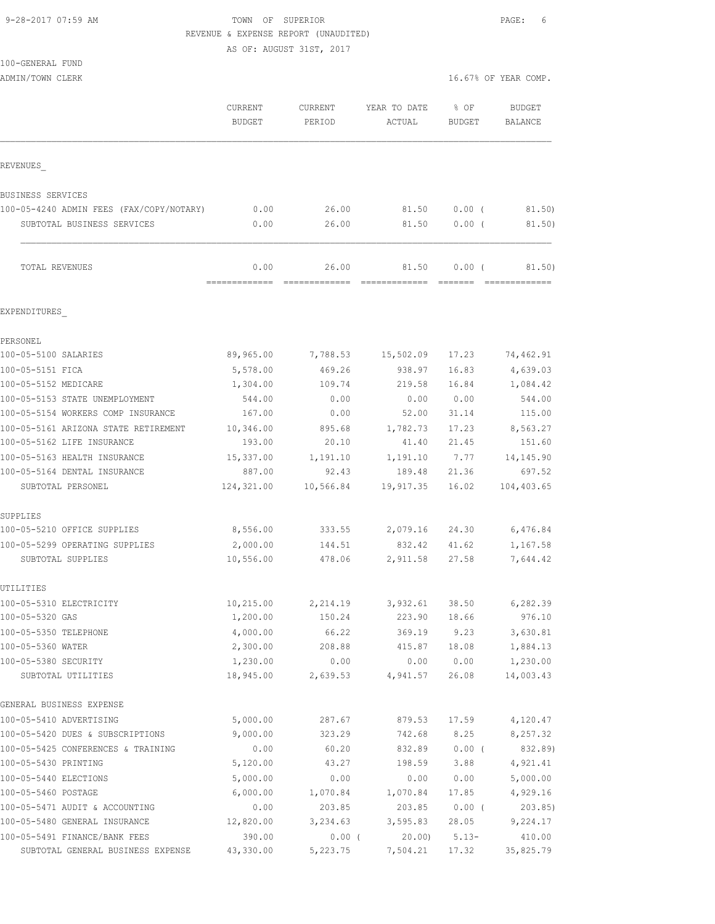# 9-28-2017 07:59 AM **TOWN OF SUPERIOR PAGE:** 6 REVENUE & EXPENSE REPORT (UNAUDITED)

|                                                     | AS OF: AUGUST 31ST, 2017 |                   |                        |                |                          |
|-----------------------------------------------------|--------------------------|-------------------|------------------------|----------------|--------------------------|
| 100-GENERAL FUND<br>ADMIN/TOWN CLERK                |                          |                   |                        |                | 16.67% OF YEAR COMP.     |
|                                                     |                          |                   |                        |                |                          |
|                                                     | CURRENT<br><b>BUDGET</b> | CURRENT<br>PERIOD | YEAR TO DATE<br>ACTUAL | % OF<br>BUDGET | <b>BUDGET</b><br>BALANCE |
| <b>REVENUES</b>                                     |                          |                   |                        |                |                          |
| <b>BUSINESS SERVICES</b>                            |                          |                   |                        |                |                          |
| 100-05-4240 ADMIN FEES (FAX/COPY/NOTARY)            | 0.00                     | 26.00             | 81.50                  | $0.00$ (       | 81.50                    |
| SUBTOTAL BUSINESS SERVICES                          | 0.00                     | 26.00             | 81.50                  | $0.00$ (       | 81.50)                   |
| TOTAL REVENUES                                      | 0.00                     | 26.00             | 81.50                  | 0.00(          | 81.50)                   |
| EXPENDITURES                                        |                          |                   |                        |                |                          |
| PERSONEL                                            |                          |                   |                        |                |                          |
| 100-05-5100 SALARIES                                | 89,965.00                | 7,788.53          | 15,502.09              | 17.23          | 74,462.91                |
| 100-05-5151 FICA                                    | 5,578.00                 | 469.26            | 938.97                 | 16.83          | 4,639.03                 |
| 100-05-5152 MEDICARE                                | 1,304.00                 | 109.74            | 219.58                 | 16.84          | 1,084.42                 |
| 100-05-5153 STATE UNEMPLOYMENT                      | 544.00                   | 0.00              | 0.00                   | 0.00           | 544.00                   |
| 100-05-5154 WORKERS COMP INSURANCE                  | 167.00                   | 0.00              | 52.00                  | 31.14          | 115.00                   |
| 100-05-5161 ARIZONA STATE RETIREMENT                | 10,346.00                | 895.68            | 1,782.73               | 17.23          | 8,563.27                 |
| 100-05-5162 LIFE INSURANCE                          | 193.00                   | 20.10             | 41.40                  | 21.45          | 151.60                   |
| 100-05-5163 HEALTH INSURANCE                        | 15,337.00                | 1,191.10          | 1,191.10               | 7.77           | 14, 145.90               |
| 100-05-5164 DENTAL INSURANCE                        | 887.00                   | 92.43             | 189.48                 | 21.36          | 697.52                   |
| SUBTOTAL PERSONEL                                   | 124,321.00               | 10,566.84         | 19,917.35              | 16.02          | 104,403.65               |
| SUPPLIES                                            |                          |                   |                        |                |                          |
| 100-05-5210 OFFICE SUPPLIES                         | 8,556.00                 | 333.55            | 2,079.16 24.30         |                | 6,476.84                 |
| 100-05-5299 OPERATING SUPPLIES<br>SUBTOTAL SUPPLIES | 2,000.00<br>10,556.00    | 144.51<br>478.06  | 832.42<br>2,911.58     | 41.62<br>27.58 | 1,167.58<br>7,644.42     |
| UTILITIES                                           |                          |                   |                        |                |                          |
| 100-05-5310 ELECTRICITY                             | 10,215.00                | 2,214.19          | 3,932.61               | 38.50          | 6,282.39                 |
| 100-05-5320 GAS                                     | 1,200.00                 | 150.24            | 223.90                 | 18.66          | 976.10                   |
| 100-05-5350 TELEPHONE                               | 4,000.00                 | 66.22             | 369.19                 | 9.23           | 3,630.81                 |
| 100-05-5360 WATER                                   | 2,300.00                 | 208.88            | 415.87                 | 18.08          | 1,884.13                 |
| 100-05-5380 SECURITY                                | 1,230.00                 | 0.00              | 0.00                   | 0.00           | 1,230.00                 |
| SUBTOTAL UTILITIES                                  | 18,945.00                | 2,639.53          | 4,941.57               | 26.08          | 14,003.43                |
| GENERAL BUSINESS EXPENSE                            |                          |                   |                        |                |                          |
| 100-05-5410 ADVERTISING                             | 5,000.00                 | 287.67            | 879.53                 | 17.59          | 4,120.47                 |
| 100-05-5420 DUES & SUBSCRIPTIONS                    | 9,000.00                 | 323.29            | 742.68                 | 8.25           | 8,257.32                 |
| 100-05-5425 CONFERENCES & TRAINING                  | 0.00                     | 60.20             | 832.89                 | $0.00$ (       | 832.89)                  |
| 100-05-5430 PRINTING                                | 5,120.00                 | 43.27             | 198.59                 | 3.88           | 4,921.41                 |
| 100-05-5440 ELECTIONS<br>100-05-5460 POSTAGE        | 5,000.00<br>6,000.00     | 0.00<br>1,070.84  | 0.00<br>1,070.84       | 0.00<br>17.85  | 5,000.00<br>4,929.16     |
|                                                     |                          |                   |                        |                |                          |

100-05-5471 AUDIT & ACCOUNTING 0.00 203.85 203.85 0.00 ( 203.85) 100-05-5480 GENERAL INSURANCE 12,820.00 3,234.63 3,595.83 28.05 9,224.17 100-05-5491 FINANCE/BANK FEES 390.00 0.00 ( 20.00) 5.13- 410.00 SUBTOTAL GENERAL BUSINESS EXPENSE 43,330.00 5,223.75 7,504.21 17.32 35,825.79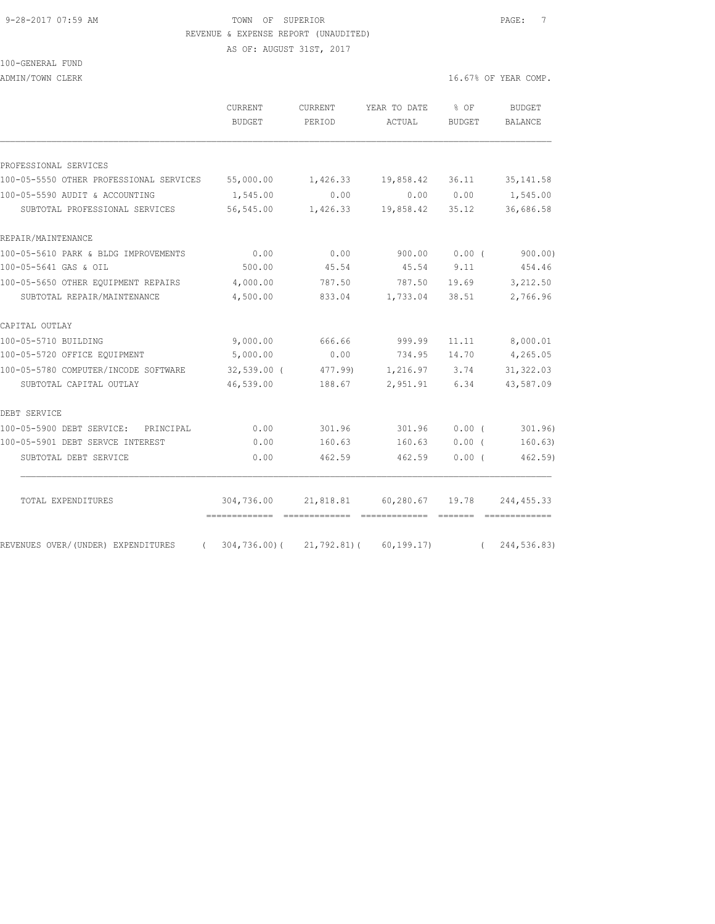#### 9-28-2017 07:59 AM TOWN OF SUPERIOR PAGE: 7 REVENUE & EXPENSE REPORT (UNAUDITED)

AS OF: AUGUST 31ST, 2017

| 100-GENERAL FUND |  |
|------------------|--|
|------------------|--|

ADMIN/TOWN CLERK 16.67% OF YEAR COMP.

|                                         | <b>CURRENT</b><br><b>BUDGET</b> | <b>CURRENT</b><br>PERIOD | YEAR TO DATE<br>ACTUAL | $8$ OF<br><b>BUDGET</b> | <b>BUDGET</b><br><b>BALANCE</b> |
|-----------------------------------------|---------------------------------|--------------------------|------------------------|-------------------------|---------------------------------|
|                                         |                                 |                          |                        |                         |                                 |
| PROFESSIONAL SERVICES                   |                                 |                          |                        |                         |                                 |
| 100-05-5550 OTHER PROFESSIONAL SERVICES | 55,000.00                       | 1,426.33                 | 19,858.42              | 36.11                   | 35, 141.58                      |
| 100-05-5590 AUDIT & ACCOUNTING          | 1,545.00                        | 0.00                     | 0.00                   | 0.00                    | 1,545.00                        |
| SUBTOTAL PROFESSIONAL SERVICES          | 56,545.00                       | 1,426.33                 | 19,858.42              | 35.12                   | 36,686.58                       |
| REPAIR/MAINTENANCE                      |                                 |                          |                        |                         |                                 |
| 100-05-5610 PARK & BLDG IMPROVEMENTS    | 0.00                            | 0.00                     | 900.00                 | 0.00(                   | 900.00)                         |
| 100-05-5641 GAS & OIL                   | 500.00                          | 45.54                    | 45.54                  | 9.11                    | 454.46                          |
| 100-05-5650 OTHER EQUIPMENT REPAIRS     | 4,000.00                        | 787.50                   | 787.50                 | 19.69                   | 3,212.50                        |
| SUBTOTAL REPAIR/MAINTENANCE             | 4,500.00                        | 833.04                   | 1,733.04               | 38.51                   | 2,766.96                        |
| CAPITAL OUTLAY                          |                                 |                          |                        |                         |                                 |
| 100-05-5710 BUILDING                    | 9,000.00                        | 666.66                   | 999.99                 | 11.11                   | 8,000.01                        |
| 100-05-5720 OFFICE EQUIPMENT            | 5,000.00                        | 0.00                     | 734.95                 | 14.70                   | 4,265.05                        |
| 100-05-5780 COMPUTER/INCODE SOFTWARE    | $32,539.00$ (                   | 477.99)                  | 1,216.97               | 3.74                    | 31, 322.03                      |
| SUBTOTAL CAPITAL OUTLAY                 | 46,539.00                       | 188.67                   | 2,951.91               | 6.34                    | 43,587.09                       |
| DEBT SERVICE                            |                                 |                          |                        |                         |                                 |
| 100-05-5900 DEBT SERVICE: PRINCIPAL     | 0.00                            | 301.96                   | 301.96                 | 0.00(                   | 301.96)                         |
| 100-05-5901 DEBT SERVCE INTEREST        | 0.00                            | 160.63                   | 160.63                 | 0.00(                   | 160.63)                         |
| SUBTOTAL DEBT SERVICE                   | 0.00                            | 462.59                   | 462.59                 | 0.00(                   | 462.59                          |
|                                         |                                 |                          |                        |                         |                                 |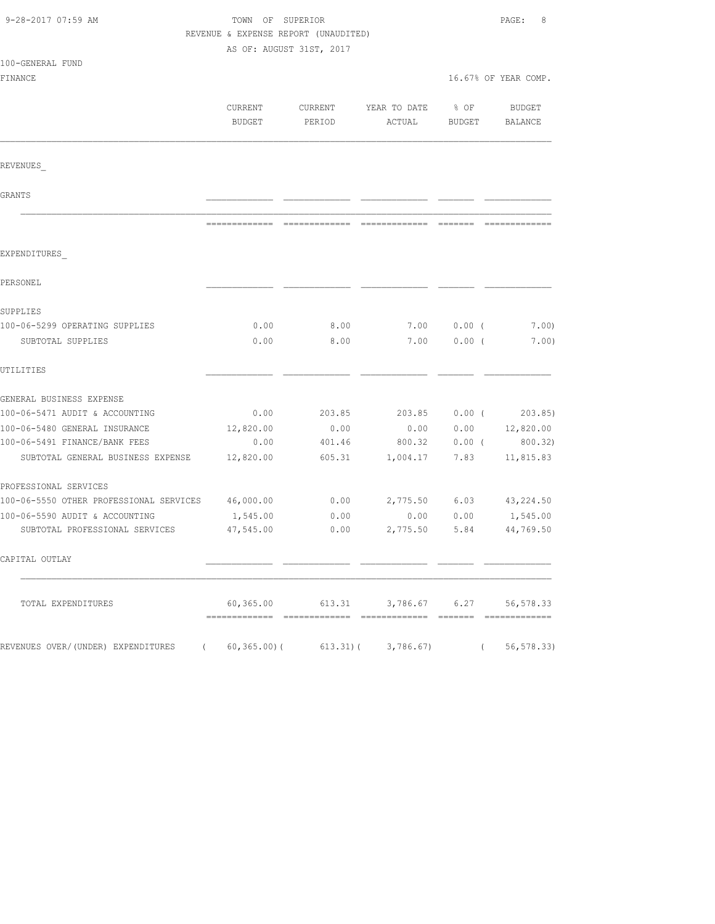| 9-28-2017 07:59 AM                      | TOWN OF SUPERIOR<br>REVENUE & EXPENSE REPORT (UNAUDITED)<br>AS OF: AUGUST 31ST, 2017 |                   |                        |                |                      |
|-----------------------------------------|--------------------------------------------------------------------------------------|-------------------|------------------------|----------------|----------------------|
| 100-GENERAL FUND                        |                                                                                      |                   |                        |                |                      |
| FINANCE                                 |                                                                                      |                   |                        |                | 16.67% OF YEAR COMP. |
|                                         | CURRENT<br>BUDGET                                                                    | CURRENT<br>PERIOD | YEAR TO DATE<br>ACTUAL | % OF<br>BUDGET | BUDGET<br>BALANCE    |
|                                         |                                                                                      |                   |                        |                |                      |
| REVENUES                                |                                                                                      |                   |                        |                |                      |
| GRANTS                                  |                                                                                      |                   |                        |                |                      |
|                                         |                                                                                      |                   |                        |                |                      |
| EXPENDITURES                            |                                                                                      |                   |                        |                |                      |
| PERSONEL                                |                                                                                      |                   |                        |                |                      |
| SUPPLIES                                |                                                                                      |                   |                        |                |                      |
| 100-06-5299 OPERATING SUPPLIES          | 0.00                                                                                 | 8.00              | 7.00                   | $0.00$ (       | 7.00)                |
| SUBTOTAL SUPPLIES                       | 0.00                                                                                 | 8.00              | 7.00                   | $0.00$ (       | 7.00)                |
| UTILITIES                               |                                                                                      |                   |                        |                |                      |
| GENERAL BUSINESS EXPENSE                |                                                                                      |                   |                        |                |                      |
| 100-06-5471 AUDIT & ACCOUNTING          | 0.00                                                                                 | 203.85            | 203.85                 | $0.00$ (       | 203.85               |
| 100-06-5480 GENERAL INSURANCE           | 12,820.00                                                                            | 0.00              | 0.00                   |                | $0.00$ $12,820.00$   |
| 100-06-5491 FINANCE/BANK FEES           | 0.00                                                                                 | 401.46            | 800.32                 | $0.00$ (       | 800.32)              |
| SUBTOTAL GENERAL BUSINESS EXPENSE       | 12,820.00                                                                            | 605.31            | 1,004.17               | 7.83           | 11,815.83            |
| PROFESSIONAL SERVICES                   |                                                                                      |                   |                        |                |                      |
| 100-06-5550 OTHER PROFESSIONAL SERVICES | 46,000.00                                                                            | 0.00              | 2,775.50               | 6.03           | 43, 224.50           |
| 100-06-5590 AUDIT & ACCOUNTING          | 1,545.00                                                                             | 0.00              | 0.00                   | 0.00           | 1,545.00             |
| SUBTOTAL PROFESSIONAL SERVICES          | 47,545.00                                                                            | 0.00              | 2,775.50               | 5.84           | 44,769.50            |
| CAPITAL OUTLAY                          |                                                                                      |                   |                        |                |                      |
| TOTAL EXPENDITURES                      |                                                                                      | 60,365.00 613.31  |                        | 3,786.67 6.27  | 56, 578.33           |
| REVENUES OVER/(UNDER) EXPENDITURES      | $(60, 365.00)$ $(613.31)$ $(3, 786.67)$                                              |                   |                        |                | 56, 578.33           |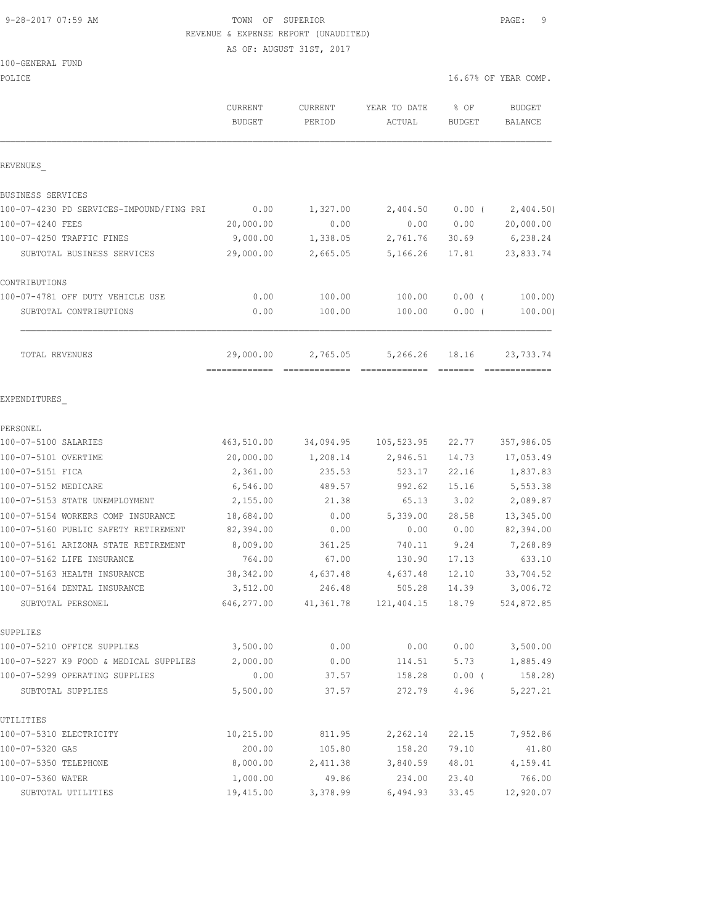## 9-28-2017 07:59 AM TOWN OF SUPERIOR PAGE: 9 REVENUE & EXPENSE REPORT (UNAUDITED)

AS OF: AUGUST 31ST, 2017

| 100-GENERAL FUND |  |
|------------------|--|
|------------------|--|

| POLICE                                            |               |           |                                                 |                                                                                                                                                                                                                                                                                                                                                                                                                                                                                                                                                                         | 16.67% OF YEAR COMP.   |
|---------------------------------------------------|---------------|-----------|-------------------------------------------------|-------------------------------------------------------------------------------------------------------------------------------------------------------------------------------------------------------------------------------------------------------------------------------------------------------------------------------------------------------------------------------------------------------------------------------------------------------------------------------------------------------------------------------------------------------------------------|------------------------|
|                                                   | CURRENT       | CURRENT   | YEAR TO DATE                                    | % OF                                                                                                                                                                                                                                                                                                                                                                                                                                                                                                                                                                    | <b>BUDGET</b>          |
|                                                   | <b>BUDGET</b> | PERIOD    | ACTUAL                                          | <b>BUDGET</b>                                                                                                                                                                                                                                                                                                                                                                                                                                                                                                                                                           | BALANCE                |
| REVENUES                                          |               |           |                                                 |                                                                                                                                                                                                                                                                                                                                                                                                                                                                                                                                                                         |                        |
| BUSINESS SERVICES                                 |               |           |                                                 |                                                                                                                                                                                                                                                                                                                                                                                                                                                                                                                                                                         |                        |
| 100-07-4230 PD SERVICES-IMPOUND/FING PRI          | 0.00          | 1,327.00  | 2,404.50                                        | $0.00$ (                                                                                                                                                                                                                                                                                                                                                                                                                                                                                                                                                                | 2,404.50)              |
| 100-07-4240 FEES                                  | 20,000.00     | 0.00      | 0.00                                            | 0.00                                                                                                                                                                                                                                                                                                                                                                                                                                                                                                                                                                    | 20,000.00              |
| 100-07-4250 TRAFFIC FINES                         | 9,000.00      | 1,338.05  | 2,761.76                                        | 30.69                                                                                                                                                                                                                                                                                                                                                                                                                                                                                                                                                                   | 6,238.24               |
| SUBTOTAL BUSINESS SERVICES                        | 29,000.00     | 2,665.05  | 5,166.26                                        | 17.81                                                                                                                                                                                                                                                                                                                                                                                                                                                                                                                                                                   | 23,833.74              |
| CONTRIBUTIONS                                     |               |           |                                                 |                                                                                                                                                                                                                                                                                                                                                                                                                                                                                                                                                                         |                        |
| 100-07-4781 OFF DUTY VEHICLE USE                  | 0.00          | 100.00    | 100.00                                          | $0.00$ (                                                                                                                                                                                                                                                                                                                                                                                                                                                                                                                                                                | 100.00                 |
| SUBTOTAL CONTRIBUTIONS                            | 0.00          | 100.00    | 100.00                                          | $0.00$ (                                                                                                                                                                                                                                                                                                                                                                                                                                                                                                                                                                | 100.00)                |
| TOTAL REVENUES                                    | 29,000.00     | 2,765.05  | 5,266.26                                        | 18.16<br>$\begin{tabular}{ll} \multicolumn{3}{l}{{\color{red}\boldsymbol{z}}}= \multicolumn{3}{l}{\color{blue}\boldsymbol{z}}=\multicolumn{3}{l}{\color{blue}\boldsymbol{z}}=\multicolumn{3}{l}{\color{blue}\boldsymbol{z}}=\multicolumn{3}{l}{\color{blue}\boldsymbol{z}}=\multicolumn{3}{l}{\color{blue}\boldsymbol{z}}=\multicolumn{3}{l}{\color{blue}\boldsymbol{z}}=\multicolumn{3}{l}{\color{blue}\boldsymbol{z}}=\multicolumn{3}{l}{\color{blue}\boldsymbol{z}}=\multicolumn{3}{l}{\color{blue}\boldsymbol{z}}=\multicolumn{3}{l}{\color{blue}\boldsymbol{z}}=\$ | 23,733.74              |
| EXPENDITURES                                      |               |           |                                                 |                                                                                                                                                                                                                                                                                                                                                                                                                                                                                                                                                                         |                        |
| PERSONEL                                          |               |           |                                                 |                                                                                                                                                                                                                                                                                                                                                                                                                                                                                                                                                                         |                        |
| 100-07-5100 SALARIES                              | 463,510.00    | 34,094.95 | 105,523.95                                      | 22.77                                                                                                                                                                                                                                                                                                                                                                                                                                                                                                                                                                   | 357,986.05             |
| 100-07-5101 OVERTIME                              | 20,000.00     | 1,208.14  | 2,946.51                                        | 14.73                                                                                                                                                                                                                                                                                                                                                                                                                                                                                                                                                                   | 17,053.49              |
| 100-07-5151 FICA                                  | 2,361.00      | 235.53    | 523.17                                          | 22.16                                                                                                                                                                                                                                                                                                                                                                                                                                                                                                                                                                   | 1,837.83               |
| 100-07-5152 MEDICARE                              | 6,546.00      | 489.57    | 992.62                                          | 15.16                                                                                                                                                                                                                                                                                                                                                                                                                                                                                                                                                                   | 5,553.38               |
| 100-07-5153 STATE UNEMPLOYMENT                    | 2,155.00      | 21.38     | 65.13                                           | 3.02                                                                                                                                                                                                                                                                                                                                                                                                                                                                                                                                                                    | 2,089.87               |
| 100-07-5154 WORKERS COMP INSURANCE                | 18,684.00     | 0.00      | 5,339.00                                        | 28.58                                                                                                                                                                                                                                                                                                                                                                                                                                                                                                                                                                   | 13,345.00              |
| 100-07-5160 PUBLIC SAFETY RETIREMENT              | 82,394.00     | 0.00      | 0.00                                            | 0.00                                                                                                                                                                                                                                                                                                                                                                                                                                                                                                                                                                    | 82,394.00              |
| 100-07-5161 ARIZONA STATE RETIREMENT              | 8,009.00      | 361.25    | 740.11                                          | 9.24                                                                                                                                                                                                                                                                                                                                                                                                                                                                                                                                                                    | 7,268.89               |
| 100-07-5162 LIFE INSURANCE                        | 764.00        | 67.00     | 130.90                                          | 17.13                                                                                                                                                                                                                                                                                                                                                                                                                                                                                                                                                                   | 633.10                 |
| 100-07-5163 HEALTH INSURANCE                      | 38,342.00     | 4,637.48  | 4,637.48                                        | 12.10                                                                                                                                                                                                                                                                                                                                                                                                                                                                                                                                                                   | 33,704.52              |
| 100-07-5164 DENTAL INSURANCE<br>SUBTOTAL PERSONEL | 3,512.00      | 246.48    | 505.28<br>646,277.00 41,361.78 121,404.15 18.79 | 14.39                                                                                                                                                                                                                                                                                                                                                                                                                                                                                                                                                                   | 3,006.72<br>524,872.85 |
|                                                   |               |           |                                                 |                                                                                                                                                                                                                                                                                                                                                                                                                                                                                                                                                                         |                        |
| SUPPLIES<br>100-07-5210 OFFICE SUPPLIES           | 3,500.00      | 0.00      | 0.00                                            | 0.00                                                                                                                                                                                                                                                                                                                                                                                                                                                                                                                                                                    | 3,500.00               |
| 100-07-5227 K9 FOOD & MEDICAL SUPPLIES            | 2,000.00      | 0.00      | 114.51                                          | 5.73                                                                                                                                                                                                                                                                                                                                                                                                                                                                                                                                                                    | 1,885.49               |
| 100-07-5299 OPERATING SUPPLIES                    | 0.00          | 37.57     | 158.28                                          | $0.00$ (                                                                                                                                                                                                                                                                                                                                                                                                                                                                                                                                                                | 158.28)                |
| SUBTOTAL SUPPLIES                                 | 5,500.00      | 37.57     | 272.79                                          | 4.96                                                                                                                                                                                                                                                                                                                                                                                                                                                                                                                                                                    | 5,227.21               |
| UTILITIES                                         |               |           |                                                 |                                                                                                                                                                                                                                                                                                                                                                                                                                                                                                                                                                         |                        |
| 100-07-5310 ELECTRICITY                           | 10,215.00     | 811.95    | 2,262.14                                        | 22.15                                                                                                                                                                                                                                                                                                                                                                                                                                                                                                                                                                   | 7,952.86               |
| 100-07-5320 GAS                                   | 200.00        | 105.80    | 158.20                                          | 79.10                                                                                                                                                                                                                                                                                                                                                                                                                                                                                                                                                                   | 41.80                  |
| 100-07-5350 TELEPHONE                             | 8,000.00      | 2,411.38  | 3,840.59                                        | 48.01                                                                                                                                                                                                                                                                                                                                                                                                                                                                                                                                                                   | 4,159.41               |
| 100-07-5360 WATER                                 | 1,000.00      | 49.86     | 234.00                                          | 23.40                                                                                                                                                                                                                                                                                                                                                                                                                                                                                                                                                                   | 766.00                 |
| SUBTOTAL UTILITIES                                | 19,415.00     | 3,378.99  | 6,494.93                                        | 33.45                                                                                                                                                                                                                                                                                                                                                                                                                                                                                                                                                                   | 12,920.07              |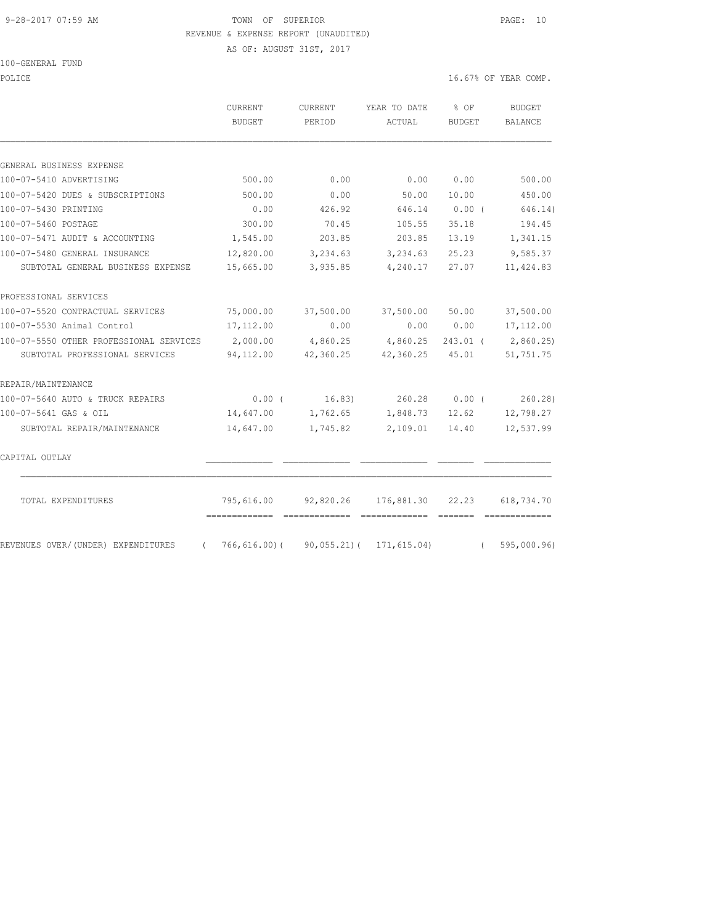#### 9-28-2017 07:59 AM TOWN OF SUPERIOR PAGE: 10 REVENUE & EXPENSE REPORT (UNAUDITED)

AS OF: AUGUST 31ST, 2017

POLICE 16.67% OF YEAR COMP.

|                                         | CURRENT<br>BUDGET                                        | CURRENT<br>PERIOD                  | YEAR TO DATE<br>ACTUAL | $8$ OF<br>BUDGET | <b>BUDGET</b><br>BALANCE                                                                                                                                                                                                                                                                                                                                                                                                                                                               |
|-----------------------------------------|----------------------------------------------------------|------------------------------------|------------------------|------------------|----------------------------------------------------------------------------------------------------------------------------------------------------------------------------------------------------------------------------------------------------------------------------------------------------------------------------------------------------------------------------------------------------------------------------------------------------------------------------------------|
| GENERAL BUSINESS EXPENSE                |                                                          |                                    |                        |                  |                                                                                                                                                                                                                                                                                                                                                                                                                                                                                        |
| 100-07-5410 ADVERTISING                 | 500.00                                                   | 0.00                               | 0.00                   | 0.00             | 500.00                                                                                                                                                                                                                                                                                                                                                                                                                                                                                 |
| 100-07-5420 DUES & SUBSCRIPTIONS        | 500.00                                                   | 0.00                               | 50.00                  | 10.00            | 450.00                                                                                                                                                                                                                                                                                                                                                                                                                                                                                 |
| 100-07-5430 PRINTING                    | 0.00                                                     | 426.92                             | 646.14                 | $0.00$ (         | 646.14)                                                                                                                                                                                                                                                                                                                                                                                                                                                                                |
| 100-07-5460 POSTAGE                     | 300.00                                                   | 70.45                              | 105.55                 | 35.18            | 194.45                                                                                                                                                                                                                                                                                                                                                                                                                                                                                 |
| 100-07-5471 AUDIT & ACCOUNTING          | 1,545.00                                                 | 203.85                             | 203.85                 | 13.19            | 1,341.15                                                                                                                                                                                                                                                                                                                                                                                                                                                                               |
| 100-07-5480 GENERAL INSURANCE           | 12,820.00                                                | 3,234.63                           | 3,234.63               | 25.23            | 9,585.37                                                                                                                                                                                                                                                                                                                                                                                                                                                                               |
| SUBTOTAL GENERAL BUSINESS EXPENSE       | 15,665.00                                                | 3,935.85                           | 4,240.17               | 27.07            | 11,424.83                                                                                                                                                                                                                                                                                                                                                                                                                                                                              |
| PROFESSIONAL SERVICES                   |                                                          |                                    |                        |                  |                                                                                                                                                                                                                                                                                                                                                                                                                                                                                        |
| 100-07-5520 CONTRACTUAL SERVICES        | 75,000.00                                                | 37,500.00                          | 37,500.00              | 50.00            | 37,500.00                                                                                                                                                                                                                                                                                                                                                                                                                                                                              |
| 100-07-5530 Animal Control              | 17, 112.00                                               | 0.00                               |                        | 0.00 0.00        | 17, 112.00                                                                                                                                                                                                                                                                                                                                                                                                                                                                             |
| 100-07-5550 OTHER PROFESSIONAL SERVICES | 2,000.00                                                 | 4,860.25                           | 4,860.25               | $243.01$ (       | 2,860.25)                                                                                                                                                                                                                                                                                                                                                                                                                                                                              |
| SUBTOTAL PROFESSIONAL SERVICES          | 94,112.00                                                | 42,360.25 42,360.25                |                        | 45.01            | 51,751.75                                                                                                                                                                                                                                                                                                                                                                                                                                                                              |
| REPAIR/MAINTENANCE                      |                                                          |                                    |                        |                  |                                                                                                                                                                                                                                                                                                                                                                                                                                                                                        |
| 100-07-5640 AUTO & TRUCK REPAIRS        |                                                          | $0.00$ ( $16.83$ ) $260.28$ 0.00 ( |                        |                  | 260.28                                                                                                                                                                                                                                                                                                                                                                                                                                                                                 |
| 100-07-5641 GAS & OIL                   | 14,647.00                                                | 1,762.65                           | 1,848.73               | 12.62            | 12,798.27                                                                                                                                                                                                                                                                                                                                                                                                                                                                              |
| SUBTOTAL REPAIR/MAINTENANCE             | 14,647.00                                                | 1,745.82                           | 2,109.01               | 14.40            | 12,537.99                                                                                                                                                                                                                                                                                                                                                                                                                                                                              |
| CAPITAL OUTLAY                          |                                                          |                                    |                        |                  |                                                                                                                                                                                                                                                                                                                                                                                                                                                                                        |
| TOTAL EXPENDITURES                      | 795,616.00<br>===============================            |                                    | eccessessess essess    |                  | $\begin{array}{cccccccccccccc} \multicolumn{2}{c}{} & \multicolumn{2}{c}{} & \multicolumn{2}{c}{} & \multicolumn{2}{c}{} & \multicolumn{2}{c}{} & \multicolumn{2}{c}{} & \multicolumn{2}{c}{} & \multicolumn{2}{c}{} & \multicolumn{2}{c}{} & \multicolumn{2}{c}{} & \multicolumn{2}{c}{} & \multicolumn{2}{c}{} & \multicolumn{2}{c}{} & \multicolumn{2}{c}{} & \multicolumn{2}{c}{} & \multicolumn{2}{c}{} & \multicolumn{2}{c}{} & \multicolumn{2}{c}{} & \multicolumn{2}{c}{} & \$ |
| REVENUES OVER/(UNDER) EXPENDITURES      | $(766, 616.00) (90, 055.21) (171, 615.04) (595, 000.96)$ |                                    |                        |                  |                                                                                                                                                                                                                                                                                                                                                                                                                                                                                        |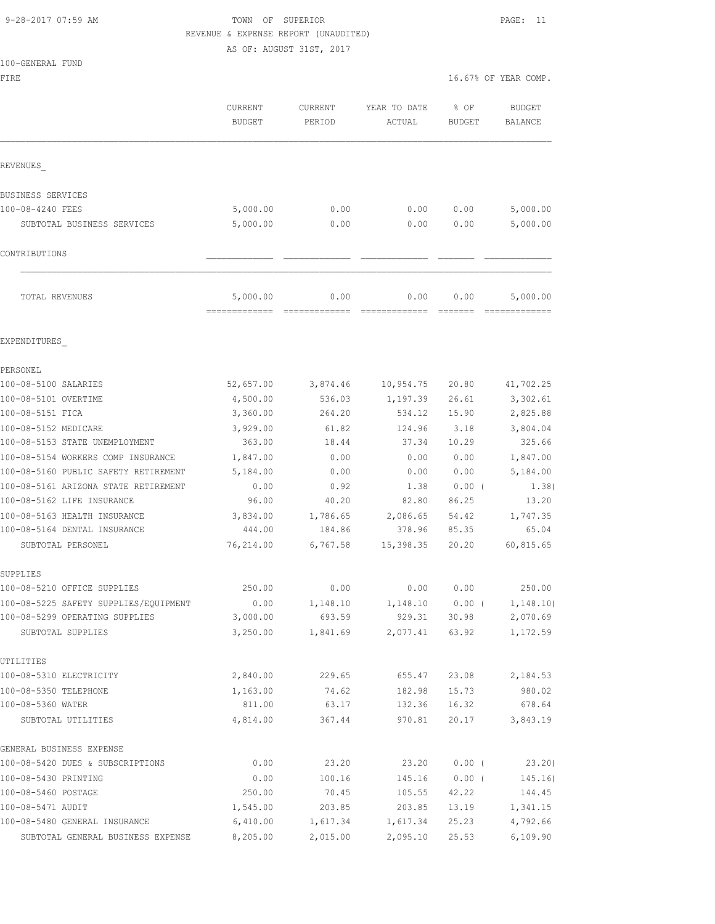# 9-28-2017 07:59 AM TOWN OF SUPERIOR PAGE: 11 REVENUE & EXPENSE REPORT (UNAUDITED)

AS OF: AUGUST 31ST, 2017

|  | 100-GENERAL FUND |  |
|--|------------------|--|
|  |                  |  |

FIRE  $16.67$ % OF YEAR COMP.

|                                       | CURRENT<br><b>BUDGET</b> | CURRENT<br>PERIOD | YEAR TO DATE<br>ACTUAL | % OF<br><b>BUDGET</b> | <b>BUDGET</b><br><b>BALANCE</b> |
|---------------------------------------|--------------------------|-------------------|------------------------|-----------------------|---------------------------------|
| REVENUES                              |                          |                   |                        |                       |                                 |
| BUSINESS SERVICES                     |                          |                   |                        |                       |                                 |
| 100-08-4240 FEES                      | 5,000.00                 | 0.00              | 0.00                   | 0.00                  | 5,000.00                        |
| SUBTOTAL BUSINESS SERVICES            | 5,000.00                 | 0.00              | 0.00                   | 0.00                  | 5,000.00                        |
| CONTRIBUTIONS                         |                          |                   |                        |                       |                                 |
| TOTAL REVENUES                        | 5,000.00                 | 0.00              | 0.00                   | 0.00                  | 5,000.00                        |
| EXPENDITURES                          |                          |                   |                        |                       |                                 |
| PERSONEL                              |                          |                   |                        |                       |                                 |
| 100-08-5100 SALARIES                  | 52,657.00                | 3,874.46          | 10,954.75              | 20.80                 | 41,702.25                       |
| 100-08-5101 OVERTIME                  | 4,500.00                 | 536.03            | 1,197.39               | 26.61                 | 3,302.61                        |
| 100-08-5151 FICA                      | 3,360.00                 | 264.20            | 534.12                 | 15.90                 | 2,825.88                        |
| 100-08-5152 MEDICARE                  | 3,929.00                 | 61.82             | 124.96                 | 3.18                  | 3,804.04                        |
| 100-08-5153 STATE UNEMPLOYMENT        | 363.00                   | 18.44             | 37.34                  | 10.29                 | 325.66                          |
| 100-08-5154 WORKERS COMP INSURANCE    | 1,847.00                 | 0.00              | 0.00                   | 0.00                  | 1,847.00                        |
| 100-08-5160 PUBLIC SAFETY RETIREMENT  | 5,184.00                 | 0.00              | 0.00                   | 0.00                  | 5,184.00                        |
| 100-08-5161 ARIZONA STATE RETIREMENT  | 0.00                     | 0.92              | 1.38                   | 0.00(                 | 1.38)                           |
| 100-08-5162 LIFE INSURANCE            | 96.00                    | 40.20             | 82.80                  | 86.25                 | 13.20                           |
| 100-08-5163 HEALTH INSURANCE          | 3,834.00                 | 1,786.65          | 2,086.65               | 54.42                 | 1,747.35                        |
| 100-08-5164 DENTAL INSURANCE          | 444.00                   | 184.86            | 378.96                 | 85.35                 | 65.04                           |
| SUBTOTAL PERSONEL                     | 76,214.00                | 6,767.58          | 15,398.35              | 20.20                 | 60,815.65                       |
| SUPPLIES                              |                          |                   |                        |                       |                                 |
| 100-08-5210 OFFICE SUPPLIES           | 250.00                   | 0.00              | 0.00                   | 0.00                  | 250.00                          |
| 100-08-5225 SAFETY SUPPLIES/EQUIPMENT | 0.00                     | 1,148.10          | 1,148.10               | 0.00(                 | 1, 148.10)                      |
| 100-08-5299 OPERATING SUPPLIES        | 3,000.00                 | 693.59            | 929.31                 | 30.98                 | 2,070.69                        |
| SUBTOTAL SUPPLIES                     | 3,250.00                 | 1,841.69          |                        | 2,077.41 63.92        | 1,172.59                        |
| UTILITIES                             |                          |                   |                        |                       |                                 |
| 100-08-5310 ELECTRICITY               | 2,840.00                 | 229.65            | 655.47                 |                       | 23.08 2,184.53                  |
| 100-08-5350 TELEPHONE                 | 1,163.00                 | 74.62             | 182.98                 | 15.73                 | 980.02                          |
| 100-08-5360 WATER                     | 811.00                   | 63.17             | 132.36                 | 16.32                 | 678.64                          |
| SUBTOTAL UTILITIES                    | 4,814.00                 | 367.44            | 970.81                 | 20.17                 | 3,843.19                        |
| GENERAL BUSINESS EXPENSE              |                          |                   |                        |                       |                                 |
| 100-08-5420 DUES & SUBSCRIPTIONS      | 0.00                     | 23.20             | 23.20                  | $0.00$ (              | 23.20)                          |
| 100-08-5430 PRINTING                  | 0.00                     | 100.16            | 145.16                 | $0.00$ (              | 145.16)                         |
| 100-08-5460 POSTAGE                   | 250.00                   | 70.45             | 105.55                 | 42.22                 | 144.45                          |
| 100-08-5471 AUDIT                     | 1,545.00                 | 203.85            | 203.85                 | 13.19                 | 1,341.15                        |
| 100-08-5480 GENERAL INSURANCE         | 6,410.00                 | 1,617.34          | 1,617.34               | 25.23                 | 4,792.66                        |
| SUBTOTAL GENERAL BUSINESS EXPENSE     | 8,205.00                 | 2,015.00          | 2,095.10               | 25.53                 | 6,109.90                        |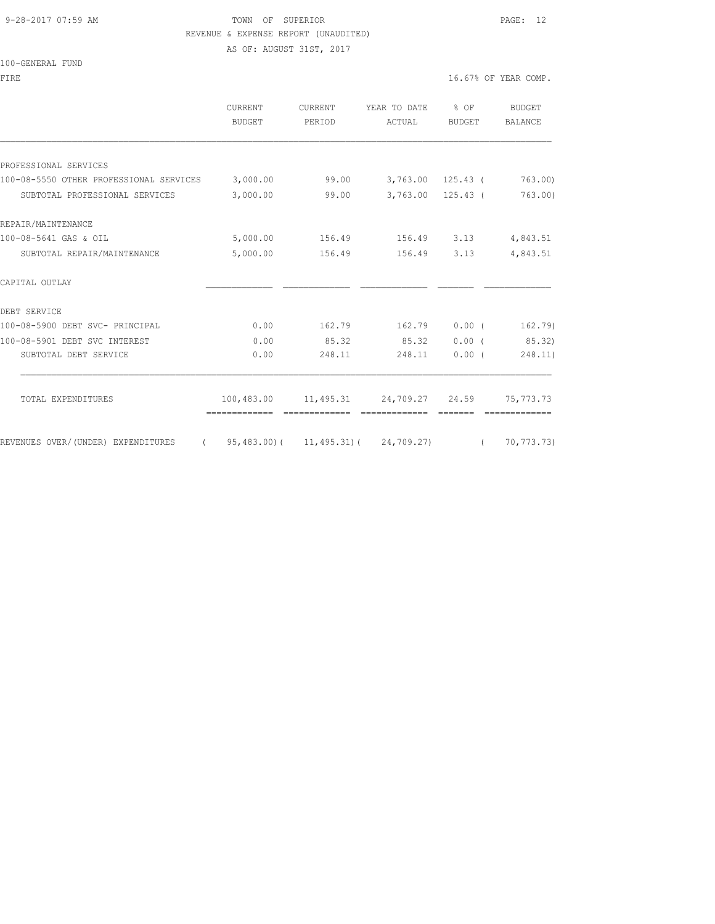#### 9-28-2017 07:59 AM TOWN OF SUPERIOR PAGE: 12 REVENUE & EXPENSE REPORT (UNAUDITED)

AS OF: AUGUST 31ST, 2017

#### 100-GENERAL FUND

|                                                                        | CURRENT  | <b>CURRENT</b><br><b>BUDGET</b><br>PERIOD | YEAR TO DATE<br>ACTUAL               | % OF<br><b>BUDGET</b> | <b>BUDGET</b><br><b>BALANCE</b> |
|------------------------------------------------------------------------|----------|-------------------------------------------|--------------------------------------|-----------------------|---------------------------------|
|                                                                        |          |                                           |                                      |                       |                                 |
|                                                                        |          |                                           |                                      |                       |                                 |
| PROFESSIONAL SERVICES                                                  |          |                                           |                                      |                       |                                 |
| 100-08-5550 OTHER PROFESSIONAL SERVICES 3,000.00                       |          | 99.00                                     |                                      | 3,763.00 125.43 (     | 763.00                          |
| SUBTOTAL PROFESSIONAL SERVICES                                         | 3,000.00 | 99.00                                     |                                      | $3,763.00$ 125.43 (   | 763.00)                         |
| REPAIR/MAINTENANCE                                                     |          |                                           |                                      |                       |                                 |
| 100-08-5641 GAS & OIL                                                  | 5,000.00 |                                           | 156.49 156.49 3.13                   |                       | 4,843.51                        |
| SUBTOTAL REPAIR/MAINTENANCE                                            | 5,000.00 |                                           | 156.49 156.49 3.13                   |                       | 4,843.51                        |
| CAPITAL OUTLAY                                                         |          |                                           |                                      |                       |                                 |
| DEBT SERVICE                                                           |          |                                           |                                      |                       |                                 |
| 100-08-5900 DEBT SVC- PRINCIPAL                                        | 0.00     | 162.79                                    | 162.79                               | 0.00(                 | 162.79)                         |
| 100-08-5901 DEBT SVC INTEREST                                          | 0.00     | 85.32                                     | 85.32                                |                       | 0.00(85.32)                     |
| SUBTOTAL DEBT SERVICE                                                  | 0.00     | 248.11                                    | 248.11                               | $0.00$ (              | 248.11)                         |
|                                                                        |          |                                           |                                      |                       |                                 |
| TOTAL EXPENDITURES                                                     |          |                                           | 100,483.00 11,495.31 24,709.27 24.59 |                       | 75, 773. 73                     |
| REVENUES OVER/(UNDER) EXPENDITURES (95,483.00)(11,495.31)(24,709.27) ( |          |                                           |                                      |                       | 70,773.73)                      |
|                                                                        |          |                                           |                                      |                       |                                 |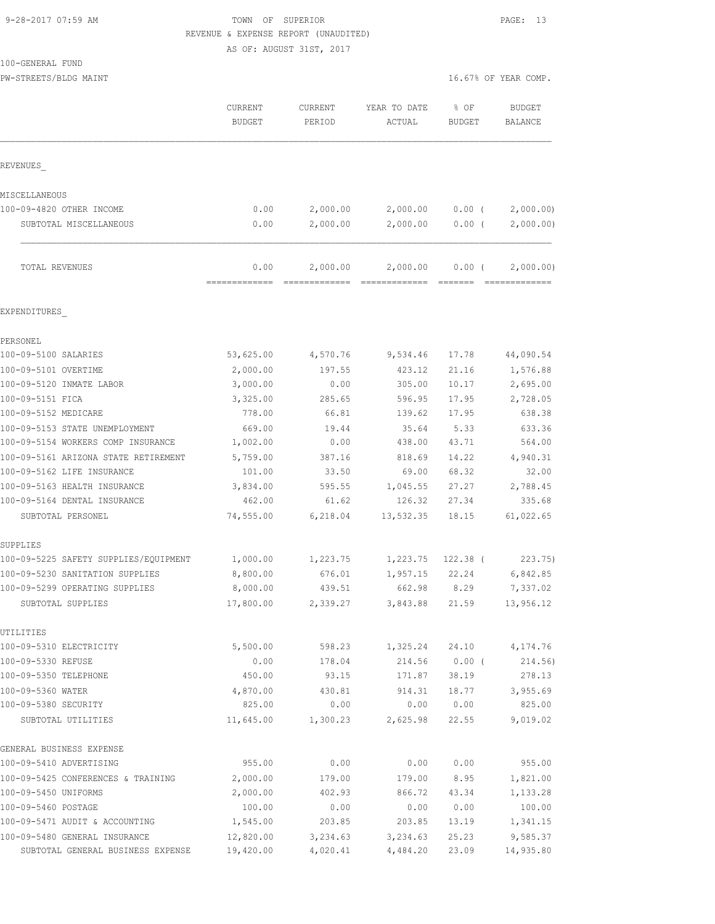# 9-28-2017 07:59 AM TOWN OF SUPERIOR PAGE: 13 REVENUE & EXPENSE REPORT (UNAUDITED)

AS OF: AUGUST 31ST, 2017

100-GENERAL FUND

| PW-STREETS/BLDG MAINT                                             |                                 |                   |                        | 16.67% OF YEAR COMP.  |                                 |
|-------------------------------------------------------------------|---------------------------------|-------------------|------------------------|-----------------------|---------------------------------|
|                                                                   | <b>CURRENT</b><br><b>BUDGET</b> | CURRENT<br>PERIOD | YEAR TO DATE<br>ACTUAL | % OF<br><b>BUDGET</b> | <b>BUDGET</b><br><b>BALANCE</b> |
| REVENUES                                                          |                                 |                   |                        |                       |                                 |
| MISCELLANEOUS                                                     |                                 |                   |                        |                       |                                 |
| 100-09-4820 OTHER INCOME                                          | 0.00                            | 2,000.00          | 2,000.00               | $0.00$ (              | 2,000.00                        |
| SUBTOTAL MISCELLANEOUS                                            | 0.00                            | 2,000.00          | 2,000.00               | 0.00(                 | 2,000.00)                       |
| TOTAL REVENUES                                                    | 0.00<br>-------------           | 2,000.00          | 2,000.00               | $0.00$ (              | 2,000.00)                       |
| EXPENDITURES                                                      |                                 |                   |                        |                       |                                 |
| PERSONEL                                                          |                                 |                   |                        |                       |                                 |
| 100-09-5100 SALARIES                                              | 53,625.00                       | 4,570.76          | 9,534.46               | 17.78                 | 44,090.54                       |
| 100-09-5101 OVERTIME                                              | 2,000.00                        | 197.55            | 423.12                 | 21.16                 | 1,576.88                        |
| 100-09-5120 INMATE LABOR                                          | 3,000.00                        | 0.00              | 305.00                 | 10.17                 | 2,695.00                        |
| 100-09-5151 FICA                                                  | 3,325.00                        | 285.65            | 596.95                 | 17.95                 | 2,728.05                        |
| 100-09-5152 MEDICARE                                              | 778.00                          | 66.81             | 139.62                 | 17.95                 | 638.38                          |
| 100-09-5153 STATE UNEMPLOYMENT                                    | 669.00                          | 19.44             | 35.64                  | 5.33                  | 633.36                          |
| 100-09-5154 WORKERS COMP INSURANCE                                | 1,002.00                        | 0.00              | 438.00                 | 43.71                 | 564.00                          |
| 100-09-5161 ARIZONA STATE RETIREMENT                              | 5,759.00                        | 387.16            | 818.69                 | 14.22                 | 4,940.31                        |
| 100-09-5162 LIFE INSURANCE                                        | 101.00                          | 33.50             | 69.00                  | 68.32                 | 32.00                           |
| 100-09-5163 HEALTH INSURANCE                                      | 3,834.00                        | 595.55            | 1,045.55               | 27.27                 | 2,788.45                        |
| 100-09-5164 DENTAL INSURANCE                                      | 462.00                          | 61.62             | 126.32                 | 27.34                 | 335.68                          |
| SUBTOTAL PERSONEL                                                 | 74,555.00                       | 6,218.04          | 13,532.35              | 18.15                 | 61,022.65                       |
| SUPPLIES                                                          |                                 |                   |                        |                       |                                 |
| 100-09-5225 SAFETY SUPPLIES/EQUIPMENT                             | 1,000.00                        | 1,223.75          | 1,223.75               | 122.38 (              | 223.75)                         |
| 100-09-5230 SANITATION SUPPLIES<br>100-09-5299 OPERATING SUPPLIES | 8,800.00<br>8,000.00            | 676.01<br>439.51  | 1,957.15<br>662.98     | 22.24<br>8.29         | 6,842.85<br>7,337.02            |
| SUBTOTAL SUPPLIES                                                 | 17,800.00                       | 2,339.27          | 3,843.88               | 21.59                 | 13,956.12                       |
| UTILITIES                                                         |                                 |                   |                        |                       |                                 |
| 100-09-5310 ELECTRICITY                                           | 5,500.00                        | 598.23            | 1,325.24               | 24.10                 | 4,174.76                        |
| 100-09-5330 REFUSE                                                | 0.00                            | 178.04            | 214.56                 | 0.00(                 | 214.56)                         |
| 100-09-5350 TELEPHONE                                             | 450.00                          | 93.15             | 171.87                 | 38.19                 | 278.13                          |
| 100-09-5360 WATER                                                 | 4,870.00                        | 430.81            | 914.31                 | 18.77                 | 3,955.69                        |
| 100-09-5380 SECURITY                                              | 825.00                          | 0.00              | 0.00                   | 0.00                  | 825.00                          |
| SUBTOTAL UTILITIES                                                | 11,645.00                       | 1,300.23          | 2,625.98               | 22.55                 | 9,019.02                        |
| GENERAL BUSINESS EXPENSE                                          |                                 |                   |                        |                       |                                 |
| 100-09-5410 ADVERTISING                                           | 955.00                          | 0.00              | 0.00                   | 0.00                  | 955.00                          |
| 100-09-5425 CONFERENCES & TRAINING                                | 2,000.00                        | 179.00            | 179.00                 | 8.95                  | 1,821.00                        |
| 100-09-5450 UNIFORMS                                              | 2,000.00                        | 402.93            | 866.72                 | 43.34                 | 1,133.28                        |
| 100-09-5460 POSTAGE                                               | 100.00                          | 0.00              | 0.00                   | 0.00                  | 100.00                          |
| 100-09-5471 AUDIT & ACCOUNTING                                    | 1,545.00                        | 203.85            | 203.85                 | 13.19                 | 1,341.15                        |

100-09-5480 GENERAL INSURANCE 12,820.00 3,234.63 3,234.63 25.23 9,585.37 SUBTOTAL GENERAL BUSINESS EXPENSE 19,420.00 4,020.41 4,484.20 23.09 14,935.80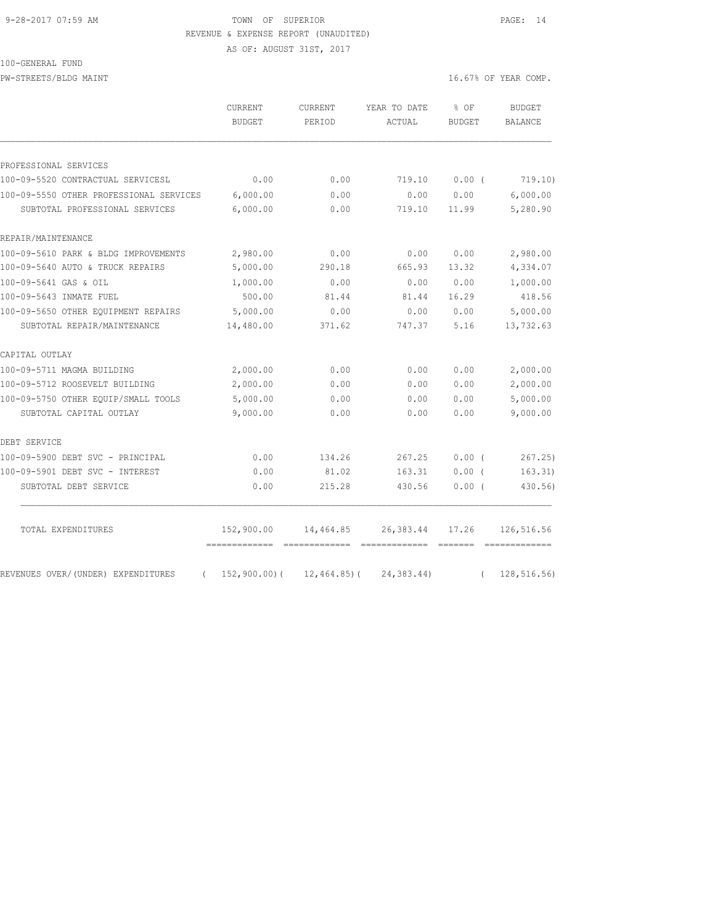#### 9-28-2017 07:59 AM TOWN OF SUPERIOR PAGE: 14 REVENUE & EXPENSE REPORT (UNAUDITED)

AS OF: AUGUST 31ST, 2017

100-GENERAL FUND

PW-STREETS/BLDG MAINT 16.67% OF YEAR COMP.

|                                                                           | <b>CURRENT</b><br><b>BUDGET</b>  | <b>CURRENT</b><br>PERIOD       | YEAR TO DATE<br>ACTUAL       | % OF<br><b>BUDGET</b> | <b>BUDGET</b><br>BALANCE     |
|---------------------------------------------------------------------------|----------------------------------|--------------------------------|------------------------------|-----------------------|------------------------------|
|                                                                           |                                  |                                |                              |                       |                              |
| PROFESSIONAL SERVICES                                                     |                                  |                                |                              |                       |                              |
| 100-09-5520 CONTRACTUAL SERVICESL                                         | 0.00                             | 0.00                           | 719.10                       | 0.00(                 | 719.10)                      |
| 100-09-5550 OTHER PROFESSIONAL SERVICES<br>SUBTOTAL PROFESSIONAL SERVICES | 6,000.00<br>6,000.00             | 0.00<br>0.00                   | 0.00<br>719.10               | 0.00<br>11.99         | 6,000.00<br>5,280.90         |
|                                                                           |                                  |                                |                              |                       |                              |
| REPAIR/MAINTENANCE                                                        |                                  |                                |                              |                       |                              |
| 100-09-5610 PARK & BLDG IMPROVEMENTS                                      | 2,980.00                         | 0.00                           | 0.00                         | 0.00                  | 2,980.00                     |
| 100-09-5640 AUTO & TRUCK REPAIRS                                          | 5,000.00                         | 290.18                         | 665.93                       | 13.32                 | 4,334.07                     |
| 100-09-5641 GAS & OIL                                                     | 1,000.00                         | 0.00                           | 0.00                         | 0.00                  | 1,000.00                     |
| 100-09-5643 INMATE FUEL                                                   | 500.00                           | 81.44                          | 81.44                        | 16.29                 | 418.56                       |
| 100-09-5650 OTHER EOUIPMENT REPAIRS                                       | 5,000.00                         | 0.00                           | 0.00                         | 0.00                  | 5,000.00                     |
| SUBTOTAL REPAIR/MAINTENANCE                                               | 14,480.00                        | 371.62                         | 747.37                       | 5.16                  | 13,732.63                    |
| CAPITAL OUTLAY                                                            |                                  |                                |                              |                       |                              |
| 100-09-5711 MAGMA BUILDING                                                | 2,000.00                         | 0.00                           | 0.00                         | 0.00                  | 2,000.00                     |
| 100-09-5712 ROOSEVELT BUILDING                                            | 2,000.00                         | 0.00                           | 0.00                         | 0.00                  | 2,000.00                     |
| 100-09-5750 OTHER EOUIP/SMALL TOOLS                                       | 5,000.00                         | 0.00                           | 0.00                         | 0.00                  | 5,000.00                     |
| SUBTOTAL CAPITAL OUTLAY                                                   | 9,000.00                         | 0.00                           | 0.00                         | 0.00                  | 9,000.00                     |
| DEBT SERVICE                                                              |                                  |                                |                              |                       |                              |
| 100-09-5900 DEBT SVC - PRINCIPAL                                          | 0.00                             | 134.26                         | 267.25                       | 0.00(                 | 267.25                       |
| 100-09-5901 DEBT SVC - INTEREST                                           | 0.00                             | 81.02                          | 163.31                       | $0.00$ (              | 163.31)                      |
| SUBTOTAL DEBT SERVICE                                                     | 0.00                             | 215.28                         | 430.56                       | 0.00(                 | 430.56)                      |
| TOTAL EXPENDITURES                                                        | 152,900.00                       | 14,464.85                      | 26,383.44                    | 17.26                 | 126,516.56                   |
| REVENUES OVER/(UNDER) EXPENDITURES                                        | =============<br>$152,900.00)$ ( | =============<br>$12,464.85$ ( | =============<br>24, 383.44) | =======               | =============<br>128,516.56) |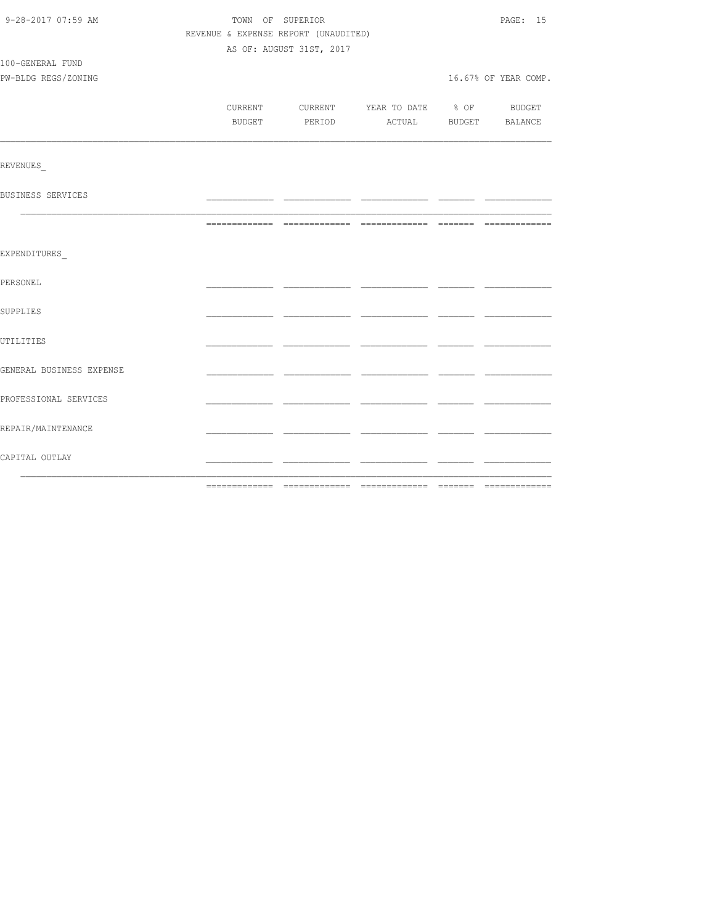| 9-28-2017 07:59 AM       |        | TOWN OF SUPERIOR                         |  | PAGE: 15              |
|--------------------------|--------|------------------------------------------|--|-----------------------|
|                          |        | REVENUE & EXPENSE REPORT (UNAUDITED)     |  |                       |
|                          |        | AS OF: AUGUST 31ST, 2017                 |  |                       |
| 100-GENERAL FUND         |        |                                          |  |                       |
| PW-BLDG REGS/ZONING      |        |                                          |  | 16.67% OF YEAR COMP.  |
|                          |        |                                          |  |                       |
|                          |        | CURRENT CURRENT YEAR TO DATE % OF BUDGET |  |                       |
|                          | BUDGET | PERIOD                                   |  | ACTUAL BUDGET BALANCE |
|                          |        |                                          |  |                       |
| <b>REVENUES</b>          |        |                                          |  |                       |
| BUSINESS SERVICES        |        |                                          |  |                       |
|                          |        |                                          |  |                       |
|                          |        |                                          |  |                       |
| EXPENDITURES             |        |                                          |  |                       |
| PERSONEL                 |        |                                          |  |                       |
| <b>SUPPLIES</b>          |        |                                          |  |                       |
| UTILITIES                |        |                                          |  |                       |
| GENERAL BUSINESS EXPENSE |        |                                          |  |                       |
| PROFESSIONAL SERVICES    |        |                                          |  |                       |
| REPAIR/MAINTENANCE       |        |                                          |  |                       |
| CAPITAL OUTLAY           |        |                                          |  |                       |
|                          |        |                                          |  |                       |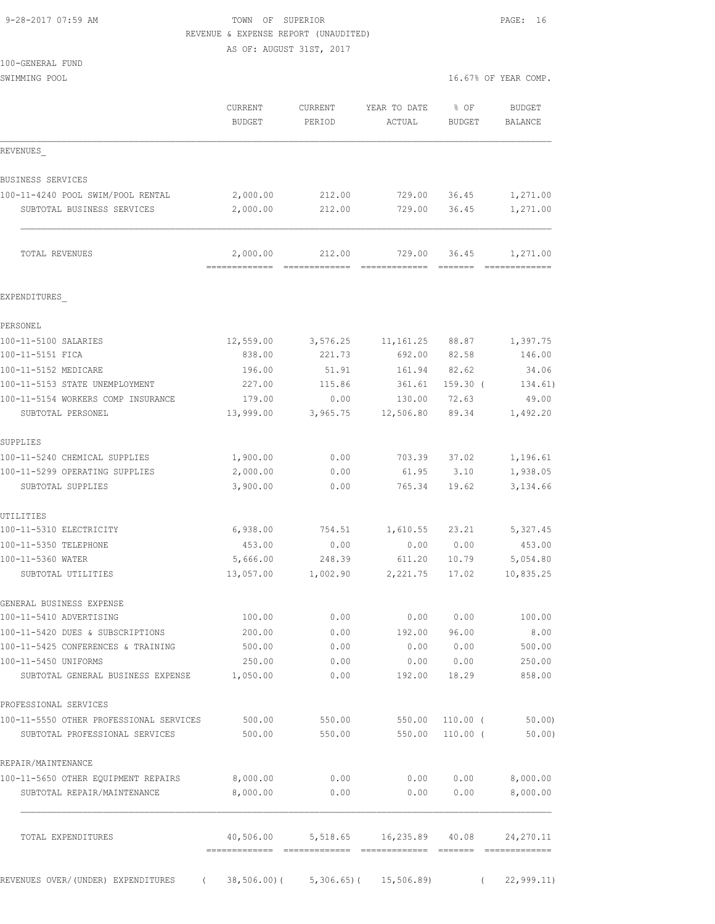# 9-28-2017 07:59 AM **TOWN** OF SUPERIOR **PAGE:** 16

| REVENUE & EXPENSE REPORT (UNAUDITED)<br>AS OF: AUGUST 31ST, 2017 |                           |                         |                         |                       |                           |
|------------------------------------------------------------------|---------------------------|-------------------------|-------------------------|-----------------------|---------------------------|
| 100-GENERAL FUND                                                 |                           |                         |                         |                       |                           |
| SWIMMING POOL                                                    |                           |                         |                         |                       | 16.67% OF YEAR COMP.      |
|                                                                  | CURRENT<br><b>BUDGET</b>  | CURRENT<br>PERIOD       | YEAR TO DATE<br>ACTUAL  | % OF<br><b>BUDGET</b> | BUDGET<br>BALANCE         |
| REVENUES                                                         |                           |                         |                         |                       |                           |
| BUSINESS SERVICES                                                |                           |                         |                         |                       |                           |
| 100-11-4240 POOL SWIM/POOL RENTAL                                | 2,000.00                  | 212.00                  | 729.00                  | 36.45                 | 1,271.00                  |
| SUBTOTAL BUSINESS SERVICES                                       | 2,000.00                  | 212.00                  | 729.00                  | 36.45                 | 1,271.00                  |
| TOTAL REVENUES                                                   | 2,000.00<br>============= | 212.00<br>============= | 729.00<br>============= | 36.45                 | 1,271.00<br>============= |
| EXPENDITURES                                                     |                           |                         |                         |                       |                           |
| PERSONEL                                                         |                           |                         |                         |                       |                           |
| 100-11-5100 SALARIES                                             | 12,559.00                 | 3,576.25                | 11, 161. 25 88. 87      |                       | 1,397.75                  |
| 100-11-5151 FICA                                                 | 838.00                    | 221.73                  |                         | 692.00 82.58          | 146.00                    |
| 100-11-5152 MEDICARE                                             | 196.00                    | 51.91                   |                         | 161.94 82.62          | 34.06                     |
| 100-11-5153 STATE UNEMPLOYMENT                                   | 227.00                    | 115.86                  | 361.61                  | $159.30$ (            | 134.61)                   |
| 100-11-5154 WORKERS COMP INSURANCE                               | 179.00                    | 0.00                    | 130.00                  | 72.63                 | 49.00                     |
| SUBTOTAL PERSONEL                                                | 13,999.00                 | 3,965.75                | 12,506.80               | 89.34                 | 1,492.20                  |
| SUPPLIES                                                         |                           |                         |                         |                       |                           |
| 100-11-5240 CHEMICAL SUPPLIES                                    | 1,900.00                  | 0.00                    | 703.39                  | 37.02                 | 1,196.61                  |
| 100-11-5299 OPERATING SUPPLIES                                   | 2,000.00                  | 0.00                    | 61.95                   | 3.10                  | 1,938.05                  |
| SUBTOTAL SUPPLIES                                                | 3,900.00                  | 0.00                    | 765.34                  | 19.62                 | 3,134.66                  |
| UTILITIES                                                        |                           |                         |                         |                       |                           |
| 100-11-5310 ELECTRICITY                                          | 6,938.00                  | 754.51                  | 1,610.55                | 23.21                 | 5,327.45                  |
| 100-11-5350 TELEPHONE                                            | 453.00                    | 0.00                    | 0.00                    | 0.00                  | 453.00                    |
| 100-11-5360 WATER                                                | 5,666.00                  | 248.39                  | 611.20                  | 10.79                 | 5,054.80                  |
| SUBTOTAL UTILITIES                                               | 13,057.00                 | 1,002.90                | 2,221.75                | 17.02                 | 10,835.25                 |
| GENERAL BUSINESS EXPENSE                                         |                           |                         |                         |                       |                           |
| 100-11-5410 ADVERTISING                                          | 100.00                    | 0.00                    | 0.00                    | 0.00                  | 100.00                    |
| 100-11-5420 DUES & SUBSCRIPTIONS                                 | 200.00                    | 0.00                    | 192.00                  | 96.00                 | 8.00                      |
| 100-11-5425 CONFERENCES & TRAINING                               | 500.00                    | 0.00                    | 0.00                    | 0.00                  | 500.00                    |
| 100-11-5450 UNIFORMS<br>SUBTOTAL GENERAL BUSINESS EXPENSE        | 250.00<br>1,050.00        | 0.00<br>0.00            | 0.00<br>192.00          | 0.00<br>18.29         | 250.00<br>858.00          |
| PROFESSIONAL SERVICES                                            |                           |                         |                         |                       |                           |
| 100-11-5550 OTHER PROFESSIONAL SERVICES                          | 500.00                    | 550.00                  | 550.00                  | $110.00$ (            | 50.00                     |
| SUBTOTAL PROFESSIONAL SERVICES                                   | 500.00                    | 550.00                  | 550.00                  | $110.00$ (            | 50.00)                    |
| REPAIR/MAINTENANCE                                               |                           |                         |                         |                       |                           |
| 100-11-5650 OTHER EQUIPMENT REPAIRS                              | 8,000.00                  | 0.00                    | 0.00                    | 0.00                  | 8,000.00                  |
| SUBTOTAL REPAIR/MAINTENANCE                                      | 8,000.00                  | 0.00                    | 0.00                    | 0.00                  | 8,000.00                  |

 $\mathcal{L}_\text{max}$  TOTAL EXPENDITURES 40,506.00 5,518.65 16,235.89 40.08 24,270.11 ============= ============= ============= ======= =============

|  | REVENUES OVER/(UNDER) EXPENDITURES |
|--|------------------------------------|

 $(38,506.00)$   $(5,306.65)$   $(15,506.89)$   $(22,999.11)$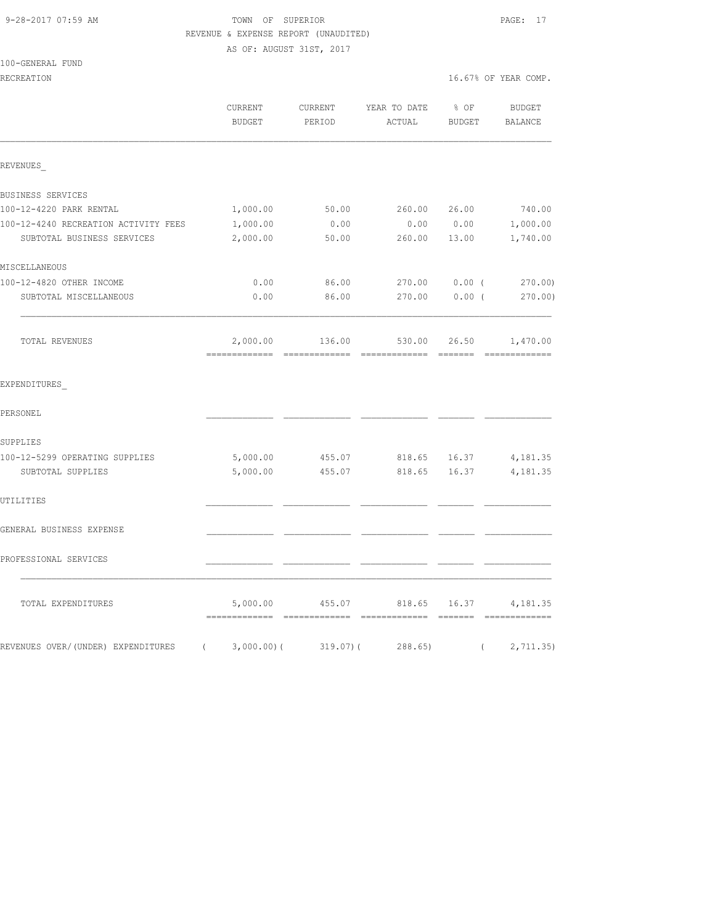## 9-28-2017 07:59 AM **TOWN** OF SUPERIOR **PAGE:** 17 REVENUE & EXPENSE REPORT (UNAUDITED) AS OF: AUGUST 31ST, 2017

100-GENERAL FUND

|                                                | CURRENT<br>BUDGET         | CURRENT<br>PERIOD | YEAR TO DATE<br>ACTUAL               | $8$ OF<br>BUDGET | BUDGET<br>BALANCE |
|------------------------------------------------|---------------------------|-------------------|--------------------------------------|------------------|-------------------|
| REVENUES                                       |                           |                   |                                      |                  |                   |
| BUSINESS SERVICES                              |                           |                   |                                      |                  |                   |
| 100-12-4220 PARK RENTAL                        | 1,000.00                  | 50.00             | 260.00                               | 26.00            | 740.00            |
| 100-12-4240 RECREATION ACTIVITY FEES           | 1,000.00                  | 0.00              | 0.00                                 | 0.00             | 1,000.00          |
| SUBTOTAL BUSINESS SERVICES                     | 2,000.00                  | 50.00             | 260.00                               | 13.00            | 1,740.00          |
| MISCELLANEOUS                                  |                           |                   |                                      |                  |                   |
| 100-12-4820 OTHER INCOME                       | 0.00                      | 86.00             | 270.00                               | 0.00(            | 270.00            |
| SUBTOTAL MISCELLANEOUS                         | 0.00                      | 86.00             | 270.00                               | 0.00(            | $270.00$ )        |
| TOTAL REVENUES                                 | 2,000.00<br>------------- |                   | 136.00 530.00 26.50<br>============= | =======          | 1,470.00          |
| EXPENDITURES                                   |                           |                   |                                      |                  |                   |
| PERSONEL                                       |                           |                   |                                      |                  |                   |
| SUPPLIES                                       |                           |                   |                                      |                  |                   |
| 100-12-5299 OPERATING SUPPLIES                 | 5,000.00                  | 455.07            | 818.65                               | 16.37            | 4,181.35          |
| SUBTOTAL SUPPLIES                              | 5,000.00                  | 455.07            | 818.65                               | 16.37            | 4,181.35          |
| UTILITIES                                      |                           |                   |                                      |                  |                   |
| GENERAL BUSINESS EXPENSE                       |                           |                   |                                      |                  |                   |
| PROFESSIONAL SERVICES                          |                           |                   |                                      |                  |                   |
| TOTAL EXPENDITURES                             | 5,000.00                  |                   | 4,181.35 4,181.35                    |                  |                   |
| REVENUES OVER/(UNDER) EXPENDITURES (3,000.00)( |                           |                   | 319.07)(288.65)                      |                  | (2, 711.35)       |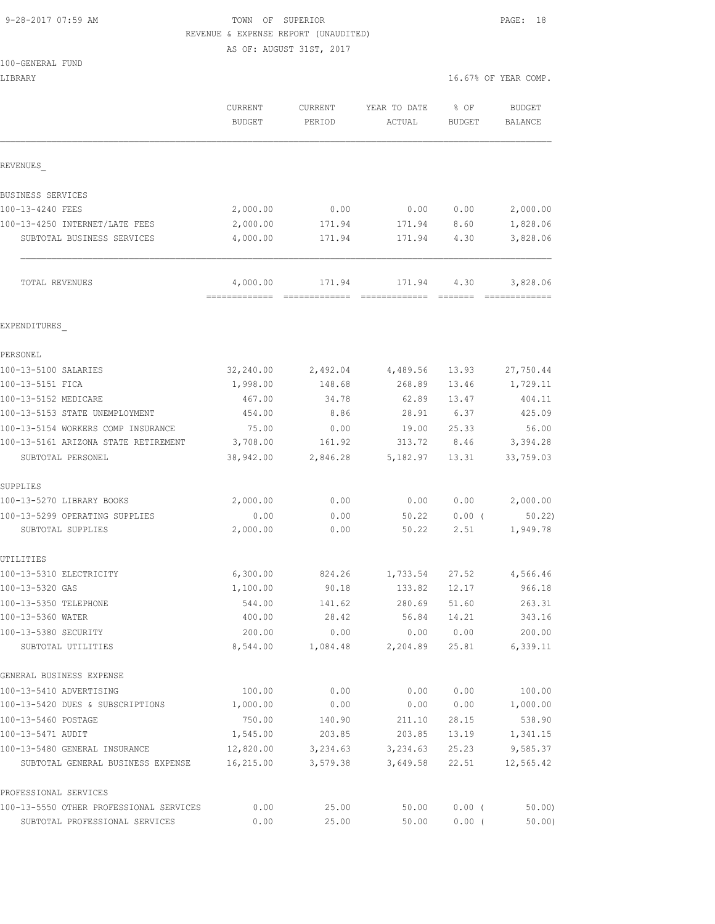# 9-28-2017 07:59 AM TOWN OF SUPERIOR PAGE: 18 REVENUE & EXPENSE REPORT (UNAUDITED)

AS OF: AUGUST 31ST, 2017

|  | 100-GENERAL FUND |  |
|--|------------------|--|
|  |                  |  |

| LIBRARY                                             |                          |                   |                        | 16.67% OF YEAR COMP.  |                          |
|-----------------------------------------------------|--------------------------|-------------------|------------------------|-----------------------|--------------------------|
|                                                     | CURRENT<br><b>BUDGET</b> | CURRENT<br>PERIOD | YEAR TO DATE<br>ACTUAL | % OF<br><b>BUDGET</b> | <b>BUDGET</b><br>BALANCE |
| REVENUES                                            |                          |                   |                        |                       |                          |
| BUSINESS SERVICES                                   |                          |                   |                        |                       |                          |
| 100-13-4240 FEES                                    | 2,000.00                 | 0.00              | 0.00                   | 0.00                  | 2,000.00                 |
| 100-13-4250 INTERNET/LATE FEES                      | 2,000.00                 | 171.94            | 171.94                 | 8.60                  | 1,828.06                 |
| SUBTOTAL BUSINESS SERVICES                          | 4,000.00                 | 171.94            | 171.94                 | 4.30                  | 3,828.06                 |
| TOTAL REVENUES                                      | 4,000.00                 | 171.94            | 171.94                 | 4.30                  | 3,828.06                 |
| EXPENDITURES                                        |                          |                   |                        |                       |                          |
| PERSONEL                                            |                          |                   |                        |                       |                          |
| 100-13-5100 SALARIES                                | 32,240.00                |                   | 2,492.04 4,489.56      | 13.93                 | 27,750.44                |
| 100-13-5151 FICA                                    | 1,998.00                 | 148.68            | 268.89                 | 13.46                 | 1,729.11                 |
| 100-13-5152 MEDICARE                                | 467.00                   | 34.78             | 62.89                  | 13.47                 | 404.11                   |
| 100-13-5153 STATE UNEMPLOYMENT                      | 454.00                   | 8.86              | 28.91                  | 6.37                  | 425.09                   |
| 100-13-5154 WORKERS COMP INSURANCE                  | 75.00                    | 0.00              | 19.00                  | 25.33                 | 56.00                    |
| 100-13-5161 ARIZONA STATE RETIREMENT                | 3,708.00                 | 161.92            | 313.72                 | 8.46                  | 3,394.28                 |
| SUBTOTAL PERSONEL                                   | 38,942.00                | 2,846.28          | 5,182.97               | 13.31                 | 33,759.03                |
| SUPPLIES                                            |                          |                   |                        |                       |                          |
| 100-13-5270 LIBRARY BOOKS                           | 2,000.00                 | 0.00              | 0.00                   | 0.00                  | 2,000.00                 |
| 100-13-5299 OPERATING SUPPLIES<br>SUBTOTAL SUPPLIES | 0.00<br>2,000.00         | 0.00<br>0.00      | 50.22<br>50.22         | $0.00$ (<br>2.51      | 50.22<br>1,949.78        |
| UTILITIES                                           |                          |                   |                        |                       |                          |
| 100-13-5310 ELECTRICITY                             | 6,300.00                 | 824.26            |                        | 1,733.54 27.52        | 4,566.46                 |
| 100-13-5320 GAS                                     | 1,100.00                 | 90.18             | 133.82 12.17           |                       | 966.18                   |
| 100-13-5350 TELEPHONE                               | 544.00                   | 141.62            | 280.69                 | 51.60                 | 263.31                   |
| 100-13-5360 WATER                                   | 400.00                   | 28.42             | 56.84                  | 14.21                 | 343.16                   |
| 100-13-5380 SECURITY                                | 200.00                   | 0.00              | 0.00                   | 0.00                  | 200.00                   |
| SUBTOTAL UTILITIES                                  | 8,544.00                 | 1,084.48          | 2,204.89               | 25.81                 | 6,339.11                 |
| GENERAL BUSINESS EXPENSE                            |                          |                   |                        |                       |                          |
| 100-13-5410 ADVERTISING                             | 100.00                   | 0.00              | 0.00                   | 0.00                  | 100.00                   |
| 100-13-5420 DUES & SUBSCRIPTIONS                    | 1,000.00                 | 0.00              | 0.00                   | 0.00                  | 1,000.00                 |
| 100-13-5460 POSTAGE                                 | 750.00                   | 140.90            | 211.10                 | 28.15                 | 538.90                   |
| 100-13-5471 AUDIT                                   | 1,545.00                 | 203.85            | 203.85                 | 13.19                 | 1,341.15                 |
| 100-13-5480 GENERAL INSURANCE                       | 12,820.00                | 3,234.63          | 3,234.63               | 25.23                 | 9,585.37                 |
| SUBTOTAL GENERAL BUSINESS EXPENSE                   | 16,215.00                | 3,579.38          | 3,649.58               | 22.51                 | 12,565.42                |
| PROFESSIONAL SERVICES                               |                          |                   |                        |                       |                          |
| 100-13-5550 OTHER PROFESSIONAL SERVICES             | 0.00                     | 25.00             | 50.00                  | $0.00$ (              | 50.00                    |

SUBTOTAL PROFESSIONAL SERVICES 0.00 25.00 50.00 0.00 ( 50.00)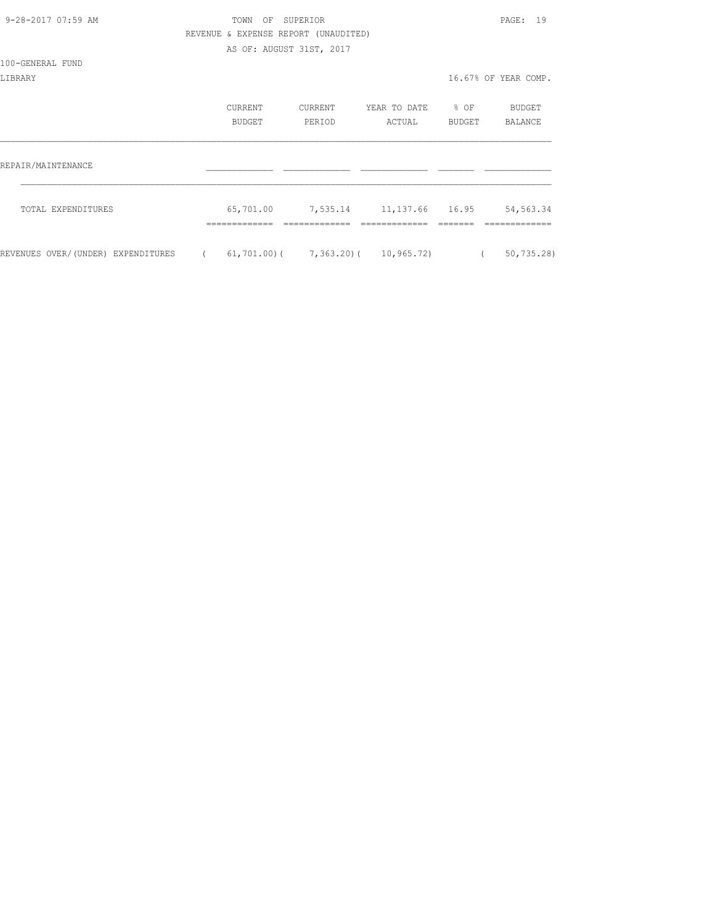| 9-28-2017 07:59 AM                 |            | TOWN                     | OF SUPERIOR                          |                                             |                  | PAGE: 19             |
|------------------------------------|------------|--------------------------|--------------------------------------|---------------------------------------------|------------------|----------------------|
|                                    |            |                          | REVENUE & EXPENSE REPORT (UNAUDITED) |                                             |                  |                      |
|                                    |            | AS OF: AUGUST 31ST, 2017 |                                      |                                             |                  |                      |
| 100-GENERAL FUND                   |            |                          |                                      |                                             |                  |                      |
| LIBRARY                            |            |                          |                                      |                                             |                  | 16.67% OF YEAR COMP. |
|                                    |            | CURRENT                  | CURRENT                              | YEAR TO DATE                                | $\frac{1}{2}$ OF | BUDGET               |
|                                    |            | BUDGET                   | PERIOD                               | ACTUAL                                      | BUDGET           | BALANCE              |
| REPAIR/MAINTENANCE                 |            |                          |                                      |                                             |                  |                      |
| TOTAL EXPENDITURES                 |            | 65,701.00                |                                      | 7,535.14 11,137.66 16.95                    |                  | 54, 563.34           |
|                                    |            |                          |                                      |                                             |                  |                      |
| REVENUES OVER/(UNDER) EXPENDITURES | $\sqrt{2}$ |                          |                                      | $61, 701.00$ ( $7, 363.20$ ( $10, 965.72$ ) | $\left($         | 50, 735.28           |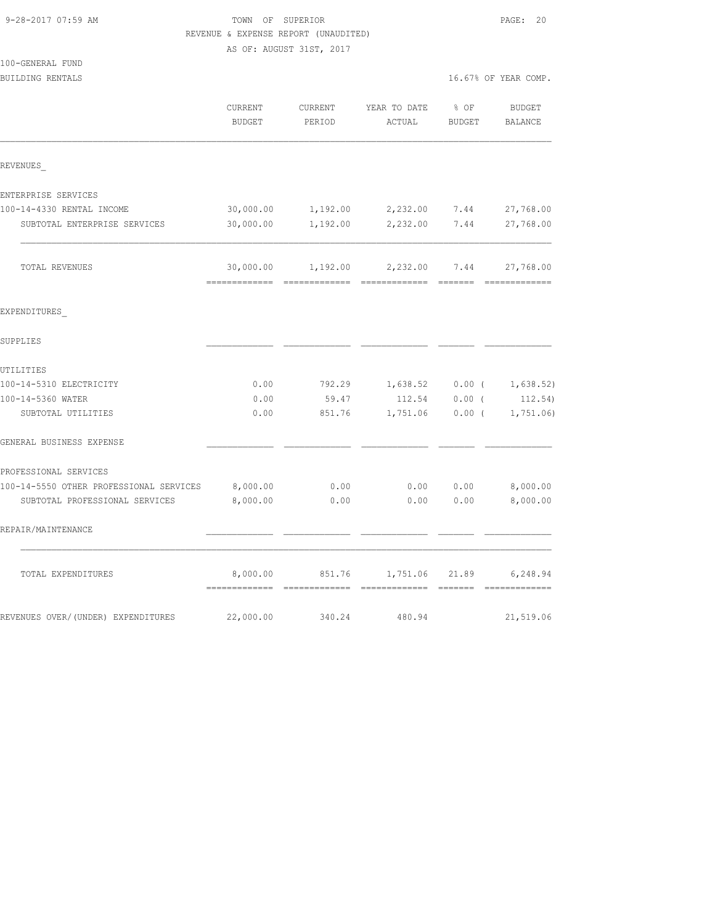|                                         |               | REVENUE & EXPENSE REPORT (UNAUDITED) |                                           |                   |                      |
|-----------------------------------------|---------------|--------------------------------------|-------------------------------------------|-------------------|----------------------|
|                                         |               | AS OF: AUGUST 31ST, 2017             |                                           |                   |                      |
| 100-GENERAL FUND                        |               |                                      |                                           |                   |                      |
| BUILDING RENTALS                        |               |                                      |                                           |                   | 16.67% OF YEAR COMP. |
|                                         | CURRENT       | CURRENT                              | YEAR TO DATE                              | $8$ OF            | BUDGET               |
|                                         | <b>BUDGET</b> | PERIOD                               | ACTUAL                                    | BUDGET            | BALANCE              |
| REVENUES                                |               |                                      |                                           |                   |                      |
| ENTERPRISE SERVICES                     |               |                                      |                                           |                   |                      |
| 100-14-4330 RENTAL INCOME               | 30,000.00     | 1,192.00                             | 2,232.00 7.44                             |                   | 27,768.00            |
| SUBTOTAL ENTERPRISE SERVICES            | 30,000.00     | 1,192.00                             | 2,232.00                                  | 7.44              | 27,768.00            |
| TOTAL REVENUES                          |               |                                      | 30,000.00    1,192.00    2,232.00    7.44 |                   | 27,768.00            |
| EXPENDITURES                            |               |                                      |                                           |                   |                      |
| SUPPLIES                                |               |                                      |                                           |                   |                      |
| UTILITIES                               |               |                                      |                                           |                   |                      |
| 100-14-5310 ELECTRICITY                 | 0.00          | 792.29                               | 1,638.52                                  | $0.00$ (          | 1,638.52)            |
| 100-14-5360 WATER                       | 0.00          | 59.47                                | 112.54                                    | $0.00$ (          | 112.54)              |
| SUBTOTAL UTILITIES                      | 0.00          | 851.76                               |                                           | $1,751.06$ 0.00 ( | 1,751.06             |
| GENERAL BUSINESS EXPENSE                |               |                                      |                                           |                   |                      |
| PROFESSIONAL SERVICES                   |               |                                      |                                           |                   |                      |
| 100-14-5550 OTHER PROFESSIONAL SERVICES | 8,000.00      | 0.00                                 | 0.00                                      | 0.00              | 8,000.00             |
| SUBTOTAL PROFESSIONAL SERVICES          | 8,000.00      | 0.00                                 | 0.00                                      | 0.00              | 8,000.00             |
| REPAIR/MAINTENANCE                      |               |                                      |                                           |                   |                      |
| TOTAL EXPENDITURES                      | 8,000.00      | 851.76                               | 1,751.06                                  | 21.89             | 6,248.94             |
| REVENUES OVER/(UNDER) EXPENDITURES      | 22,000.00     | 340.24                               | 480.94                                    |                   | 21,519.06            |

9-28-2017 07:59 AM TOWN OF SUPERIOR PAGE: 20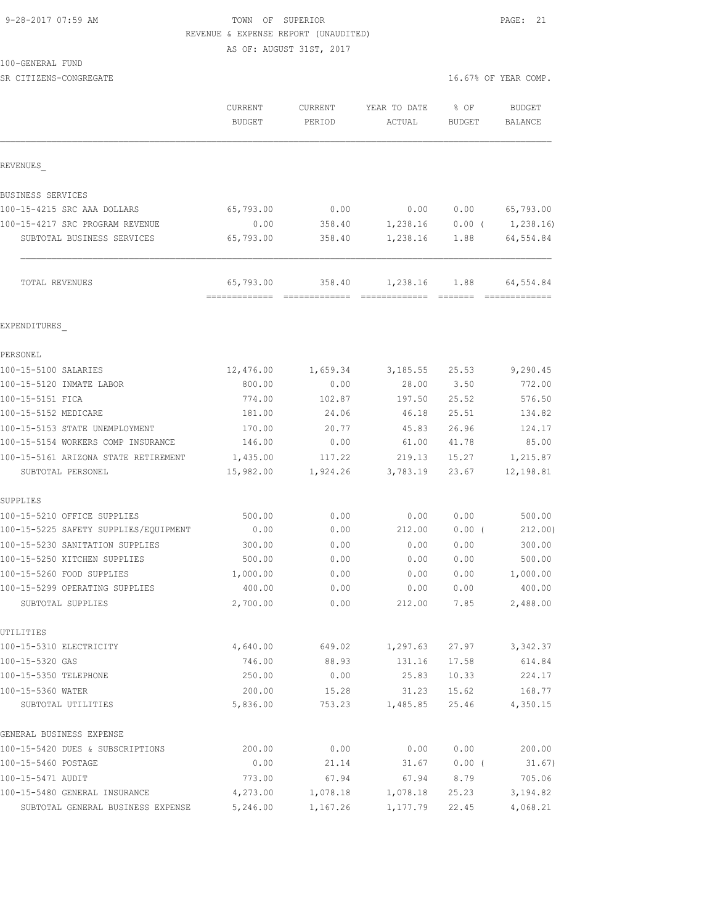#### 9-28-2017 07:59 AM TOWN OF SUPERIOR PAGE: 21 REVENUE & EXPENSE REPORT (UNAUDITED)

AS OF: AUGUST 31ST, 2017

100-GENERAL FUND

SR CITIZENS-CONGREGATE **16.67%** OF YEAR COMP.

| REVENUES<br>BUSINESS SERVICES<br>100-15-4215 SRC AAA DOLLARS<br>65,793.00<br>0.00<br>0.00<br>0.00<br>0.00<br>1,238.16<br>100-15-4217 SRC PROGRAM REVENUE<br>358.40<br>0.00(<br>65,793.00<br>358.40<br>1,238.16<br>SUBTOTAL BUSINESS SERVICES<br>1.88<br>65,793.00<br>TOTAL REVENUES<br>358.40<br>1,238.16<br>1.88<br>EXPENDITURES<br>PERSONEL<br>100-15-5100 SALARIES<br>12,476.00<br>3,185.55<br>25.53<br>1,659.34<br>100-15-5120 INMATE LABOR<br>800.00<br>0.00<br>28.00<br>3.50<br>100-15-5151 FICA<br>774.00<br>102.87<br>197.50<br>25.52<br>100-15-5152 MEDICARE<br>181.00<br>25.51<br>24.06<br>46.18<br>100-15-5153 STATE UNEMPLOYMENT<br>170.00<br>20.77<br>45.83<br>26.96<br>100-15-5154 WORKERS COMP INSURANCE<br>146.00<br>0.00<br>41.78<br>61.00<br>100-15-5161 ARIZONA STATE RETIREMENT<br>1,435.00<br>219.13<br>15.27<br>117.22<br>15,982.00<br>1,924.26<br>3,783.19<br>SUBTOTAL PERSONEL<br>23.67<br>SUPPLIES<br>100-15-5210 OFFICE SUPPLIES<br>500.00<br>0.00<br>0.00<br>0.00<br>0.00<br>0.00<br>212.00<br>$0.00$ (<br>100-15-5225 SAFETY SUPPLIES/EQUIPMENT<br>0.00<br>100-15-5230 SANITATION SUPPLIES<br>300.00<br>0.00<br>0.00<br>0.00<br>0.00<br>100-15-5250 KITCHEN SUPPLIES<br>500.00<br>0.00<br>100-15-5260 FOOD SUPPLIES<br>1,000.00<br>0.00<br>0.00<br>0.00<br>100-15-5299 OPERATING SUPPLIES<br>400.00<br>0.00<br>0.00<br>0.00<br>2,700.00<br>0.00<br>212.00<br>SUBTOTAL SUPPLIES<br>7.85<br>UTILITIES<br>100-15-5310 ELECTRICITY<br>4,640.00<br>649.02<br>1,297.63<br>27.97<br>100-15-5320 GAS<br>746.00<br>88.93<br>17.58<br>131.16<br>100-15-5350 TELEPHONE<br>250.00<br>25.83<br>10.33<br>0.00<br>100-15-5360 WATER<br>200.00<br>31.23<br>15.62<br>15.28<br>1,485.85<br>SUBTOTAL UTILITIES<br>5,836.00<br>753.23<br>25.46<br>GENERAL BUSINESS EXPENSE<br>0.00<br>200.00<br>0.00<br>0.00 | <b>BUDGET</b><br><b>BALANCE</b> |
|----------------------------------------------------------------------------------------------------------------------------------------------------------------------------------------------------------------------------------------------------------------------------------------------------------------------------------------------------------------------------------------------------------------------------------------------------------------------------------------------------------------------------------------------------------------------------------------------------------------------------------------------------------------------------------------------------------------------------------------------------------------------------------------------------------------------------------------------------------------------------------------------------------------------------------------------------------------------------------------------------------------------------------------------------------------------------------------------------------------------------------------------------------------------------------------------------------------------------------------------------------------------------------------------------------------------------------------------------------------------------------------------------------------------------------------------------------------------------------------------------------------------------------------------------------------------------------------------------------------------------------------------------------------------------------------------------------------------------------------------------------------------------------------------------------------------|---------------------------------|
|                                                                                                                                                                                                                                                                                                                                                                                                                                                                                                                                                                                                                                                                                                                                                                                                                                                                                                                                                                                                                                                                                                                                                                                                                                                                                                                                                                                                                                                                                                                                                                                                                                                                                                                                                                                                                      |                                 |
|                                                                                                                                                                                                                                                                                                                                                                                                                                                                                                                                                                                                                                                                                                                                                                                                                                                                                                                                                                                                                                                                                                                                                                                                                                                                                                                                                                                                                                                                                                                                                                                                                                                                                                                                                                                                                      |                                 |
|                                                                                                                                                                                                                                                                                                                                                                                                                                                                                                                                                                                                                                                                                                                                                                                                                                                                                                                                                                                                                                                                                                                                                                                                                                                                                                                                                                                                                                                                                                                                                                                                                                                                                                                                                                                                                      | 65,793.00                       |
|                                                                                                                                                                                                                                                                                                                                                                                                                                                                                                                                                                                                                                                                                                                                                                                                                                                                                                                                                                                                                                                                                                                                                                                                                                                                                                                                                                                                                                                                                                                                                                                                                                                                                                                                                                                                                      | 1,238.16)                       |
|                                                                                                                                                                                                                                                                                                                                                                                                                                                                                                                                                                                                                                                                                                                                                                                                                                                                                                                                                                                                                                                                                                                                                                                                                                                                                                                                                                                                                                                                                                                                                                                                                                                                                                                                                                                                                      | 64,554.84                       |
|                                                                                                                                                                                                                                                                                                                                                                                                                                                                                                                                                                                                                                                                                                                                                                                                                                                                                                                                                                                                                                                                                                                                                                                                                                                                                                                                                                                                                                                                                                                                                                                                                                                                                                                                                                                                                      | 64,554.84                       |
|                                                                                                                                                                                                                                                                                                                                                                                                                                                                                                                                                                                                                                                                                                                                                                                                                                                                                                                                                                                                                                                                                                                                                                                                                                                                                                                                                                                                                                                                                                                                                                                                                                                                                                                                                                                                                      |                                 |
|                                                                                                                                                                                                                                                                                                                                                                                                                                                                                                                                                                                                                                                                                                                                                                                                                                                                                                                                                                                                                                                                                                                                                                                                                                                                                                                                                                                                                                                                                                                                                                                                                                                                                                                                                                                                                      |                                 |
|                                                                                                                                                                                                                                                                                                                                                                                                                                                                                                                                                                                                                                                                                                                                                                                                                                                                                                                                                                                                                                                                                                                                                                                                                                                                                                                                                                                                                                                                                                                                                                                                                                                                                                                                                                                                                      | 9,290.45                        |
|                                                                                                                                                                                                                                                                                                                                                                                                                                                                                                                                                                                                                                                                                                                                                                                                                                                                                                                                                                                                                                                                                                                                                                                                                                                                                                                                                                                                                                                                                                                                                                                                                                                                                                                                                                                                                      | 772.00                          |
|                                                                                                                                                                                                                                                                                                                                                                                                                                                                                                                                                                                                                                                                                                                                                                                                                                                                                                                                                                                                                                                                                                                                                                                                                                                                                                                                                                                                                                                                                                                                                                                                                                                                                                                                                                                                                      | 576.50                          |
|                                                                                                                                                                                                                                                                                                                                                                                                                                                                                                                                                                                                                                                                                                                                                                                                                                                                                                                                                                                                                                                                                                                                                                                                                                                                                                                                                                                                                                                                                                                                                                                                                                                                                                                                                                                                                      | 134.82                          |
|                                                                                                                                                                                                                                                                                                                                                                                                                                                                                                                                                                                                                                                                                                                                                                                                                                                                                                                                                                                                                                                                                                                                                                                                                                                                                                                                                                                                                                                                                                                                                                                                                                                                                                                                                                                                                      | 124.17                          |
|                                                                                                                                                                                                                                                                                                                                                                                                                                                                                                                                                                                                                                                                                                                                                                                                                                                                                                                                                                                                                                                                                                                                                                                                                                                                                                                                                                                                                                                                                                                                                                                                                                                                                                                                                                                                                      | 85.00                           |
|                                                                                                                                                                                                                                                                                                                                                                                                                                                                                                                                                                                                                                                                                                                                                                                                                                                                                                                                                                                                                                                                                                                                                                                                                                                                                                                                                                                                                                                                                                                                                                                                                                                                                                                                                                                                                      | 1,215.87                        |
|                                                                                                                                                                                                                                                                                                                                                                                                                                                                                                                                                                                                                                                                                                                                                                                                                                                                                                                                                                                                                                                                                                                                                                                                                                                                                                                                                                                                                                                                                                                                                                                                                                                                                                                                                                                                                      | 12,198.81                       |
|                                                                                                                                                                                                                                                                                                                                                                                                                                                                                                                                                                                                                                                                                                                                                                                                                                                                                                                                                                                                                                                                                                                                                                                                                                                                                                                                                                                                                                                                                                                                                                                                                                                                                                                                                                                                                      |                                 |
|                                                                                                                                                                                                                                                                                                                                                                                                                                                                                                                                                                                                                                                                                                                                                                                                                                                                                                                                                                                                                                                                                                                                                                                                                                                                                                                                                                                                                                                                                                                                                                                                                                                                                                                                                                                                                      | 500.00                          |
|                                                                                                                                                                                                                                                                                                                                                                                                                                                                                                                                                                                                                                                                                                                                                                                                                                                                                                                                                                                                                                                                                                                                                                                                                                                                                                                                                                                                                                                                                                                                                                                                                                                                                                                                                                                                                      | 212.00)                         |
|                                                                                                                                                                                                                                                                                                                                                                                                                                                                                                                                                                                                                                                                                                                                                                                                                                                                                                                                                                                                                                                                                                                                                                                                                                                                                                                                                                                                                                                                                                                                                                                                                                                                                                                                                                                                                      | 300.00                          |
|                                                                                                                                                                                                                                                                                                                                                                                                                                                                                                                                                                                                                                                                                                                                                                                                                                                                                                                                                                                                                                                                                                                                                                                                                                                                                                                                                                                                                                                                                                                                                                                                                                                                                                                                                                                                                      | 500.00                          |
|                                                                                                                                                                                                                                                                                                                                                                                                                                                                                                                                                                                                                                                                                                                                                                                                                                                                                                                                                                                                                                                                                                                                                                                                                                                                                                                                                                                                                                                                                                                                                                                                                                                                                                                                                                                                                      | 1,000.00                        |
|                                                                                                                                                                                                                                                                                                                                                                                                                                                                                                                                                                                                                                                                                                                                                                                                                                                                                                                                                                                                                                                                                                                                                                                                                                                                                                                                                                                                                                                                                                                                                                                                                                                                                                                                                                                                                      | 400.00                          |
|                                                                                                                                                                                                                                                                                                                                                                                                                                                                                                                                                                                                                                                                                                                                                                                                                                                                                                                                                                                                                                                                                                                                                                                                                                                                                                                                                                                                                                                                                                                                                                                                                                                                                                                                                                                                                      | 2,488.00                        |
|                                                                                                                                                                                                                                                                                                                                                                                                                                                                                                                                                                                                                                                                                                                                                                                                                                                                                                                                                                                                                                                                                                                                                                                                                                                                                                                                                                                                                                                                                                                                                                                                                                                                                                                                                                                                                      |                                 |
|                                                                                                                                                                                                                                                                                                                                                                                                                                                                                                                                                                                                                                                                                                                                                                                                                                                                                                                                                                                                                                                                                                                                                                                                                                                                                                                                                                                                                                                                                                                                                                                                                                                                                                                                                                                                                      | 3,342.37                        |
|                                                                                                                                                                                                                                                                                                                                                                                                                                                                                                                                                                                                                                                                                                                                                                                                                                                                                                                                                                                                                                                                                                                                                                                                                                                                                                                                                                                                                                                                                                                                                                                                                                                                                                                                                                                                                      | 614.84                          |
|                                                                                                                                                                                                                                                                                                                                                                                                                                                                                                                                                                                                                                                                                                                                                                                                                                                                                                                                                                                                                                                                                                                                                                                                                                                                                                                                                                                                                                                                                                                                                                                                                                                                                                                                                                                                                      | 224.17                          |
|                                                                                                                                                                                                                                                                                                                                                                                                                                                                                                                                                                                                                                                                                                                                                                                                                                                                                                                                                                                                                                                                                                                                                                                                                                                                                                                                                                                                                                                                                                                                                                                                                                                                                                                                                                                                                      | 168.77<br>4,350.15              |
| 100-15-5420 DUES & SUBSCRIPTIONS                                                                                                                                                                                                                                                                                                                                                                                                                                                                                                                                                                                                                                                                                                                                                                                                                                                                                                                                                                                                                                                                                                                                                                                                                                                                                                                                                                                                                                                                                                                                                                                                                                                                                                                                                                                     |                                 |
|                                                                                                                                                                                                                                                                                                                                                                                                                                                                                                                                                                                                                                                                                                                                                                                                                                                                                                                                                                                                                                                                                                                                                                                                                                                                                                                                                                                                                                                                                                                                                                                                                                                                                                                                                                                                                      | 200.00                          |
| 100-15-5460 POSTAGE<br>0.00<br>21.14<br>31.67<br>0.00(                                                                                                                                                                                                                                                                                                                                                                                                                                                                                                                                                                                                                                                                                                                                                                                                                                                                                                                                                                                                                                                                                                                                                                                                                                                                                                                                                                                                                                                                                                                                                                                                                                                                                                                                                               | 31.67)                          |
| 100-15-5471 AUDIT<br>773.00<br>67.94<br>8.79<br>67.94                                                                                                                                                                                                                                                                                                                                                                                                                                                                                                                                                                                                                                                                                                                                                                                                                                                                                                                                                                                                                                                                                                                                                                                                                                                                                                                                                                                                                                                                                                                                                                                                                                                                                                                                                                | 705.06                          |
| 100-15-5480 GENERAL INSURANCE<br>4,273.00<br>1,078.18<br>1,078.18<br>25.23                                                                                                                                                                                                                                                                                                                                                                                                                                                                                                                                                                                                                                                                                                                                                                                                                                                                                                                                                                                                                                                                                                                                                                                                                                                                                                                                                                                                                                                                                                                                                                                                                                                                                                                                           | 3,194.82                        |
| 5,246.00<br>SUBTOTAL GENERAL BUSINESS EXPENSE<br>1,167.26<br>1,177.79<br>22.45                                                                                                                                                                                                                                                                                                                                                                                                                                                                                                                                                                                                                                                                                                                                                                                                                                                                                                                                                                                                                                                                                                                                                                                                                                                                                                                                                                                                                                                                                                                                                                                                                                                                                                                                       | 4,068.21                        |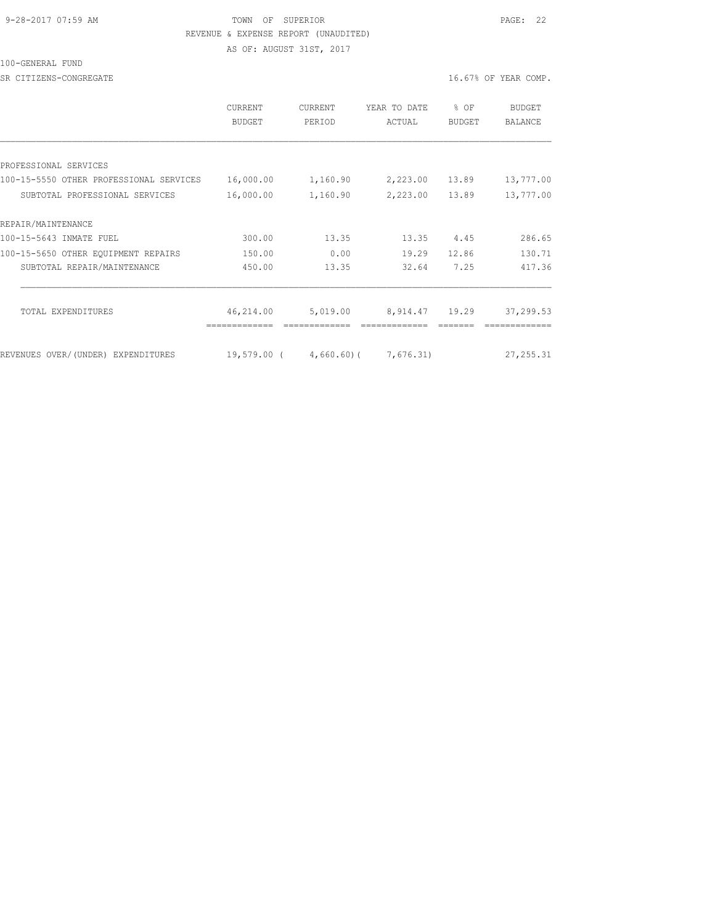#### 9-28-2017 07:59 AM TOWN OF SUPERIOR PAGE: 22 REVENUE & EXPENSE REPORT (UNAUDITED)

AS OF: AUGUST 31ST, 2017

100-GENERAL FUND

SR CITIZENS-CONGREGATE **16.67%** OF YEAR COMP.

|                                         | CURRENT<br><b>BUDGET</b> | CURRENT<br>PERIOD | YEAR TO DATE<br>ACTUAL | % OF<br><b>BUDGET</b> | BUDGET<br><b>BALANCE</b> |
|-----------------------------------------|--------------------------|-------------------|------------------------|-----------------------|--------------------------|
|                                         |                          |                   |                        |                       |                          |
| PROFESSIONAL SERVICES                   |                          |                   |                        |                       |                          |
| 100-15-5550 OTHER PROFESSIONAL SERVICES | 16,000.00                | 1,160.90          | 2,223.00               | 13.89                 | 13,777.00                |
| SUBTOTAL PROFESSIONAL SERVICES          | 16,000.00                | 1,160.90          | 2,223.00               | 13.89                 | 13,777.00                |
| REPAIR/MAINTENANCE                      |                          |                   |                        |                       |                          |
| 100-15-5643 INMATE FUEL                 | 300.00                   | 13.35             | 13.35                  | 4.45                  | 286.65                   |
| 100-15-5650 OTHER EQUIPMENT REPAIRS     | 150.00                   | 0.00              | 19.29                  | 12.86                 | 130.71                   |
| SUBTOTAL REPAIR/MAINTENANCE             | 450.00                   | 13.35             | 32.64                  | 7.25                  | 417.36                   |
| TOTAL EXPENDITURES                      | 46,214.00                | 5,019.00          | 8,914.47               | 19.29                 | 37,299.53                |
|                                         |                          |                   |                        |                       |                          |
| REVENUES OVER/(UNDER) EXPENDITURES      | 19,579.00                | $4,660.60$ (      | 7,676.31)              |                       | 27, 255.31               |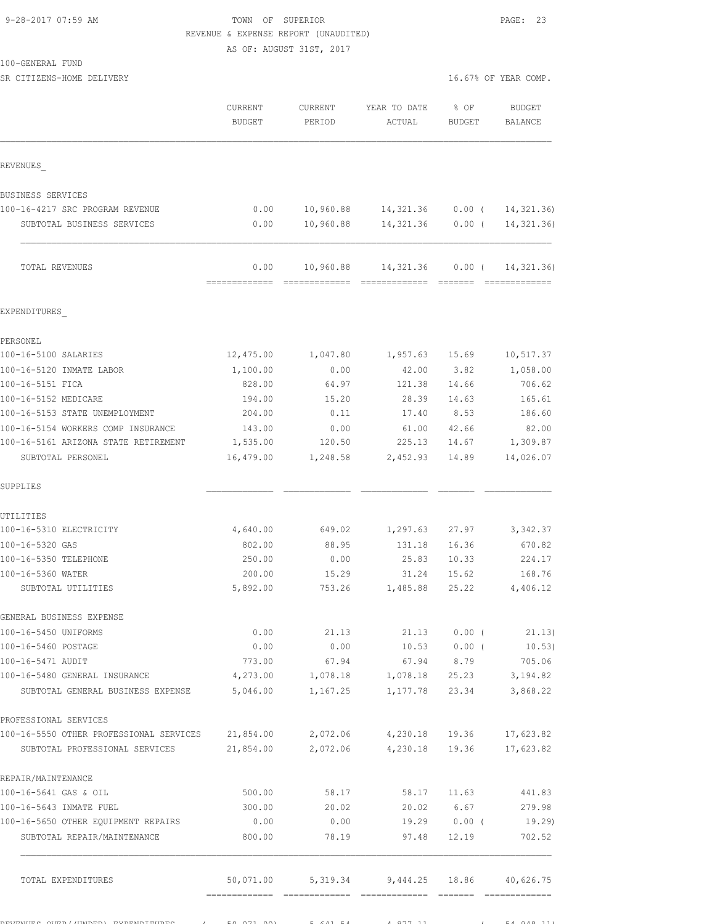## 9-28-2017 07:59 AM TOWN OF SUPERIOR PAGE: 23 REVENUE & EXPENSE REPORT (UNAUDITED)

AS OF: AUGUST 31ST, 2017

100-GENERAL FUND

SR CITIZENS-HOME DELIVERY 3.16.67% OF YEAR COMP.

|                                                                                     | CURRENT<br><b>BUDGET</b> | CURRENT<br>PERIOD  | YEAR TO DATE<br>ACTUAL                      | % OF<br>BUDGET | <b>BUDGET</b><br><b>BALANCE</b> |
|-------------------------------------------------------------------------------------|--------------------------|--------------------|---------------------------------------------|----------------|---------------------------------|
| REVENUES                                                                            |                          |                    |                                             |                |                                 |
| BUSINESS SERVICES                                                                   |                          |                    |                                             |                |                                 |
| 100-16-4217 SRC PROGRAM REVENUE                                                     | 0.00                     |                    | 10,960.88 14,321.36                         | $0.00$ (       | 14, 321.36)                     |
| SUBTOTAL BUSINESS SERVICES                                                          | 0.00                     | 10,960.88          | 14,321.36                                   | $0.00$ (       | 14, 321, 36)                    |
| TOTAL REVENUES                                                                      | 0.00                     | 10,960.88          | 14,321.36                                   | $0.00$ (       | 14, 321.36)                     |
| EXPENDITURES                                                                        |                          |                    |                                             |                |                                 |
|                                                                                     |                          |                    |                                             |                |                                 |
| PERSONEL<br>100-16-5100 SALARIES                                                    | 12,475.00                |                    |                                             |                |                                 |
|                                                                                     |                          | 1,047.80           | 1,957.63 15.69                              |                | 10,517.37                       |
| 100-16-5120 INMATE LABOR<br>100-16-5151 FICA                                        | 1,100.00<br>828.00       | 0.00<br>64.97      | 42.00<br>121.38                             | 3.82           | 1,058.00                        |
|                                                                                     |                          |                    |                                             | 14.66          | 706.62                          |
| 100-16-5152 MEDICARE                                                                | 194.00                   | 15.20              | 28.39                                       | 14.63          | 165.61                          |
| 100-16-5153 STATE UNEMPLOYMENT                                                      | 204.00                   | 0.11               | 17.40                                       | 8.53           | 186.60                          |
| 100-16-5154 WORKERS COMP INSURANCE                                                  | 143.00                   | 0.00               | 61.00                                       | 42.66          | 82.00                           |
| 100-16-5161 ARIZONA STATE RETIREMENT<br>SUBTOTAL PERSONEL                           | 1,535.00<br>16,479.00    | 120.50<br>1,248.58 | 225.13<br>2,452.93                          | 14.67<br>14.89 | 1,309.87<br>14,026.07           |
| SUPPLIES                                                                            |                          |                    |                                             |                |                                 |
| UTILITIES                                                                           |                          |                    |                                             |                |                                 |
| 100-16-5310 ELECTRICITY                                                             | 4,640.00                 | 649.02             | 1,297.63                                    | 27.97          | 3,342.37                        |
| 100-16-5320 GAS                                                                     | 802.00                   | 88.95              | 131.18                                      | 16.36          | 670.82                          |
| 100-16-5350 TELEPHONE                                                               | 250.00                   | 0.00               | 25.83                                       | 10.33          | 224.17                          |
| 100-16-5360 WATER                                                                   | 200.00                   | 15.29              | 31.24                                       | 15.62          | 168.76                          |
| SUBTOTAL UTILITIES                                                                  | 5,892.00                 | 753.26             | 1,485.88                                    | 25.22          | 4,406.12                        |
| GENERAL BUSINESS EXPENSE                                                            |                          |                    |                                             |                |                                 |
| 100-16-5450 UNIFORMS                                                                | 0.00                     |                    | 21.13                                       |                | 21.13 0.00 (21.13)              |
| 100-16-5460 POSTAGE                                                                 | 0.00                     | 0.00               |                                             |                | $10.53$ 0.00 ( 10.53)           |
| 100-16-5471 AUDIT                                                                   | 773.00                   | 67.94              |                                             |                | 67.94 8.79 705.06               |
| 100-16-5480 GENERAL INSURANCE                                                       | 4,273.00 1,078.18        |                    |                                             |                | 1,078.18 25.23 3,194.82         |
| SUBTOTAL GENERAL BUSINESS EXPENSE 5,046.00                                          |                          | 1,167.25           |                                             | 1,177.78 23.34 | 3,868.22                        |
| PROFESSIONAL SERVICES                                                               |                          |                    |                                             |                |                                 |
| 100-16-5550 OTHER PROFESSIONAL SERVICES 21,854.00 2,072.06 4,230.18 19.36 17,623.82 |                          |                    |                                             |                |                                 |
| SUBTOTAL PROFESSIONAL SERVICES 21,854.00 2,072.06 4,230.18 19.36                    |                          |                    |                                             |                | 17,623.82                       |
| REPAIR/MAINTENANCE                                                                  |                          |                    |                                             |                |                                 |
| 100-16-5641 GAS & OIL                                                               |                          | 500.00 58.17       |                                             | 58.17 11.63    | 441.83                          |
| 100-16-5643 INMATE FUEL                                                             | 300.00                   | 20.02              |                                             | 20.02 6.67     | 279.98                          |
| 100-16-5650 OTHER EQUIPMENT REPAIRS                                                 | 0.00                     | 0.00               |                                             |                | $19.29$ 0.00 ( 19.29)           |
| SUBTOTAL REPAIR/MAINTENANCE                                                         | 800.00                   | 78.19              |                                             | 97.48 12.19    | 702.52                          |
| TOTAL EXPENDITURES                                                                  |                          |                    | 50,071.00 5,319.34 9,444.25 18.86 40,626.75 |                |                                 |
|                                                                                     |                          |                    |                                             |                |                                 |

 $R$ EXPENDITURES OVERVENUES ( 50,071.00) 5,641.54 4,877.11 ( 54,948.11)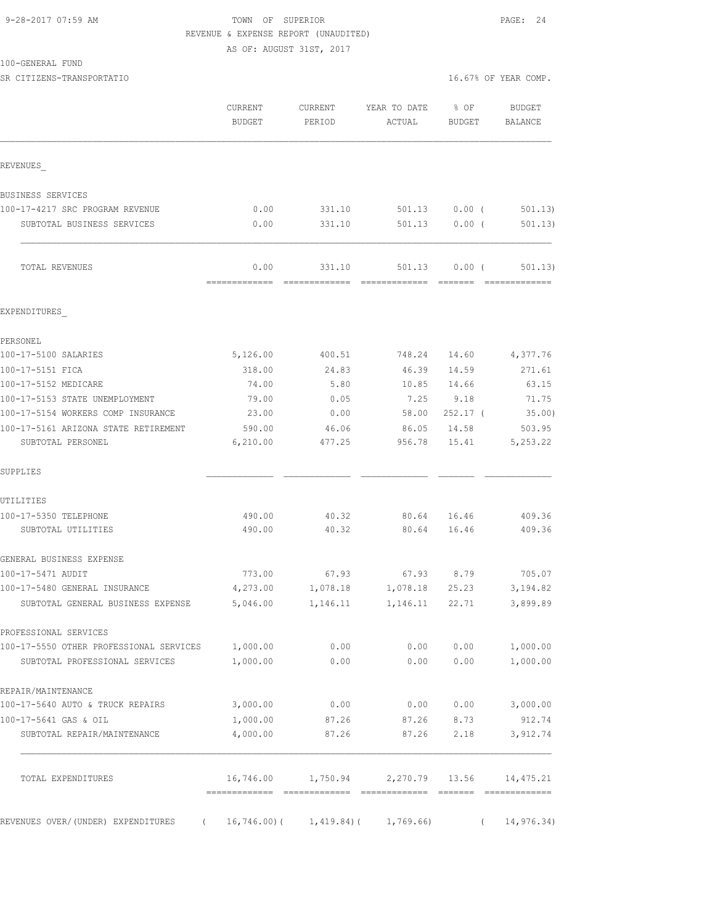# 9-28-2017 07:59 AM **TOWN** OF SUPERIOR **PAGE: 24**  REVENUE & EXPENSE REPORT (UNAUDITED) AS OF: AUGUST 31ST, 2017

100-GENERAL FUND

|                                         | CURRENT<br><b>BUDGET</b> | CURRENT<br>PERIOD | YEAR TO DATE<br>ACTUAL | % OF<br>BUDGET | <b>BUDGET</b><br><b>BALANCE</b> |
|-----------------------------------------|--------------------------|-------------------|------------------------|----------------|---------------------------------|
| REVENUES                                |                          |                   |                        |                |                                 |
| BUSINESS SERVICES                       |                          |                   |                        |                |                                 |
| 100-17-4217 SRC PROGRAM REVENUE         | 0.00                     | 331.10            | 501.13                 | $0.00$ (       | 501.13                          |
| SUBTOTAL BUSINESS SERVICES              | 0.00                     | 331.10            | 501.13                 | $0.00$ (       | 501.13)                         |
| TOTAL REVENUES                          | 0.00                     | 331.10            | 501.13                 | 0.00(          | 501.13)                         |
| EXPENDITURES                            |                          |                   |                        |                |                                 |
| PERSONEL                                |                          |                   |                        |                |                                 |
| 100-17-5100 SALARIES                    | 5,126.00                 | 400.51            | 748.24                 | 14.60          | 4,377.76                        |
| 100-17-5151 FICA                        | 318.00                   | 24.83             | 46.39                  | 14.59          | 271.61                          |
| 100-17-5152 MEDICARE                    | 74.00                    | 5.80              | 10.85                  | 14.66          | 63.15                           |
| 100-17-5153 STATE UNEMPLOYMENT          | 79.00                    | 0.05              | 7.25                   | 9.18           | 71.75                           |
| 100-17-5154 WORKERS COMP INSURANCE      | 23.00                    | 0.00              | 58.00                  | $252.17$ (     | 35.00)                          |
| 100-17-5161 ARIZONA STATE RETIREMENT    | 590.00                   | 46.06             | 86.05                  | 14.58          | 503.95                          |
| SUBTOTAL PERSONEL                       | 6, 210.00                | 477.25            | 956.78                 | 15.41          | 5, 253.22                       |
| SUPPLIES                                |                          |                   |                        |                |                                 |
| UTILITIES                               |                          |                   |                        |                |                                 |
| 100-17-5350 TELEPHONE                   | 490.00                   | 40.32             | 80.64                  | 16.46          | 409.36                          |
| SUBTOTAL UTILITIES                      | 490.00                   | 40.32             | 80.64                  | 16.46          | 409.36                          |
| GENERAL BUSINESS EXPENSE                |                          |                   |                        |                |                                 |
| 100-17-5471 AUDIT                       | 773.00                   | 67.93             | 67.93                  | 8.79           | 705.07                          |
| 100-17-5480 GENERAL INSURANCE           | 4,273.00                 | 1,078.18          | 1,078.18               | 25.23          | 3,194.82                        |
| SUBTOTAL GENERAL BUSINESS EXPENSE       | 5,046.00                 | 1,146.11          | 1,146.11               | 22.71          | 3,899.89                        |
| PROFESSIONAL SERVICES                   |                          |                   |                        |                |                                 |
| 100-17-5550 OTHER PROFESSIONAL SERVICES | 1,000.00                 | 0.00              | 0.00                   | 0.00           | 1,000.00                        |
| SUBTOTAL PROFESSIONAL SERVICES          | 1,000.00                 | 0.00              | 0.00                   | 0.00           | 1,000.00                        |
| REPAIR/MAINTENANCE                      |                          |                   |                        |                |                                 |
| 100-17-5640 AUTO & TRUCK REPAIRS        | 3,000.00                 | 0.00              | 0.00                   | 0.00           | 3,000.00                        |
| 100-17-5641 GAS & OIL                   | 1,000.00                 | 87.26             | 87.26                  | 8.73           | 912.74                          |
| SUBTOTAL REPAIR/MAINTENANCE             | 4,000.00                 | 87.26             | 87.26                  | 2.18           | 3,912.74                        |
| TOTAL EXPENDITURES                      | 16,746.00                | 1,750.94          | 2,270.79               | 13.56          | 14,475.21                       |
| REVENUES OVER/ (UNDER) EXPENDITURES     | 16,746.00)(              | 1,419.84)(        | 1,769.66)              |                | 14,976.34)                      |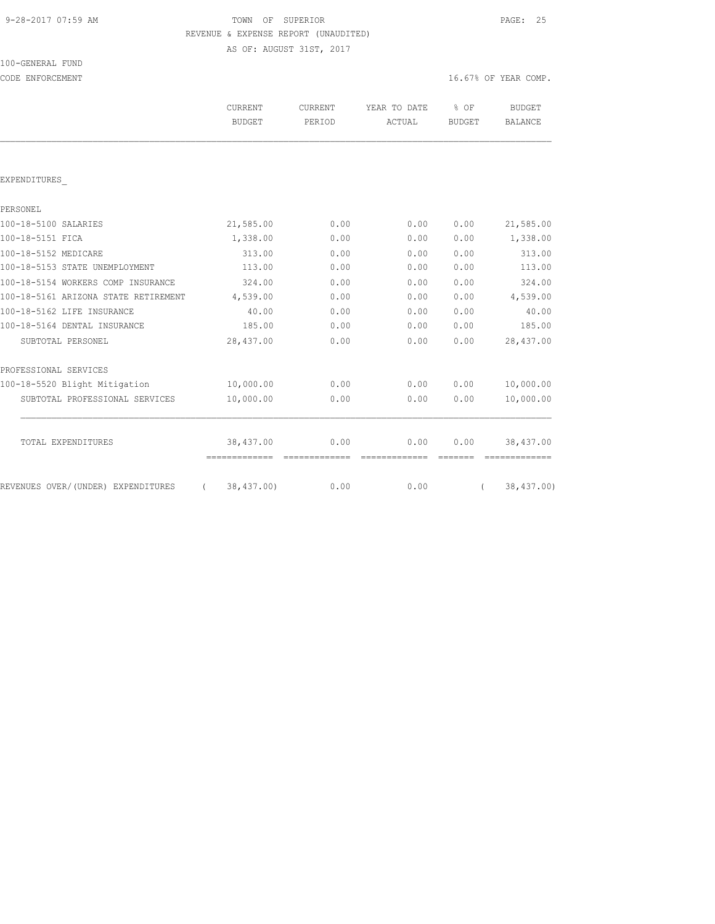#### 9-28-2017 07:59 AM TOWN OF SUPERIOR PAGE: 25 REVENUE & EXPENSE REPORT (UNAUDITED) AS OF: AUGUST 31ST, 2017

100-GENERAL FUND CODE ENFORCEMENT **16.67%** OF YEAR COMP.

|                                      | <b>CURRENT</b><br><b>BUDGET</b> | CURRENT<br>PERIOD | YEAR TO DATE<br>ACTUAL | % OF<br><b>BUDGET</b> | <b>BUDGET</b><br><b>BALANCE</b> |
|--------------------------------------|---------------------------------|-------------------|------------------------|-----------------------|---------------------------------|
|                                      |                                 |                   |                        |                       |                                 |
| EXPENDITURES                         |                                 |                   |                        |                       |                                 |
| PERSONEL                             |                                 |                   |                        |                       |                                 |
| 100-18-5100 SALARIES                 | 21,585.00                       | 0.00              | 0.00                   | 0.00                  | 21,585.00                       |
| 100-18-5151 FICA                     | 1,338.00                        | 0.00              | 0.00                   | 0.00                  | 1,338.00                        |
| 100-18-5152 MEDICARE                 | 313.00                          | 0.00              | 0.00                   | 0.00                  | 313.00                          |
| 100-18-5153 STATE UNEMPLOYMENT       | 113.00                          | 0.00              | 0.00                   | 0.00                  | 113.00                          |
| 100-18-5154 WORKERS COMP INSURANCE   | 324.00                          | 0.00              | 0.00                   | 0.00                  | 324.00                          |
| 100-18-5161 ARIZONA STATE RETIREMENT | 4,539.00                        | 0.00              | 0.00                   | 0.00                  | 4,539.00                        |
| 100-18-5162 LIFE INSURANCE           | 40.00                           | 0.00              | 0.00                   | 0.00                  | 40.00                           |
| 100-18-5164 DENTAL INSURANCE         | 185.00                          | 0.00              | 0.00                   | 0.00                  | 185.00                          |
| SUBTOTAL PERSONEL                    | 28,437.00                       | 0.00              | 0.00                   | 0.00                  | 28,437.00                       |
| PROFESSIONAL SERVICES                |                                 |                   |                        |                       |                                 |
| 100-18-5520 Blight Mitigation        | 10,000.00                       | 0.00              | 0.00                   | 0.00                  | 10,000.00                       |
| SUBTOTAL PROFESSIONAL SERVICES       | 10,000.00                       | 0.00              | 0.00                   | 0.00                  | 10,000.00                       |
| TOTAL EXPENDITURES                   | 38,437.00                       | 0.00              | 0.00                   | 0.00                  | 38,437.00                       |
| REVENUES OVER/(UNDER) EXPENDITURES   | 38,437.00)<br>$\left($          | 0.00              | 0.00                   |                       | 38,437.00)                      |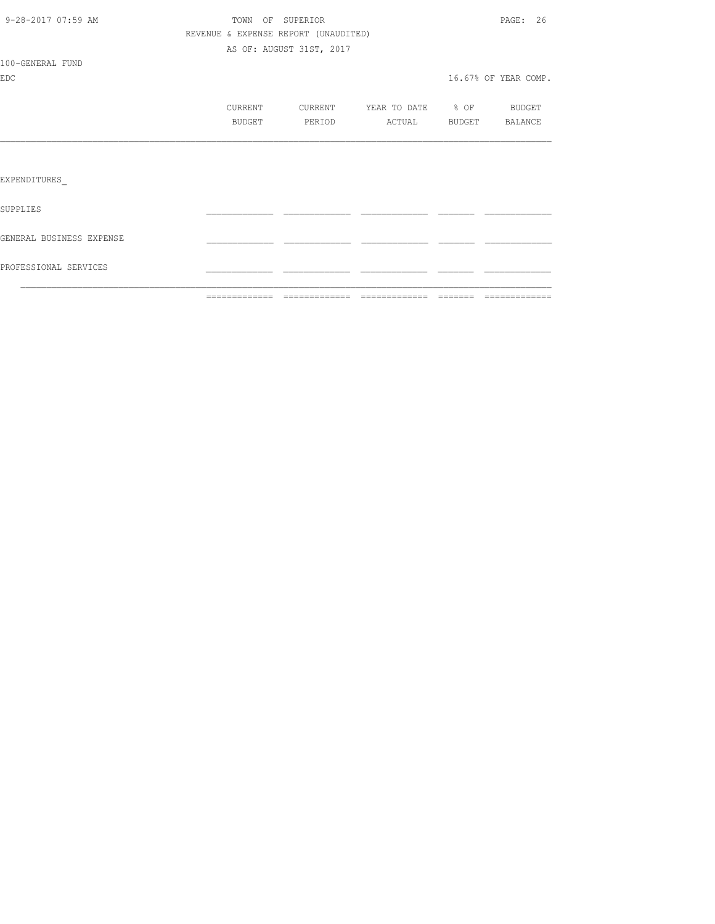|                          | =============                        | --------------           | =============     | -------- |                      |
|--------------------------|--------------------------------------|--------------------------|-------------------|----------|----------------------|
| PROFESSIONAL SERVICES    |                                      |                          |                   |          |                      |
| GENERAL BUSINESS EXPENSE |                                      |                          |                   |          |                      |
| SUPPLIES                 |                                      |                          |                   |          |                      |
| EXPENDITURES             |                                      |                          |                   |          |                      |
|                          |                                      |                          |                   |          |                      |
|                          | <b>BUDGET</b>                        | PERIOD                   | ACTUAL            | BUDGET   | BALANCE              |
|                          | CURRENT                              | CURRENT                  | YEAR TO DATE % OF |          | BUDGET               |
| EDC.                     |                                      |                          |                   |          | 16.67% OF YEAR COMP. |
| 100-GENERAL FUND         |                                      |                          |                   |          |                      |
|                          |                                      | AS OF: AUGUST 31ST, 2017 |                   |          |                      |
|                          | REVENUE & EXPENSE REPORT (UNAUDITED) |                          |                   |          |                      |
| 9-28-2017 07:59 AM       |                                      | TOWN OF SUPERIOR         |                   |          | PAGE: 26             |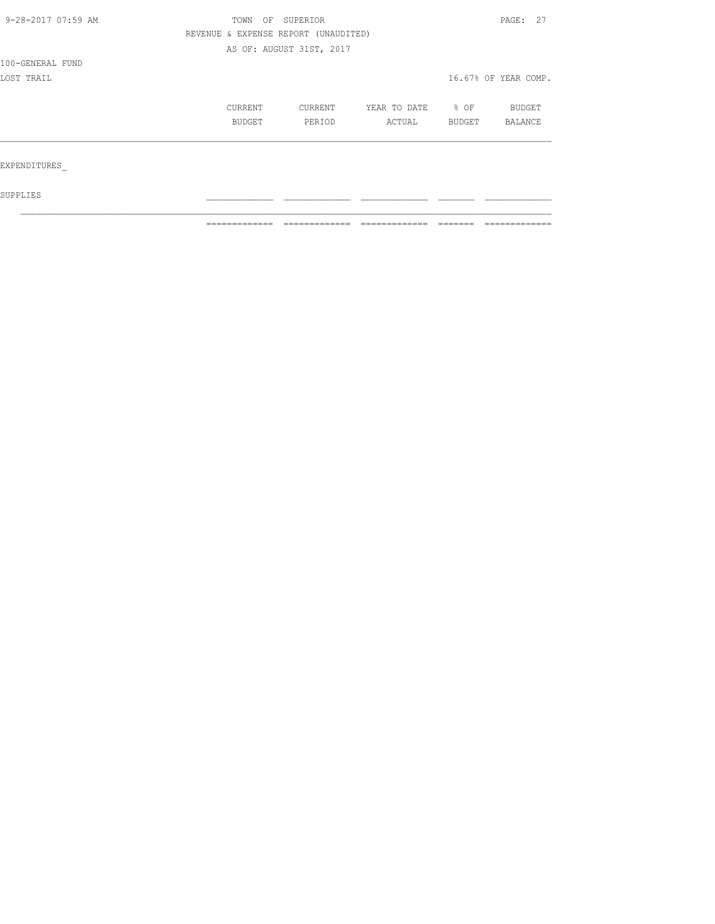| 9-28-2017 07:59 AM | TOWN    | OF SUPERIOR                          |              |        | PAGE: 27             |
|--------------------|---------|--------------------------------------|--------------|--------|----------------------|
|                    |         | REVENUE & EXPENSE REPORT (UNAUDITED) |              |        |                      |
|                    |         | AS OF: AUGUST 31ST, 2017             |              |        |                      |
| 100-GENERAL FUND   |         |                                      |              |        |                      |
| LOST TRAIL         |         |                                      |              |        | 16.67% OF YEAR COMP. |
|                    | CURRENT | CURRENT                              | YEAR TO DATE | % OF   | BUDGET               |
|                    | BUDGET  | PERIOD                               | ACTUAL       | BUDGET | BALANCE              |
|                    |         |                                      |              |        |                      |
| EXPENDITURES       |         |                                      |              |        |                      |
|                    |         |                                      |              |        |                      |

 $\mathcal{L}_\text{max}$ 

 ${\tt SUPPLIES}$ 

============= ============= ============= ======= =============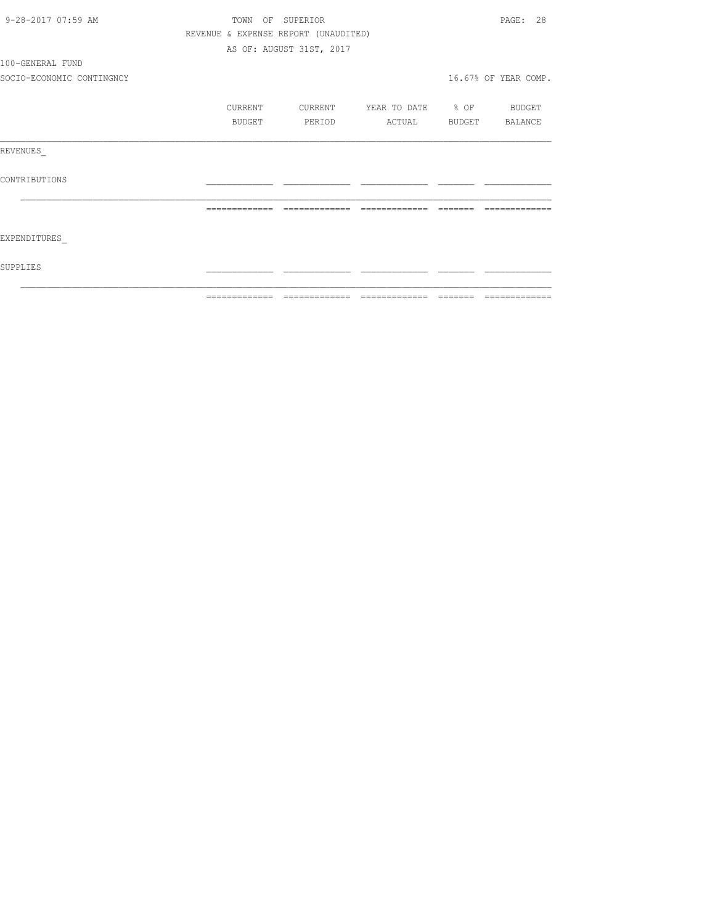| 9-28-2017 07:59 AM        | TOWN OF SUPERIOR                     |                          |                               |                                                                                                                                                                                                                                                                                                                                                                                                                                                                                            | PAGE: 28             |
|---------------------------|--------------------------------------|--------------------------|-------------------------------|--------------------------------------------------------------------------------------------------------------------------------------------------------------------------------------------------------------------------------------------------------------------------------------------------------------------------------------------------------------------------------------------------------------------------------------------------------------------------------------------|----------------------|
|                           | REVENUE & EXPENSE REPORT (UNAUDITED) |                          |                               |                                                                                                                                                                                                                                                                                                                                                                                                                                                                                            |                      |
|                           |                                      | AS OF: AUGUST 31ST, 2017 |                               |                                                                                                                                                                                                                                                                                                                                                                                                                                                                                            |                      |
| 100-GENERAL FUND          |                                      |                          |                               |                                                                                                                                                                                                                                                                                                                                                                                                                                                                                            |                      |
| SOCIO-ECONOMIC CONTINGNCY |                                      |                          |                               |                                                                                                                                                                                                                                                                                                                                                                                                                                                                                            | 16.67% OF YEAR COMP. |
|                           | CURRENT                              | CURRENT                  | YEAR TO DATE % OF BUDGET      |                                                                                                                                                                                                                                                                                                                                                                                                                                                                                            |                      |
|                           | BUDGET                               | PERIOD                   | ACTUAL                        |                                                                                                                                                                                                                                                                                                                                                                                                                                                                                            | BUDGET BALANCE       |
| REVENUES                  |                                      |                          |                               |                                                                                                                                                                                                                                                                                                                                                                                                                                                                                            |                      |
| CONTRIBUTIONS             |                                      |                          |                               |                                                                                                                                                                                                                                                                                                                                                                                                                                                                                            |                      |
|                           | =============                        |                          | ============================= | $\qquad \qquad \qquad =\qquad \qquad =\qquad \qquad =\qquad \qquad =\qquad \qquad =\qquad \qquad =\qquad \qquad =\qquad \qquad =\qquad \qquad =\qquad \qquad =\qquad \qquad =\qquad \qquad =\qquad \qquad =\qquad \qquad =\qquad \qquad =\qquad \qquad =\qquad \qquad =\qquad \qquad =\qquad \qquad =\qquad \qquad =\qquad \qquad =\qquad \qquad =\qquad \qquad =\qquad \qquad =\qquad \qquad =\qquad \qquad =\qquad \qquad =\qquad \qquad =\qquad \qquad =\qquad \qquad =\qquad \qquad =$ | -------------        |
| EXPENDITURES              |                                      |                          |                               |                                                                                                                                                                                                                                                                                                                                                                                                                                                                                            |                      |
| SUPPLIES                  |                                      |                          |                               |                                                                                                                                                                                                                                                                                                                                                                                                                                                                                            |                      |
|                           |                                      |                          |                               |                                                                                                                                                                                                                                                                                                                                                                                                                                                                                            |                      |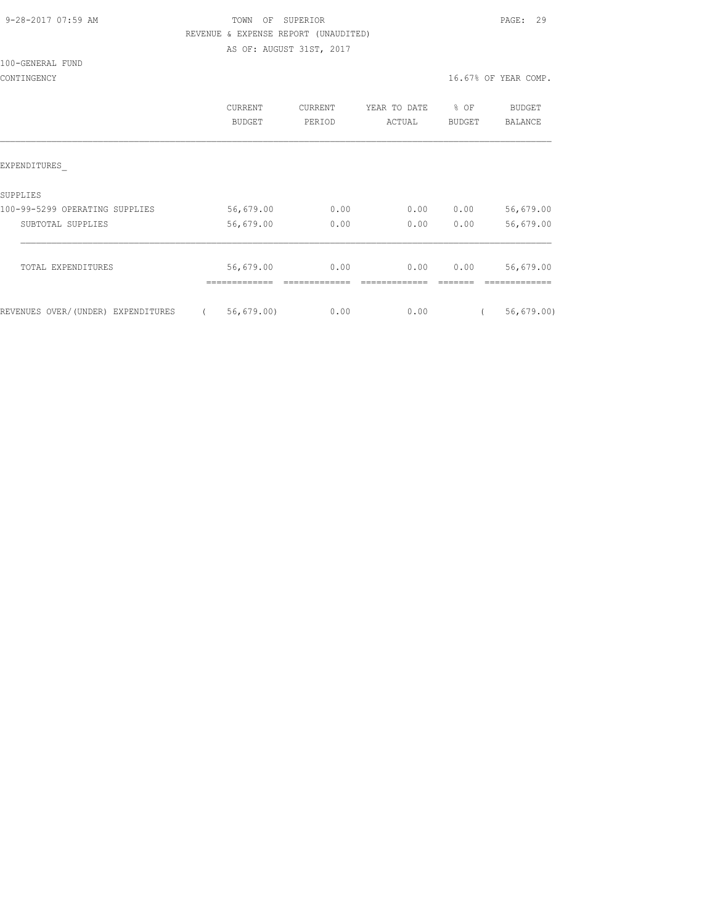#### 9-28-2017 07:59 AM TOWN OF SUPERIOR PAGE: 29 REVENUE & EXPENSE REPORT (UNAUDITED) AS OF: AUGUST 31ST, 2017

100-GENERAL FUND

|                                    | CURRENT<br>BUDGET | CURRENT<br>PERIOD | YEAR TO DATE<br>ACTUAL | % OF<br><b>BUDGET</b> | <b>BUDGET</b><br>BALANCE |
|------------------------------------|-------------------|-------------------|------------------------|-----------------------|--------------------------|
| EXPENDITURES                       |                   |                   |                        |                       |                          |
| SUPPLIES                           |                   |                   |                        |                       |                          |
| 100-99-5299 OPERATING SUPPLIES     | 56,679.00         | 0.00              | 0.00                   | 0.00                  | 56,679.00                |
| SUBTOTAL SUPPLIES                  | 56,679.00         | 0.00              | 0.00                   | 0.00                  | 56,679.00                |
| TOTAL EXPENDITURES                 | 56,679.00         | 0.00              | 0.00                   | 0.00                  | 56,679.00                |
|                                    | ----------        |                   |                        |                       |                          |
| REVENUES OVER/(UNDER) EXPENDITURES | 56, 679.00        | 0.00              | 0.00                   |                       | 56, 679.00               |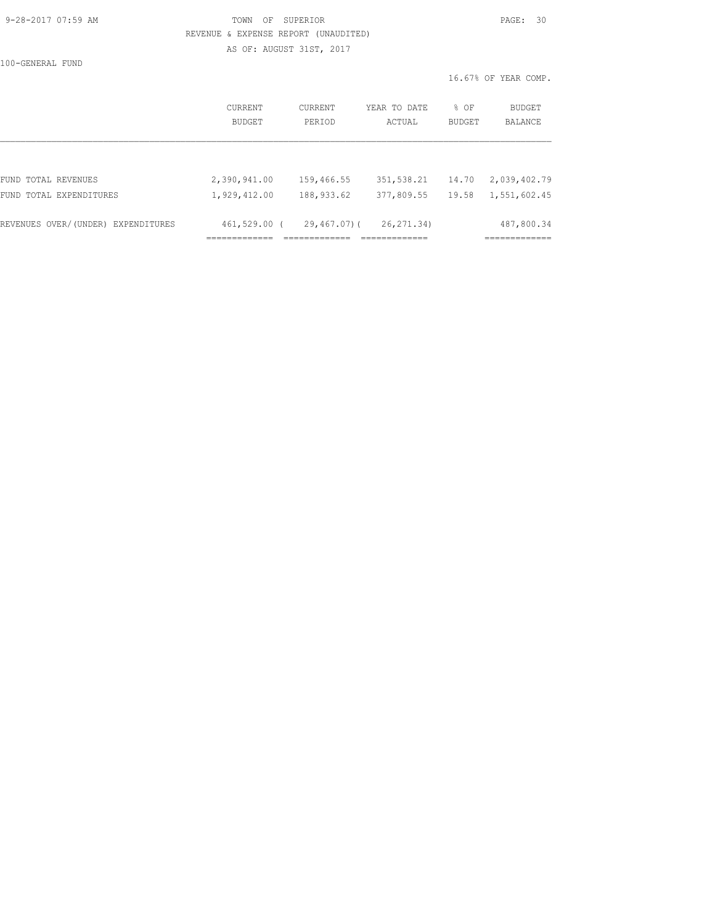#### 9-28-2017 07:59 AM TOWN OF SUPERIOR PAGE: 30 REVENUE & EXPENSE REPORT (UNAUDITED) AS OF: AUGUST 31ST, 2017

100-GENERAL FUND

16.67% OF YEAR COMP.

|                                    | CURRENT<br>BUDGET | <b>CURRENT</b><br>PERIOD | YEAR TO DATE<br>ACTUAL | % OF<br>BUDGET | <b>BUDGET</b><br>BALANCE |
|------------------------------------|-------------------|--------------------------|------------------------|----------------|--------------------------|
|                                    |                   |                          |                        |                |                          |
| FUND TOTAL REVENUES                | 2,390,941.00      | 159,466.55               | 351, 538.21            | 14.70          | 2,039,402.79             |
| FUND TOTAL EXPENDITURES            | 1,929,412.00      | 188,933.62               | 377,809.55             | 19.58          | 1,551,602.45             |
| REVENUES OVER/(UNDER) EXPENDITURES | $461,529.00$ (    | 29,467.07)(              | 26, 271.34)            |                | 487,800.34               |
|                                    |                   |                          |                        |                |                          |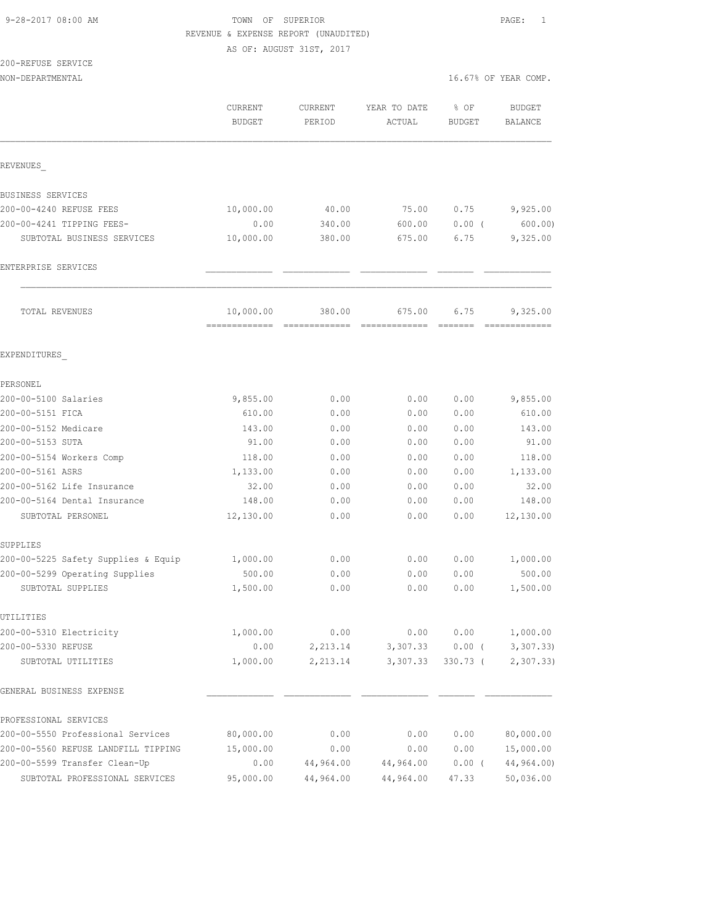# 9-28-2017 08:00 AM **TOWN** OF SUPERIOR **PAGE:** 1 REVENUE & EXPENSE REPORT (UNAUDITED)

AS OF: AUGUST 31ST, 2017

# 200-REFUSE SERVICE

| NON-DEPARTMENTAL                    |                          |                   |                        |                       | 16.67% OF YEAR COMP.            |
|-------------------------------------|--------------------------|-------------------|------------------------|-----------------------|---------------------------------|
|                                     | CURRENT<br><b>BUDGET</b> | CURRENT<br>PERIOD | YEAR TO DATE<br>ACTUAL | % OF<br><b>BUDGET</b> | <b>BUDGET</b><br><b>BALANCE</b> |
| REVENUES                            |                          |                   |                        |                       |                                 |
| BUSINESS SERVICES                   |                          |                   |                        |                       |                                 |
| 200-00-4240 REFUSE FEES             | 10,000.00                | 40.00             | 75.00                  | 0.75                  | 9,925.00                        |
| 200-00-4241 TIPPING FEES-           | 0.00                     | 340.00            | 600.00                 | $0.00$ (              | 600.00                          |
| SUBTOTAL BUSINESS SERVICES          | 10,000.00                | 380.00            | 675.00                 | 6.75                  | 9,325.00                        |
| ENTERPRISE SERVICES                 |                          |                   |                        |                       |                                 |
| TOTAL REVENUES                      | 10,000.00                | 380.00            | 675.00                 | 6.75                  | 9,325.00                        |
| EXPENDITURES                        |                          |                   |                        |                       |                                 |
| PERSONEL                            |                          |                   |                        |                       |                                 |
| 200-00-5100 Salaries                | 9,855.00                 | 0.00              | 0.00                   | 0.00                  | 9,855.00                        |
| 200-00-5151 FICA                    | 610.00                   | 0.00              | 0.00                   | 0.00                  | 610.00                          |
| 200-00-5152 Medicare                | 143.00                   | 0.00              | 0.00                   | 0.00                  | 143.00                          |
| 200-00-5153 SUTA                    | 91.00                    | 0.00              | 0.00                   | 0.00                  | 91.00                           |
| 200-00-5154 Workers Comp            | 118.00                   | 0.00              | 0.00                   | 0.00                  | 118.00                          |
| 200-00-5161 ASRS                    | 1,133.00                 | 0.00              | 0.00                   | 0.00                  | 1,133.00                        |
| 200-00-5162 Life Insurance          | 32.00                    | 0.00              | 0.00                   | 0.00                  | 32.00                           |
| 200-00-5164 Dental Insurance        | 148.00                   | 0.00              | 0.00                   | 0.00                  | 148.00                          |
| SUBTOTAL PERSONEL                   | 12,130.00                | 0.00              | 0.00                   | 0.00                  | 12,130.00                       |
| SUPPLIES                            |                          |                   |                        |                       |                                 |
| 200-00-5225 Safety Supplies & Equip | 1,000.00                 | 0.00              | 0.00                   | 0.00                  | 1,000.00                        |
| 200-00-5299 Operating Supplies      | 500.00                   | 0.00              | 0.00                   | 0.00                  | 500.00                          |
| SUBTOTAL SUPPLIES                   | 1,500.00                 | 0.00              | 0.00                   | 0.00                  | 1,500.00                        |
| UTILITIES                           |                          |                   |                        |                       |                                 |
| 200-00-5310 Electricity             | 1,000.00                 | 0.00              | 0.00                   | 0.00                  | 1,000.00                        |
| 200-00-5330 REFUSE                  | 0.00                     | 2,213.14          | 3,307.33               | $0.00$ (              | 3,307.33                        |
| SUBTOTAL UTILITIES                  | 1,000.00                 | 2,213.14          | 3,307.33               | $330.73$ (            | 2, 307.33                       |
| GENERAL BUSINESS EXPENSE            |                          |                   |                        |                       |                                 |
| PROFESSIONAL SERVICES               |                          |                   |                        |                       |                                 |
| 200-00-5550 Professional Services   | 80,000.00                | 0.00              | 0.00                   | 0.00                  | 80,000.00                       |
| 200-00-5560 REFUSE LANDFILL TIPPING | 15,000.00                | 0.00              | 0.00                   | 0.00                  | 15,000.00                       |
| 200-00-5599 Transfer Clean-Up       | 0.00                     | 44,964.00         | 44,964.00              | $0.00$ (              | 44,964.00)                      |
| SUBTOTAL PROFESSIONAL SERVICES      | 95,000.00                | 44,964.00         | 44,964.00              | 47.33                 | 50,036.00                       |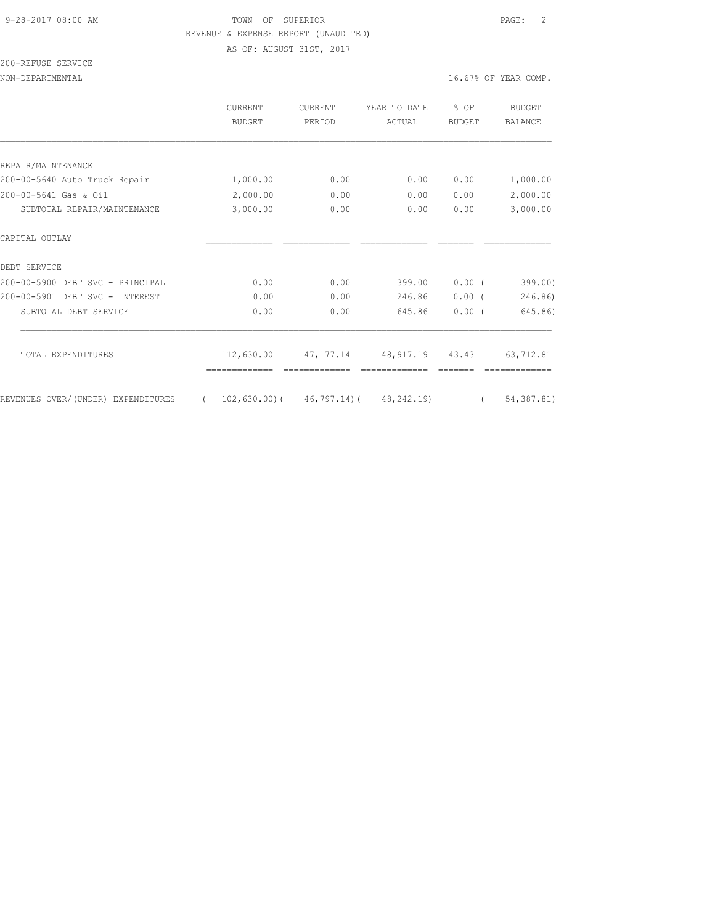# 9-28-2017 08:00 AM TOWN OF SUPERIOR PAGE: 2 REVENUE & EXPENSE REPORT (UNAUDITED)

AS OF: AUGUST 31ST, 2017

# 200-REFUSE SERVICE

NON-DEPARTMENTAL 16.67% OF YEAR COMP.

|                                    | <b>CURRENT</b><br><b>BUDGET</b> | <b>CURRENT</b><br>PERIOD | YEAR TO DATE<br>ACTUAL                        | % OF<br><b>BUDGET</b> | <b>BUDGET</b><br>BALANCE |
|------------------------------------|---------------------------------|--------------------------|-----------------------------------------------|-----------------------|--------------------------|
|                                    |                                 |                          |                                               |                       |                          |
| REPAIR/MAINTENANCE                 |                                 |                          |                                               |                       |                          |
| 200-00-5640 Auto Truck Repair      | 1,000.00                        | 0.00                     | 0.00                                          | 0.00                  | 1,000.00                 |
| 200-00-5641 Gas & Oil              | 2,000.00                        | 0.00                     | 0.00                                          | 0.00                  | 2,000.00                 |
| SUBTOTAL REPAIR/MAINTENANCE        | 3,000.00                        | 0.00                     | 0.00                                          | 0.00                  | 3,000.00                 |
| CAPITAL OUTLAY                     |                                 |                          |                                               |                       |                          |
| DEBT SERVICE                       |                                 |                          |                                               |                       |                          |
| 200-00-5900 DEBT SVC - PRINCIPAL   | 0.00                            | 0.00                     | 399.00                                        | 0.00(                 | 399.00)                  |
| 200-00-5901 DEBT SVC - INTEREST    | 0.00                            | 0.00                     | 246.86                                        | $0.00$ (              | 246.86)                  |
| SUBTOTAL DEBT SERVICE              | 0.00                            | 0.00                     | 645.86                                        | $0.00$ (              | 645.86)                  |
| TOTAL EXPENDITURES                 | 112,630.00                      | 47,177.14                | 48, 917.19 43.43                              |                       | 63,712.81                |
|                                    |                                 |                          |                                               |                       |                          |
| REVENUES OVER/(UNDER) EXPENDITURES | $\sqrt{2}$                      |                          | $102, 630.00$ ( $46, 797.14$ ( $48, 242.19$ ) | $\left($              | 54, 387.81)              |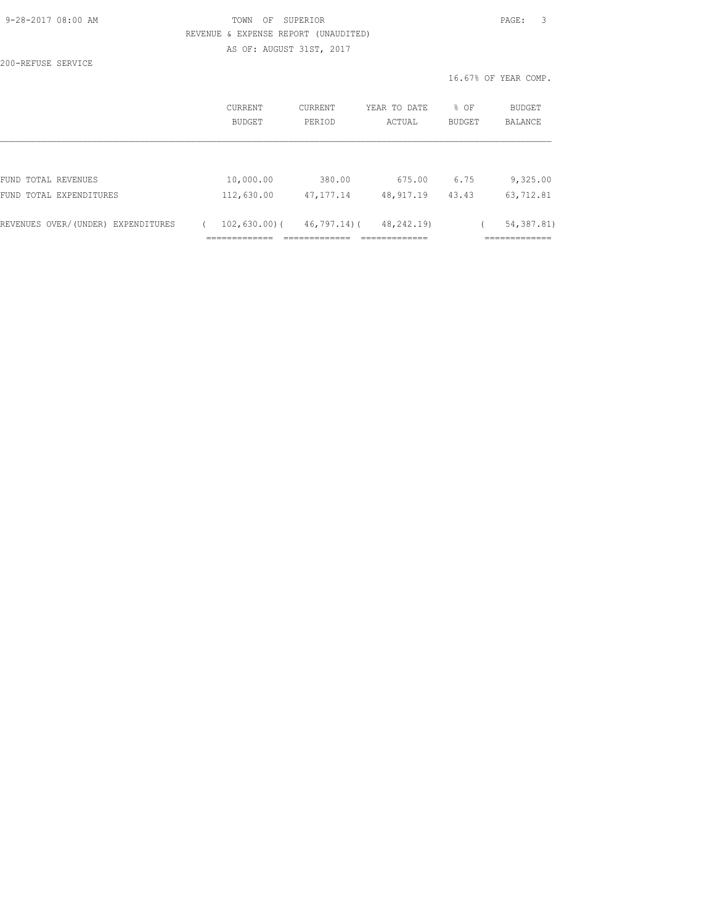## TOWN OF SUPERIOR **PAGE:** 3 REVENUE & EXPENSE REPORT (UNAUDITED) AS OF: AUGUST 31ST, 2017

200-REFUSE SERVICE

16.67% OF YEAR COMP.

|                                    | CURRENT<br>BUDGET | CURRENT<br>PERIOD | YEAR TO DATE<br>ACTUAL | % OF<br>BUDGET | BUDGET<br>BALANCE |
|------------------------------------|-------------------|-------------------|------------------------|----------------|-------------------|
|                                    |                   |                   |                        |                |                   |
| FUND TOTAL REVENUES                | 10,000.00         | 380.00            | 675.00                 | 6.75           | 9,325.00          |
| FUND TOTAL EXPENDITURES            | 112,630.00        | 47, 177. 14       | 48, 917.19             | 43.43          | 63,712.81         |
| REVENUES OVER/(UNDER) EXPENDITURES | $102,630.00$ (    | 46,797.14)(       | 48, 242, 19)           |                | 54, 387.81)       |
|                                    |                   |                   |                        |                |                   |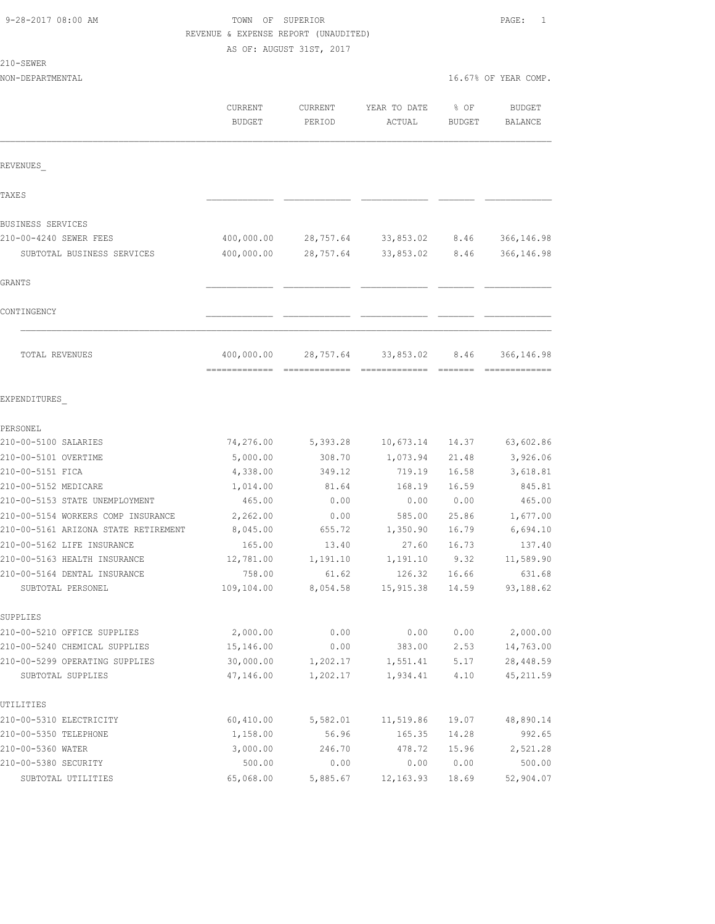210-SEWER

#### TOWN OF SUPERIOR **Example 2017** PAGE: 1 REVENUE & EXPENSE REPORT (UNAUDITED) AS OF: AUGUST 31ST, 2017

| NON-DEPARTMENTAL                                  |                          |                   |                        | 16.67% OF YEAR COMP. |                          |
|---------------------------------------------------|--------------------------|-------------------|------------------------|----------------------|--------------------------|
|                                                   | CURRENT<br><b>BUDGET</b> | CURRENT<br>PERIOD | YEAR TO DATE<br>ACTUAL | % OF<br>BUDGET       | <b>BUDGET</b><br>BALANCE |
| REVENUES                                          |                          |                   |                        |                      |                          |
| TAXE S                                            |                          |                   |                        |                      |                          |
| BUSINESS SERVICES                                 |                          |                   |                        |                      |                          |
| 210-00-4240 SEWER FEES                            | 400,000.00               | 28,757.64         | 33,853.02              | 8.46                 | 366, 146.98              |
| SUBTOTAL BUSINESS SERVICES                        | 400,000.00               | 28,757.64         | 33,853.02              | 8.46                 | 366,146.98               |
| <b>GRANTS</b>                                     |                          |                   |                        |                      |                          |
| CONTINGENCY                                       |                          |                   |                        |                      |                          |
| TOTAL REVENUES                                    | 400,000.00               | 28,757.64         | 33,853.02              | 8.46                 | 366,146.98               |
| EXPENDITURES                                      |                          |                   |                        |                      |                          |
| PERSONEL                                          |                          |                   |                        |                      |                          |
| 210-00-5100 SALARIES                              | 74,276.00                | 5,393.28          | 10,673.14              | 14.37                | 63,602.86                |
| 210-00-5101 OVERTIME                              | 5,000.00                 | 308.70            | 1,073.94               | 21.48                | 3,926.06                 |
| 210-00-5151 FICA                                  | 4,338.00                 | 349.12            | 719.19                 | 16.58                | 3,618.81                 |
| 210-00-5152 MEDICARE                              | 1,014.00                 | 81.64             | 168.19                 | 16.59                | 845.81                   |
| 210-00-5153 STATE UNEMPLOYMENT                    | 465.00                   | 0.00              | 0.00                   | 0.00                 | 465.00                   |
| 210-00-5154 WORKERS COMP INSURANCE                | 2,262.00                 | 0.00              | 585.00                 | 25.86                | 1,677.00                 |
| 210-00-5161 ARIZONA STATE RETIREMENT              | 8,045.00                 | 655.72            | 1,350.90               | 16.79                | 6,694.10                 |
| 210-00-5162 LIFE INSURANCE                        | 165.00                   | 13.40             | 27.60                  | 16.73                | 137.40                   |
| 210-00-5163 HEALTH INSURANCE                      | 12,781.00                | 1,191.10          | 1,191.10               | 9.32                 | 11,589.90                |
| 210-00-5164 DENTAL INSURANCE<br>SUBTOTAL PERSONEL | 758.00<br>109,104.00     | 61.62<br>8,054.58 | 126.32<br>15,915.38    | 16.66<br>14.59       | 631.68<br>93,188.62      |
| SUPPLIES                                          |                          |                   |                        |                      |                          |
| 210-00-5210 OFFICE SUPPLIES                       | 2,000.00                 | 0.00              | 0.00                   | 0.00                 | 2,000.00                 |
| 210-00-5240 CHEMICAL SUPPLIES                     | 15,146.00                | 0.00              | 383.00                 | 2.53                 | 14,763.00                |
| 210-00-5299 OPERATING SUPPLIES                    | 30,000.00                | 1,202.17          | 1,551.41               | 5.17                 | 28, 448.59               |
| SUBTOTAL SUPPLIES                                 | 47,146.00                | 1,202.17          | 1,934.41               | 4.10                 | 45, 211.59               |
| UTILITIES                                         |                          |                   |                        |                      |                          |
| 210-00-5310 ELECTRICITY                           | 60,410.00                | 5,582.01          | 11,519.86              | 19.07                | 48,890.14                |
| 210-00-5350 TELEPHONE                             | 1,158.00                 | 56.96             | 165.35                 | 14.28                | 992.65                   |
| 210-00-5360 WATER                                 | 3,000.00                 | 246.70            | 478.72                 | 15.96                | 2,521.28                 |
| 210-00-5380 SECURITY                              | 500.00                   | 0.00              | 0.00                   | 0.00                 | 500.00                   |
| SUBTOTAL UTILITIES                                | 65,068.00                | 5,885.67          | 12, 163.93             | 18.69                | 52,904.07                |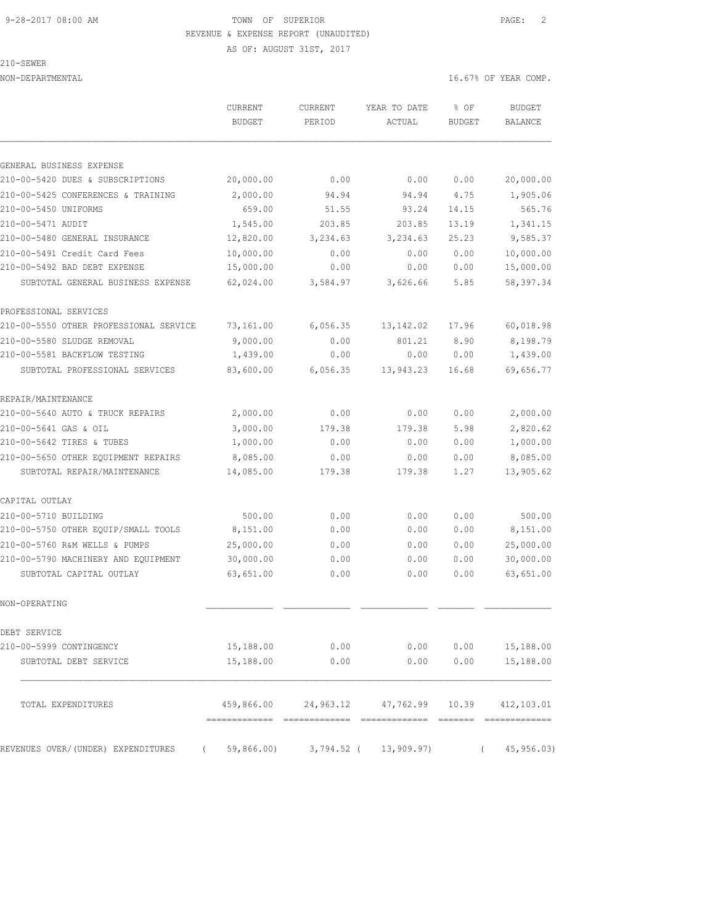#### 9-28-2017 08:00 AM TOWN OF SUPERIOR PAGE: 2 REVENUE & EXPENSE REPORT (UNAUDITED)

210-SEWER

AS OF: AUGUST 31ST, 2017

NON-DEPARTMENTAL 16.67% OF YEAR COMP.

|                                        | CURRENT<br><b>BUDGET</b> | <b>CURRENT</b><br>PERIOD | YEAR TO DATE<br>ACTUAL           | % OF<br><b>BUDGET</b> | <b>BUDGET</b><br><b>BALANCE</b> |
|----------------------------------------|--------------------------|--------------------------|----------------------------------|-----------------------|---------------------------------|
| GENERAL BUSINESS EXPENSE               |                          |                          |                                  |                       |                                 |
| 210-00-5420 DUES & SUBSCRIPTIONS       | 20,000.00                | 0.00                     | 0.00                             | 0.00                  | 20,000.00                       |
| 210-00-5425 CONFERENCES & TRAINING     | 2,000.00                 | 94.94                    | 94.94                            | 4.75                  | 1,905.06                        |
| 210-00-5450 UNIFORMS                   | 659.00                   | 51.55                    | 93.24                            | 14.15                 | 565.76                          |
| 210-00-5471 AUDIT                      | 1,545.00                 | 203.85                   | 203.85                           | 13.19                 | 1,341.15                        |
| 210-00-5480 GENERAL INSURANCE          | 12,820.00                | 3,234.63                 | 3,234.63                         | 25.23                 | 9,585.37                        |
| 210-00-5491 Credit Card Fees           | 10,000.00                | 0.00                     | 0.00                             | 0.00                  | 10,000.00                       |
| 210-00-5492 BAD DEBT EXPENSE           | 15,000.00                | 0.00                     | 0.00                             | 0.00                  | 15,000.00                       |
| SUBTOTAL GENERAL BUSINESS EXPENSE      | 62,024.00                | 3,584.97                 | 3,626.66                         | 5.85                  | 58, 397.34                      |
| PROFESSIONAL SERVICES                  |                          |                          |                                  |                       |                                 |
| 210-00-5550 OTHER PROFESSIONAL SERVICE | 73,161.00                | 6,056.35                 | 13, 142.02                       | 17.96                 | 60,018.98                       |
| 210-00-5580 SLUDGE REMOVAL             | 9,000.00                 | 0.00                     | 801.21                           | 8.90                  | 8,198.79                        |
| 210-00-5581 BACKFLOW TESTING           | 1,439.00                 | 0.00                     | 0.00                             | 0.00                  | 1,439.00                        |
| SUBTOTAL PROFESSIONAL SERVICES         | 83,600.00                | 6,056.35                 | 13,943.23                        | 16.68                 | 69,656.77                       |
| REPAIR/MAINTENANCE                     |                          |                          |                                  |                       |                                 |
| 210-00-5640 AUTO & TRUCK REPAIRS       | 2,000.00                 | 0.00                     | 0.00                             | 0.00                  | 2,000.00                        |
| 210-00-5641 GAS & OIL                  | 3,000.00                 | 179.38                   | 179.38                           | 5.98                  | 2,820.62                        |
| 210-00-5642 TIRES & TUBES              | 1,000.00                 | 0.00                     | 0.00                             | 0.00                  | 1,000.00                        |
| 210-00-5650 OTHER EQUIPMENT REPAIRS    | 8,085.00                 | 0.00                     | 0.00                             | 0.00                  | 8,085.00                        |
| SUBTOTAL REPAIR/MAINTENANCE            | 14,085.00                | 179.38                   | 179.38                           | 1.27                  | 13,905.62                       |
| CAPITAL OUTLAY                         |                          |                          |                                  |                       |                                 |
| 210-00-5710 BUILDING                   | 500.00                   | 0.00                     | 0.00                             | 0.00                  | 500.00                          |
| 210-00-5750 OTHER EQUIP/SMALL TOOLS    | 8,151.00                 | 0.00                     | 0.00                             | 0.00                  | 8,151.00                        |
| 210-00-5760 R&M WELLS & PUMPS          | 25,000.00                | 0.00                     | 0.00                             | 0.00                  | 25,000.00                       |
| 210-00-5790 MACHINERY AND EQUIPMENT    | 30,000.00                | 0.00                     | 0.00                             | 0.00                  | 30,000.00                       |
| SUBTOTAL CAPITAL OUTLAY                | 63,651.00                | 0.00                     | 0.00                             | 0.00                  | 63,651.00                       |
| NON-OPERATING                          |                          |                          |                                  |                       |                                 |
| DEBT SERVICE                           |                          |                          |                                  |                       |                                 |
| 210-00-5999 CONTINGENCY                | 15,188.00                | 0.00                     | 0.00                             | 0.00                  | 15,188.00                       |
| SUBTOTAL DEBT SERVICE                  | 15,188.00                | 0.00                     | 0.00                             | 0.00                  | 15,188.00                       |
| TOTAL EXPENDITURES                     | 459,866.00               | 24,963.12                | 47,762.99                        | 10.39                 | 412,103.01                      |
| REVENUES OVER/(UNDER) EXPENDITURES     | $\sqrt{2}$               |                          | 59,866.00) 3,794.52 ( 13,909.97) |                       | 45,956.03)                      |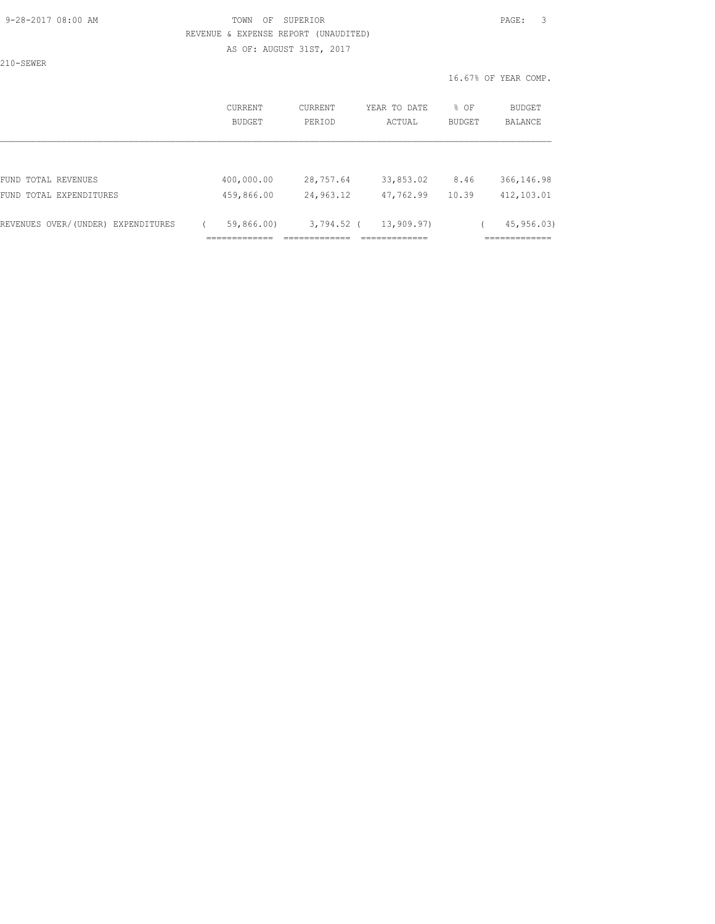#### 9-28-2017 08:00 AM TOWN OF SUPERIOR PAGE: 3 REVENUE & EXPENSE REPORT (UNAUDITED)

AS OF: AUGUST 31ST, 2017

210-SEWER

16.67% OF YEAR COMP.

| <b>CURRENT</b><br>BUDGET | CURRENT<br>PERIOD | YEAR TO DATE<br>ACTUAL | % OF<br><b>BUDGET</b> | <b>BUDGET</b><br><b>BALANCE</b>          |
|--------------------------|-------------------|------------------------|-----------------------|------------------------------------------|
|                          |                   |                        |                       |                                          |
| 400,000.00               | 28,757.64         | 33,853.02              | 8.46                  | 366,146.98                               |
| 459,866.00               | 24,963.12         | 47,762.99              | 10.39                 | 412,103.01                               |
| 59,866.00)               |                   | 13,909.97)             |                       | 45,956.03)<br>____________<br>---------- |
|                          |                   |                        | $3,794.52$ (          |                                          |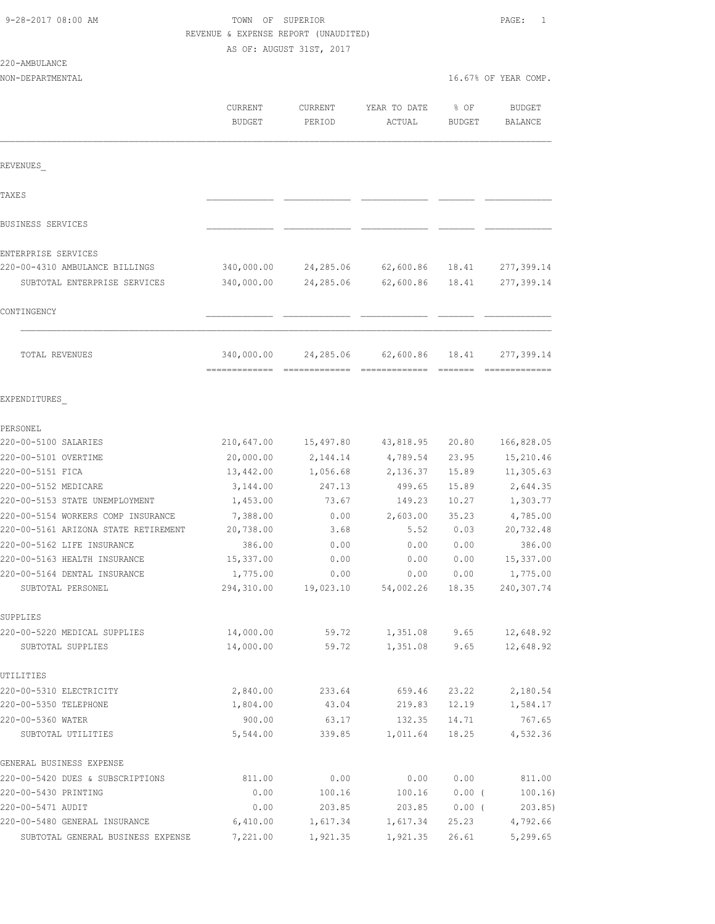# TOWN OF SUPERIOR **PAGE:** 1 REVENUE & EXPENSE REPORT (UNAUDITED)

AS OF: AUGUST 31ST, 2017

| 220-AMBULANCE |  |
|---------------|--|
|               |  |

| 220-AMBULANCE                                     |                          |                   |                                                 |                |                          |
|---------------------------------------------------|--------------------------|-------------------|-------------------------------------------------|----------------|--------------------------|
| NON-DEPARTMENTAL                                  |                          |                   |                                                 |                | 16.67% OF YEAR COMP.     |
|                                                   |                          |                   |                                                 |                |                          |
|                                                   | CURRENT<br><b>BUDGET</b> | CURRENT<br>PERIOD | YEAR TO DATE<br>ACTUAL                          | % OF<br>BUDGET | <b>BUDGET</b><br>BALANCE |
|                                                   |                          |                   |                                                 |                |                          |
| REVENUES                                          |                          |                   |                                                 |                |                          |
| TAXE S                                            |                          |                   |                                                 |                |                          |
| BUSINESS SERVICES                                 |                          |                   |                                                 |                |                          |
| ENTERPRISE SERVICES                               |                          |                   |                                                 |                |                          |
| 220-00-4310 AMBULANCE BILLINGS                    | 340,000.00               | 24,285.06         | 62,600.86 18.41                                 |                | 277,399.14               |
| SUBTOTAL ENTERPRISE SERVICES                      | 340,000.00               | 24,285.06         | 62,600.86                                       | 18.41          | 277,399.14               |
| CONTINGENCY                                       |                          |                   |                                                 |                |                          |
| TOTAL REVENUES                                    | 340,000.00               | 24,285.06         | 62,600.86                                       | 18.41          | 277,399.14               |
| EXPENDITURES                                      |                          |                   |                                                 |                |                          |
| PERSONEL                                          |                          |                   |                                                 |                |                          |
| 220-00-5100 SALARIES                              | 210,647.00               | 15,497.80         | 43,818.95                                       | 20.80          | 166,828.05               |
| 220-00-5101 OVERTIME                              | 20,000.00                | 2,144.14          | 4,789.54                                        | 23.95          | 15,210.46                |
| 220-00-5151 FICA                                  | 13,442.00                | 1,056.68          | 2,136.37                                        | 15.89          | 11,305.63                |
| 220-00-5152 MEDICARE                              | 3,144.00                 | 247.13            | 499.65                                          | 15.89          | 2,644.35                 |
| 220-00-5153 STATE UNEMPLOYMENT                    | 1,453.00                 | 73.67             | 149.23                                          | 10.27          | 1,303.77                 |
| 220-00-5154 WORKERS COMP INSURANCE                | 7,388.00                 | 0.00              | 2,603.00                                        | 35.23          | 4,785.00                 |
| 220-00-5161 ARIZONA STATE RETIREMENT              | 20,738.00                | 3.68              | 5.52                                            | 0.03           | 20,732.48                |
| 220-00-5162 LIFE INSURANCE                        | 386.00                   | 0.00              | 0.00                                            | 0.00           | 386.00                   |
| 220-00-5163 HEALTH INSURANCE                      | 15,337.00                | 0.00              | 0.00                                            | 0.00           | 15,337.00                |
| 220-00-5164 DENTAL INSURANCE<br>SUBTOTAL PERSONEL | 1,775.00                 | 0.00              | 0.00<br>294,310.00  19,023.10  54,002.26  18.35 | 0.00           | 1,775.00<br>240,307.74   |
|                                                   |                          |                   |                                                 |                |                          |
| SUPPLIES                                          |                          |                   |                                                 |                |                          |
| 220-00-5220 MEDICAL SUPPLIES                      | 14,000.00                | 59.72             | 1,351.08                                        | 9.65           | 12,648.92                |
| SUBTOTAL SUPPLIES                                 | 14,000.00                | 59.72             | 1,351.08                                        | 9.65           | 12,648.92                |
| UTILITIES                                         |                          |                   |                                                 |                |                          |
| 220-00-5310 ELECTRICITY                           | 2,840.00                 | 233.64            | 659.46                                          | 23.22          | 2,180.54                 |
| 220-00-5350 TELEPHONE                             | 1,804.00                 | 43.04             | 219.83                                          | 12.19          | 1,584.17                 |
| 220-00-5360 WATER<br>SUBTOTAL UTILITIES           | 900.00<br>5,544.00       | 63.17             | 132.35<br>1,011.64 18.25                        | 14.71          | 767.65<br>4,532.36       |
|                                                   |                          | 339.85            |                                                 |                |                          |
| GENERAL BUSINESS EXPENSE                          |                          |                   |                                                 |                |                          |

| GENERAL BUSINESS EXPENSE             |          |          |          |          |          |
|--------------------------------------|----------|----------|----------|----------|----------|
| 220-00-5420 DUES & SUBSCRIPTIONS     | 811.00   | 0.00     | 0.00     | 0.00     | 811.00   |
| 220-00-5430 PRINTING                 | 0.00     | 100.16   | 100.16   | $0.00$ ( | 100, 16) |
| 220-00-5471 AUDIT                    | 0.00     | 203.85   | 203.85   | $0.00$ ( | 203.85   |
| 220-00-5480 GENERAL INSURANCE        | 6,410.00 | 1,617.34 | 1,617.34 | 25.23    | 4,792.66 |
| GENERAL BUSINESS EXPENSE<br>SUBTOTAL | 7,221.00 | 1,921.35 | 1,921.35 | 26.61    | 5,299.65 |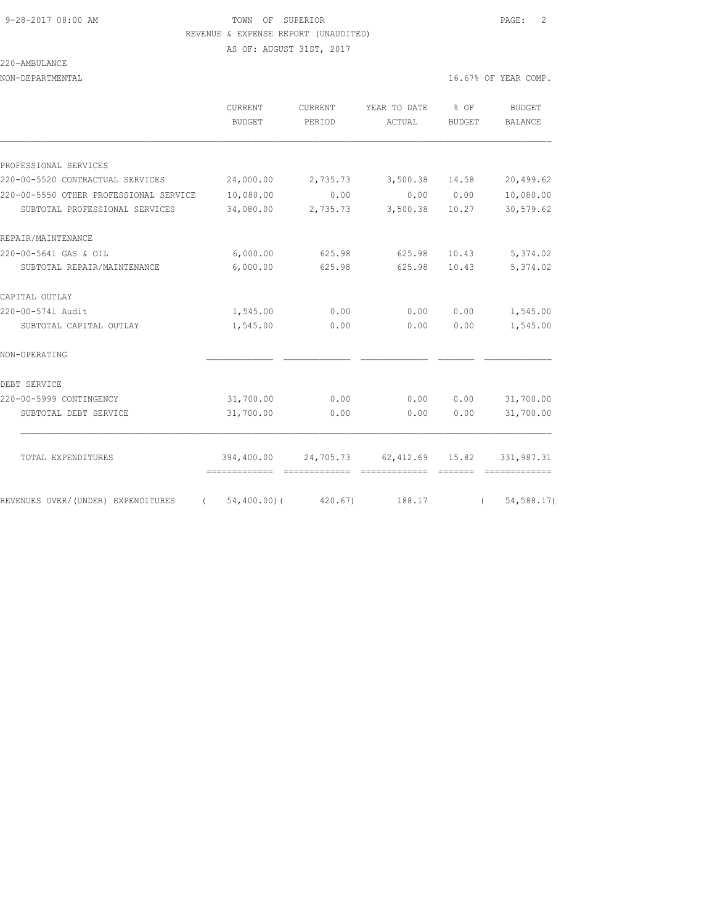#### 9-28-2017 08:00 AM TOWN OF SUPERIOR PAGE: 2 REVENUE & EXPENSE REPORT (UNAUDITED)

AS OF: AUGUST 31ST, 2017

## 220-AMBULANCE

NON-DEPARTMENTAL 16.67% OF YEAR COMP.

|                                        | CURRENT<br><b>BUDGET</b> | CURRENT<br>PERIOD | YEAR TO DATE<br>ACTUAL    | % OF<br><b>BUDGET</b> | <b>BUDGET</b><br><b>BALANCE</b> |
|----------------------------------------|--------------------------|-------------------|---------------------------|-----------------------|---------------------------------|
|                                        |                          |                   |                           |                       |                                 |
| PROFESSIONAL SERVICES                  |                          |                   |                           |                       |                                 |
| 220-00-5520 CONTRACTUAL SERVICES       | 24,000.00                | 2,735.73          | 3,500.38                  | 14.58                 | 20,499.62                       |
| 220-00-5550 OTHER PROFESSIONAL SERVICE | 10,080.00                | 0.00              | 0.00                      | 0.00                  | 10,080.00                       |
| SUBTOTAL PROFESSIONAL SERVICES         | 34,080.00                | 2,735.73          | 3,500.38                  | 10.27                 | 30,579.62                       |
| REPAIR/MAINTENANCE                     |                          |                   |                           |                       |                                 |
| 220-00-5641 GAS & OIL                  | 6,000.00                 | 625.98            | 625.98                    | 10.43                 | 5,374.02                        |
| SUBTOTAL REPAIR/MAINTENANCE            | 6,000.00                 | 625.98            | 625.98                    | 10.43                 | 5,374.02                        |
| CAPITAL OUTLAY                         |                          |                   |                           |                       |                                 |
| 220-00-5741 Audit                      | 1,545.00                 | 0.00              | 0.00                      | 0.00                  | 1,545.00                        |
| SUBTOTAL CAPITAL OUTLAY                | 1,545.00                 | 0.00              | 0.00                      | 0.00                  | 1,545.00                        |
| NON-OPERATING                          |                          |                   |                           |                       |                                 |
| DEBT SERVICE                           |                          |                   |                           |                       |                                 |
| 220-00-5999 CONTINGENCY                | 31,700.00                | 0.00              | 0.00                      | 0.00                  | 31,700.00                       |
| SUBTOTAL DEBT SERVICE                  | 31,700.00                | 0.00              | 0.00                      | 0.00                  | 31,700.00                       |
| TOTAL EXPENDITURES                     | 394,400.00               |                   | 24,705.73 62,412.69 15.82 |                       | 331,987.31                      |
|                                        |                          |                   |                           |                       |                                 |
| REVENUES OVER/(UNDER) EXPENDITURES     | 54,400.00)(<br>$\left($  | 420.67            | 188.17                    | $\sqrt{2}$            | 54, 588.17)                     |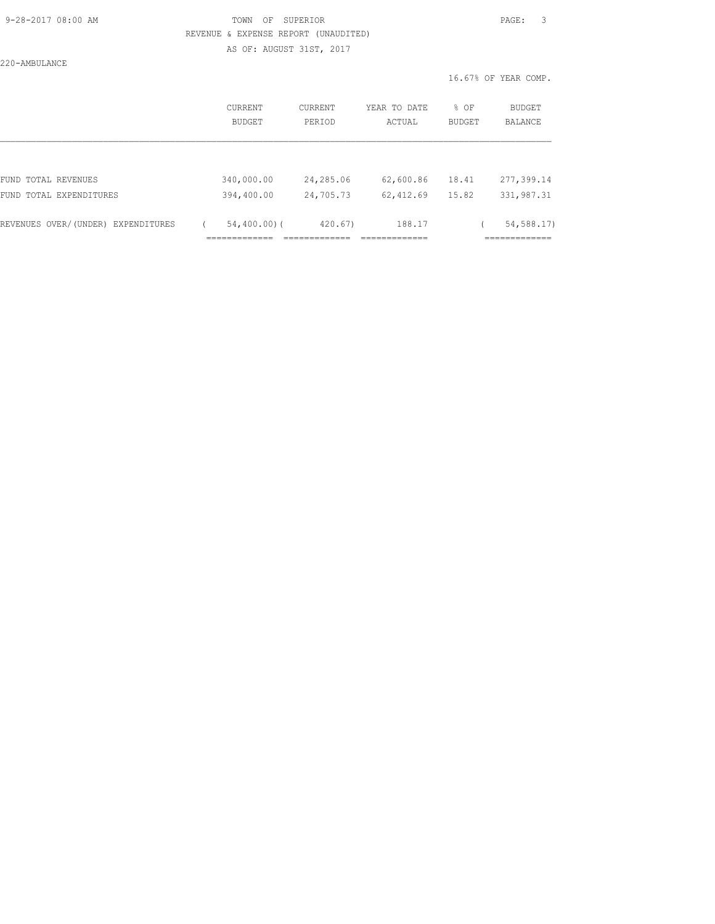# 9-28-2017 08:00 AM TOWN OF SUPERIOR PAGE: 3 REVENUE & EXPENSE REPORT (UNAUDITED)

AS OF: AUGUST 31ST, 2017

220-AMBULANCE

| CURRENT<br>BUDGET | <b>CURRENT</b><br>PERIOD         | YEAR TO DATE<br>ACTUAL             | $8$ OF | <b>BUDGET</b><br>BALANCE                    |
|-------------------|----------------------------------|------------------------------------|--------|---------------------------------------------|
|                   |                                  |                                    |        |                                             |
| 340,000.00        | 24,285.06                        | 62,600.86                          | 18.41  | 277,399.14                                  |
| 394,400.00        | 24,705.73                        | 62, 412.69                         | 15.82  | 331, 987.31                                 |
|                   | 420.67)<br>_________<br>________ | 188.17<br>____________<br>________ |        | 54,588.17)<br>_____________<br>------------ |
|                   | _____________<br>.               | $54,400.00)$ (                     |        | <b>BUDGET</b>                               |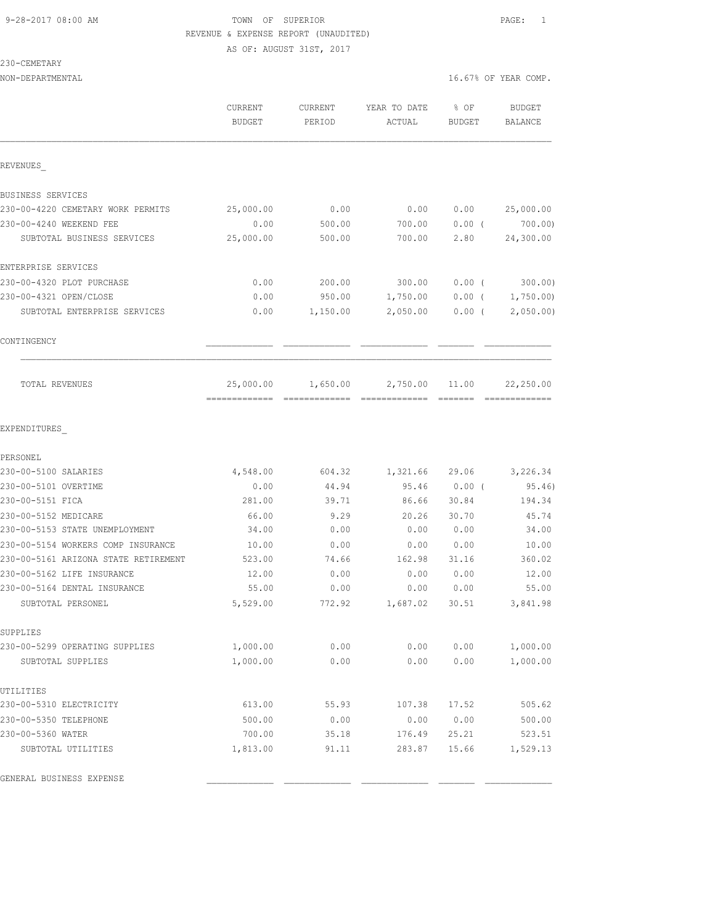# 9-28-2017 08:00 AM **TOWN** OF SUPERIOR **PAGE:** 1 REVENUE & EXPENSE REPORT (UNAUDITED) AS OF: AUGUST 31ST, 2017

230-CEMETARY

|                   |                   |        |        | 16.67% OF YEAR COMP. |
|-------------------|-------------------|--------|--------|----------------------|
| CURRENT<br>BUDGET | CURRENT<br>PERIOD | ACTUAL | BUDGET | BUDGET<br>BALANCE    |
|                   |                   |        |        | YEAR TO DATE % OF    |

============= ============= ============= ======= =============

| REVENUES                          |           |          |          |          |           |
|-----------------------------------|-----------|----------|----------|----------|-----------|
| BUSINESS SERVICES                 |           |          |          |          |           |
| 230-00-4220 CEMETARY WORK PERMITS | 25,000.00 | 0.00     | 0.00     | 0.00     | 25,000.00 |
| 230-00-4240 WEEKEND FEE           | 0.00      | 500.00   | 700.00   | 0.00(    | 700.00)   |
| SUBTOTAL BUSINESS SERVICES        | 25,000.00 | 500.00   | 700.00   | 2.80     | 24,300.00 |
| ENTERPRISE SERVICES               |           |          |          |          |           |
| 230-00-4320 PLOT PURCHASE         | 0.00      | 200.00   | 300.00   | $0.00$ ( | 300.00)   |
| 230-00-4321 OPEN/CLOSE            | 0.00      | 950.00   | 1,750.00 | $0.00$ ( | 1,750.00  |
| SUBTOTAL ENTERPRISE SERVICES      | 0.00      | 1,150.00 | 2,050.00 | 0.00(    | 2,050.00  |
| CONTINGENCY                       |           |          |          |          |           |
| TOTAL REVENUES                    | 25,000.00 | 1,650.00 | 2,750.00 | 11.00    | 22,250.00 |

EXPENDITURES\_

| PERSONEL                             |          |        |          |       |          |
|--------------------------------------|----------|--------|----------|-------|----------|
| 230-00-5100 SALARIES                 | 4,548.00 | 604.32 | 1,321.66 | 29.06 | 3,226.34 |
| 230-00-5101 OVERTIME                 | 0.00     | 44.94  | 95.46    | 0.00( | 95.46)   |
| 230-00-5151 FICA                     | 281.00   | 39.71  | 86.66    | 30.84 | 194.34   |
| 230-00-5152 MEDICARE                 | 66.00    | 9.29   | 20.26    | 30.70 | 45.74    |
| 230-00-5153 STATE UNEMPLOYMENT       | 34.00    | 0.00   | 0.00     | 0.00  | 34.00    |
| 230-00-5154 WORKERS COMP INSURANCE   | 10.00    | 0.00   | 0.00     | 0.00  | 10.00    |
| 230-00-5161 ARIZONA STATE RETIREMENT | 523.00   | 74.66  | 162.98   | 31.16 | 360.02   |
| 230-00-5162 LIFE INSURANCE           | 12.00    | 0.00   | 0.00     | 0.00  | 12.00    |
| 230-00-5164 DENTAL INSURANCE         | 55.00    | 0.00   | 0.00     | 0.00  | 55.00    |
| SUBTOTAL PERSONEL                    | 5,529.00 | 772.92 | 1,687.02 | 30.51 | 3,841.98 |
| <b>SUPPLIES</b>                      |          |        |          |       |          |
| 230-00-5299 OPERATING SUPPLIES       | 1,000.00 | 0.00   | 0.00     | 0.00  | 1,000.00 |
| SUBTOTAL SUPPLIES                    | 1,000.00 | 0.00   | 0.00     | 0.00  | 1,000.00 |
| UTILITIES                            |          |        |          |       |          |
| 230-00-5310 ELECTRICITY              | 613.00   | 55.93  | 107.38   | 17.52 | 505.62   |
| 230-00-5350 TELEPHONE                | 500.00   | 0.00   | 0.00     | 0.00  | 500.00   |
| 230-00-5360 WATER                    | 700.00   | 35.18  | 176.49   | 25.21 | 523.51   |
| SUBTOTAL UTILITIES                   | 1,813.00 | 91.11  | 283.87   | 15.66 | 1,529.13 |
| GENERAL BUSINESS EXPENSE             |          |        |          |       |          |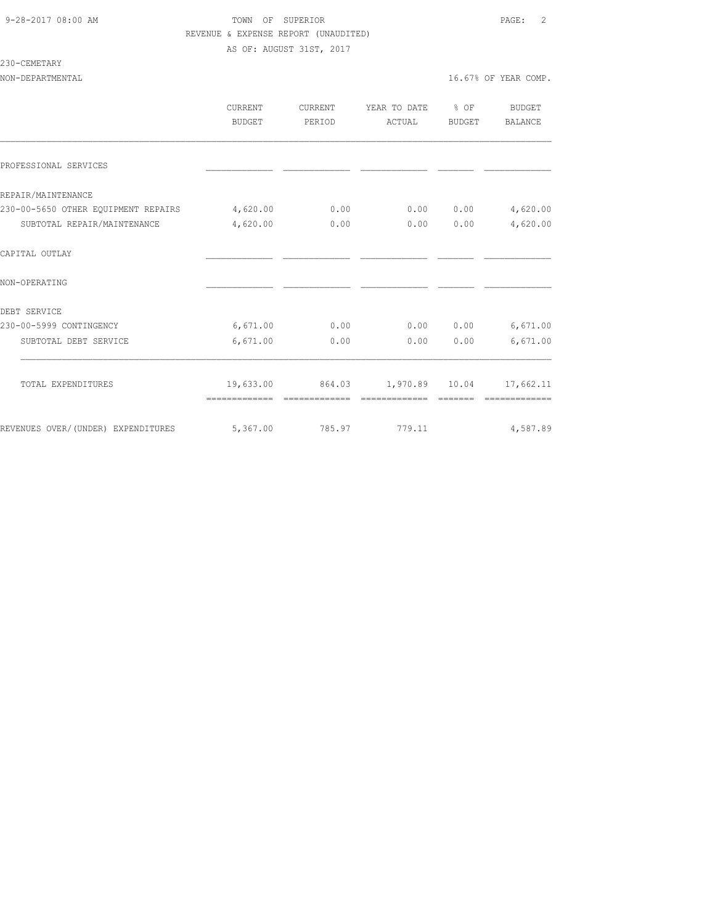## 9-28-2017 08:00 AM TOWN OF SUPERIOR PAGE: 2 REVENUE & EXPENSE REPORT (UNAUDITED) AS OF: AUGUST 31ST, 2017

230-CEMETARY

NON-DEPARTMENTAL 16.67% OF YEAR COMP.

|                                     | <b>CURRENT</b><br>BUDGET | <b>CURRENT</b><br>PERIOD | YEAR TO DATE % OF<br>ACTUAL | BUDGET | <b>BUDGET</b><br>BALANCE |
|-------------------------------------|--------------------------|--------------------------|-----------------------------|--------|--------------------------|
| PROFESSIONAL SERVICES               |                          |                          |                             |        |                          |
| REPAIR/MAINTENANCE                  |                          |                          |                             |        |                          |
| 230-00-5650 OTHER EOUIPMENT REPAIRS | 4,620.00                 | 0.00                     | 0.00                        | 0.00   | 4,620.00                 |
| SUBTOTAL REPAIR/MAINTENANCE         | 4,620.00                 | 0.00                     | 0.00                        | 0.00   | 4,620.00                 |
| CAPITAL OUTLAY                      |                          |                          |                             |        |                          |
| NON-OPERATING                       |                          |                          |                             |        |                          |
| DEBT SERVICE                        |                          |                          |                             |        |                          |
| 230-00-5999 CONTINGENCY             | 6,671.00                 | 0.00                     | 0.00                        | 0.00   | 6,671.00                 |
| SUBTOTAL DEBT SERVICE               | 6,671.00                 | 0.00                     | 0.00                        | 0.00   | 6,671.00                 |
| TOTAL EXPENDITURES                  | 19,633.00                |                          | 864.03 1,970.89 10.04       |        | 17,662.11                |
| REVENUES OVER/(UNDER) EXPENDITURES  | 5,367.00                 |                          | 785.97 779.11               |        | 4,587.89                 |
|                                     |                          |                          |                             |        |                          |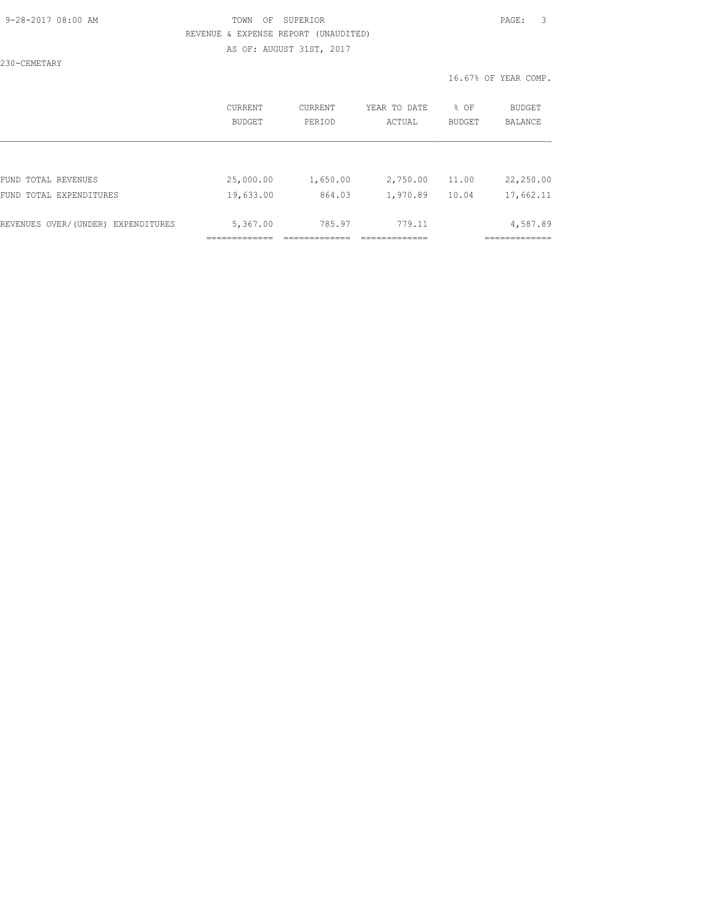## 9-28-2017 08:00 AM TOWN OF SUPERIOR PAGE: 3 REVENUE & EXPENSE REPORT (UNAUDITED) AS OF: AUGUST 31ST, 2017

230-CEMETARY

|                                    | CURRENT<br>BUDGET | <b>CURRENT</b><br>PERIOD | YEAR TO DATE<br>ACTUAL | % OF<br><b>BUDGET</b> | <b>BUDGET</b><br><b>BALANCE</b> |
|------------------------------------|-------------------|--------------------------|------------------------|-----------------------|---------------------------------|
|                                    |                   |                          |                        |                       |                                 |
| FUND TOTAL REVENUES                | 25,000.00         | 1,650.00                 | 2,750.00               | 11.00                 | 22,250.00                       |
| FUND TOTAL EXPENDITURES            | 19,633.00         | 864.03                   | 1,970.89               | 10.04                 | 17,662.11                       |
|                                    |                   |                          |                        |                       |                                 |
| REVENUES OVER/(UNDER) EXPENDITURES | 5,367.00          | 785.97                   | 779.11                 |                       | 4,587.89                        |
|                                    |                   |                          |                        |                       |                                 |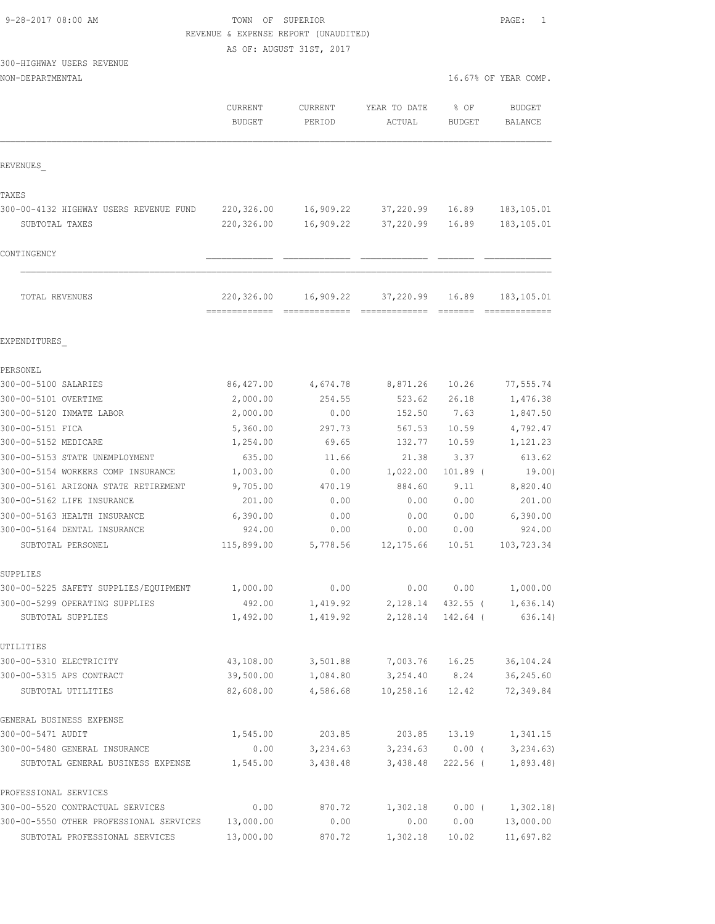# TOWN OF SUPERIOR **PAGE:** 1 REVENUE & EXPENSE REPORT (UNAUDITED)

AS OF: AUGUST 31ST, 2017

# 300-HIGHWAY USERS REVENUE

| NON-DEPARTMENTAL | 16.67% OF YEAR COMP. |  |  |  |  |
|------------------|----------------------|--|--|--|--|
|------------------|----------------------|--|--|--|--|

| 16.67% OF YEAR COMP. |  |  |
|----------------------|--|--|
|                      |  |  |

|                                                     | CURRENT<br><b>BUDGET</b> | <b>CURRENT</b><br>PERIOD | YEAR TO DATE<br>ACTUAL | $%$ OF<br><b>BUDGET</b>        | <b>BUDGET</b><br>BALANCE       |
|-----------------------------------------------------|--------------------------|--------------------------|------------------------|--------------------------------|--------------------------------|
| REVENUES                                            |                          |                          |                        |                                |                                |
| TAXES                                               |                          |                          |                        |                                |                                |
| 300-00-4132 HIGHWAY USERS REVENUE FUND              | 220,326.00               |                          | 16,909.22 37,220.99    | 16.89                          | 183,105.01                     |
| SUBTOTAL TAXES                                      | 220,326.00               | 16,909.22                | 37,220.99              | 16.89                          | 183, 105.01                    |
| CONTINGENCY                                         |                          |                          |                        |                                |                                |
| TOTAL REVENUES                                      | 220,326.00               | 16,909.22                | 37,220.99              | 16.89                          | 183, 105.01                    |
| EXPENDITURES                                        |                          |                          |                        |                                |                                |
| PERSONEL                                            |                          |                          |                        |                                |                                |
| 300-00-5100 SALARIES                                | 86, 427.00               | 4,674.78                 | 8,871.26               | 10.26                          | 77,555.74                      |
| 300-00-5101 OVERTIME                                | 2,000.00                 | 254.55                   | 523.62                 | 26.18                          | 1,476.38                       |
| 300-00-5120 INMATE LABOR                            | 2,000.00                 | 0.00                     | 152.50                 | 7.63                           | 1,847.50                       |
| 300-00-5151 FICA                                    | 5,360.00                 | 297.73                   | 567.53                 | 10.59                          | 4,792.47                       |
| 300-00-5152 MEDICARE                                | 1,254.00                 | 69.65                    | 132.77                 | 10.59                          | 1,121.23                       |
| 300-00-5153 STATE UNEMPLOYMENT                      | 635.00                   | 11.66                    | 21.38                  | 3.37                           | 613.62                         |
| 300-00-5154 WORKERS COMP INSURANCE                  | 1,003.00                 | 0.00                     | 1,022.00               | $101.89$ (                     | 19.00)                         |
| 300-00-5161 ARIZONA STATE RETIREMENT                | 9,705.00                 | 470.19                   | 884.60                 | 9.11                           | 8,820.40                       |
| 300-00-5162 LIFE INSURANCE                          | 201.00                   | 0.00                     | 0.00                   | 0.00                           | 201.00                         |
| 300-00-5163 HEALTH INSURANCE                        | 6,390.00                 | 0.00                     | 0.00                   | 0.00                           | 6,390.00                       |
| 300-00-5164 DENTAL INSURANCE                        | 924.00                   | 0.00                     | 0.00                   | 0.00                           | 924.00                         |
| SUBTOTAL PERSONEL                                   | 115,899.00               | 5,778.56                 | 12, 175.66             | 10.51                          | 103,723.34                     |
| SUPPLIES                                            |                          |                          |                        |                                |                                |
| 300-00-5225 SAFETY SUPPLIES/EQUIPMENT               | 1,000.00                 | 0.00                     | 0.00                   | 0.00                           | 1,000.00                       |
| 300-00-5299 OPERATING SUPPLIES<br>SUBTOTAL SUPPLIES | 492.00<br>1,492.00       | 1,419.92<br>1,419.92     | 2,128.14               | 432.55 (<br>2, 128.14 142.64 ( | 1,636.14)<br>636.14)           |
| UTILITIES                                           |                          |                          |                        |                                |                                |
| 300-00-5310 ELECTRICITY                             | 43,108.00                | 3,501.88                 | 7,003.76               | 16.25                          | 36, 104.24                     |
| 300-00-5315 APS CONTRACT                            | 39,500.00                | 1,084.80                 | 3,254.40               | 8.24                           | 36,245.60                      |
| SUBTOTAL UTILITIES                                  | 82,608.00                | 4,586.68                 | 10,258.16              | 12.42                          | 72,349.84                      |
| GENERAL BUSINESS EXPENSE                            |                          |                          |                        |                                |                                |
| 300-00-5471 AUDIT                                   | 1,545.00                 | 203.85                   | 203.85                 | 13.19                          | 1,341.15                       |
| 300-00-5480 GENERAL INSURANCE                       | 0.00                     | 3,234.63                 |                        |                                | $3,234.63$ 0.00 ( $3,234.63$ ) |
| SUBTOTAL GENERAL BUSINESS EXPENSE                   | 1,545.00                 | 3,438.48                 | 3,438.48               |                                | 222.56 ( 1,893.48)             |
| PROFESSIONAL SERVICES                               |                          |                          |                        |                                |                                |
| 300-00-5520 CONTRACTUAL SERVICES                    | 0.00                     | 870.72                   | 1,302.18               | $0.00$ (                       | 1,302.18)                      |
| 300-00-5550 OTHER PROFESSIONAL SERVICES             | 13,000.00                | 0.00                     | 0.00                   | 0.00                           | 13,000.00                      |
| SUBTOTAL PROFESSIONAL SERVICES                      | 13,000.00                | 870.72                   | 1,302.18               | 10.02                          | 11,697.82                      |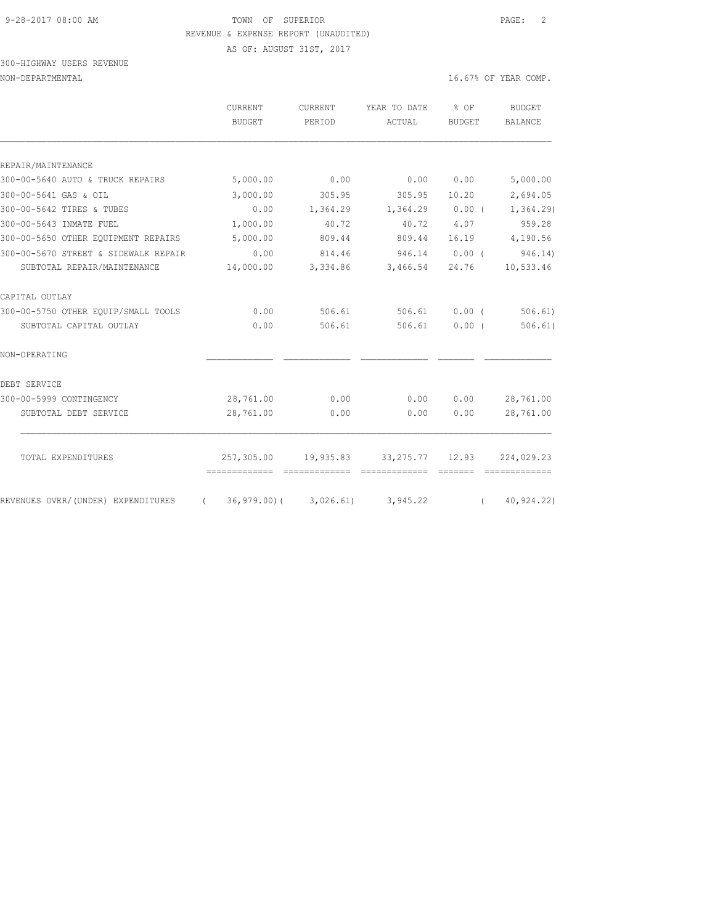#### 9-28-2017 08:00 AM TOWN OF SUPERIOR PAGE: 2 REVENUE & EXPENSE REPORT (UNAUDITED)

AS OF: AUGUST 31ST, 2017

## 300-HIGHWAY USERS REVENUE NON-DEPARTMENTAL 16.67% OF YEAR COMP.

|                                      | CURRENT<br><b>BUDGET</b> | CURRENT<br>PERIOD          | YEAR TO DATE<br>ACTUAL | $\frac{8}{6}$ OF<br>BUDGET | <b>BUDGET</b><br><b>BALANCE</b> |
|--------------------------------------|--------------------------|----------------------------|------------------------|----------------------------|---------------------------------|
|                                      |                          |                            |                        |                            |                                 |
| REPAIR/MAINTENANCE                   |                          |                            |                        |                            |                                 |
| 300-00-5640 AUTO & TRUCK REPAIRS     | 5,000.00                 | 0.00                       | 0.00                   | 0.00                       | 5,000.00                        |
| 300-00-5641 GAS & OIL                | 3,000.00                 | 305.95                     | 305.95                 | 10.20                      | 2,694.05                        |
| 300-00-5642 TIRES & TUBES            | 0.00                     | 1,364.29                   | $1,364.29$ 0.00 (      |                            | 1, 364.29                       |
| 300-00-5643 INMATE FUEL              | 1,000.00                 | 40.72                      | 40.72                  | 4.07                       | 959.28                          |
| 300-00-5650 OTHER EQUIPMENT REPAIRS  | 5,000.00                 | 809.44                     | 809.44                 | 16.19                      | 4,190.56                        |
| 300-00-5670 STREET & SIDEWALK REPAIR | 0.00                     | 814.46                     | 946.14                 | 0.00(                      | 946.14)                         |
| SUBTOTAL REPAIR/MAINTENANCE          | 14,000.00                | 3,334.86                   | 3,466.54               | 24.76                      | 10,533.46                       |
| CAPITAL OUTLAY                       |                          |                            |                        |                            |                                 |
| 300-00-5750 OTHER EQUIP/SMALL TOOLS  | 0.00                     | 506.61                     | 506.61                 | $0.00$ (                   | 506.61)                         |
| SUBTOTAL CAPITAL OUTLAY              | 0.00                     | 506.61                     | 506.61                 | 0.00(                      | 506.61)                         |
| NON-OPERATING                        |                          |                            |                        |                            |                                 |
| DEBT SERVICE                         |                          |                            |                        |                            |                                 |
| 300-00-5999 CONTINGENCY              | 28,761.00                | 0.00                       | 0.00                   | 0.00                       | 28,761.00                       |
| SUBTOTAL DEBT SERVICE                | 28,761.00                | 0.00                       | 0.00                   | 0.00                       | 28,761.00                       |
| TOTAL EXPENDITURES                   | 257,305.00               | 19,935.83                  | 33, 275. 77 12. 93     |                            | 224,029.23                      |
|                                      |                          |                            |                        |                            |                                 |
| REVENUES OVER/(UNDER) EXPENDITURES   | $\sqrt{2}$               | $36,979.00$ ( $3,026.61$ ) | 3,945.22               |                            | (40, 924, 22)                   |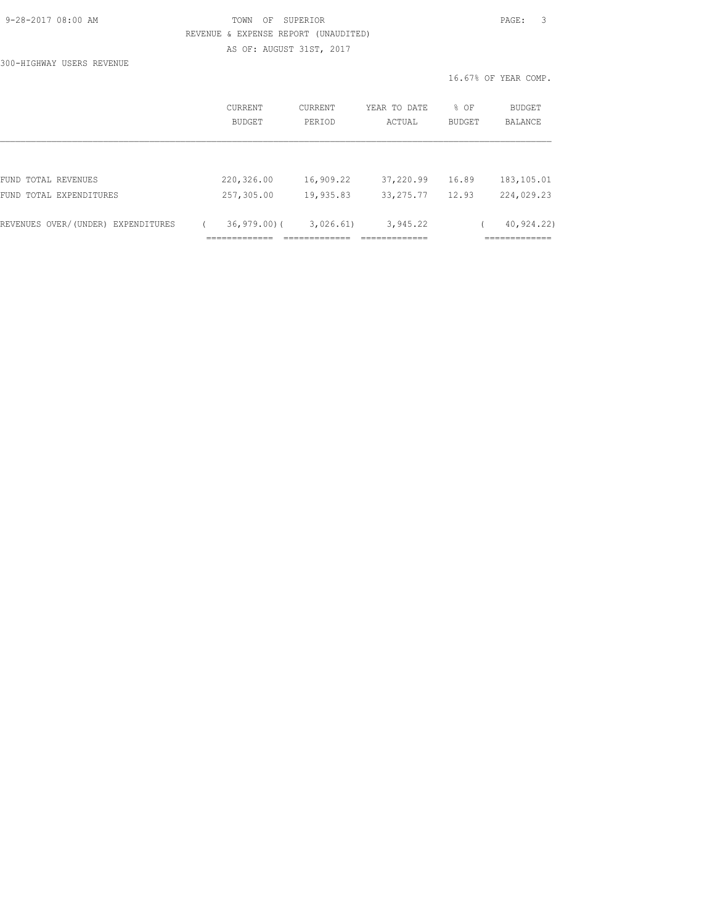| 9-28-2017 08:00 AM |  |
|--------------------|--|
|                    |  |

# TOWN OF SUPERIOR **Example 2017** PAGE: 3 REVENUE & EXPENSE REPORT (UNAUDITED) AS OF: AUGUST 31ST, 2017

300-HIGHWAY USERS REVENUE

| CURRENT<br><b>BUDGET</b> | <b>CURRENT</b><br>PERIOD | YEAR TO DATE<br>ACTUAL | % OF<br><b>BUDGET</b> | <b>BUDGET</b><br><b>BALANCE</b> |
|--------------------------|--------------------------|------------------------|-----------------------|---------------------------------|
|                          |                          |                        |                       |                                 |
| 220,326.00               | 16,909.22                | 37,220.99              | 16.89                 | 183, 105.01                     |
| 257,305.00               | 19,935.83                | 33, 275. 77            | 12.93                 | 224,029.23                      |
|                          | 3,026.61)                | 3,945.22               |                       | 40,924.22)                      |
|                          |                          | $36, 979.00$ (         |                       |                                 |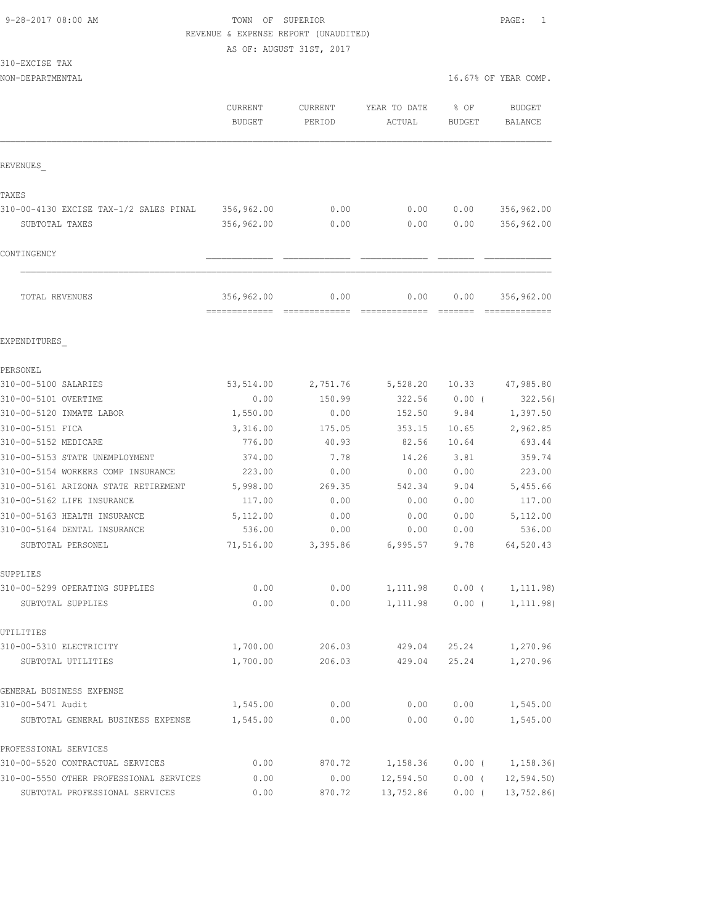#### 9-28-2017 08:00 AM TOWN OF SUPERIOR PAGE: 1 REVENUE & EXPENSE REPORT (UNAUDITED)

AS OF: AUGUST 31ST, 2017

|  |  | 310-EXCISE TAX |  |
|--|--|----------------|--|
|--|--|----------------|--|

NON-DEPARTMENTAL 16.67% OF YEAR COMP.

|                                         | <b>CURRENT</b><br><b>BUDGET</b> | <b>CURRENT</b><br>PERIOD | YEAR TO DATE<br>ACTUAL | % OF<br><b>BUDGET</b> | <b>BUDGET</b><br>BALANCE |
|-----------------------------------------|---------------------------------|--------------------------|------------------------|-----------------------|--------------------------|
| REVENUES                                |                                 |                          |                        |                       |                          |
| TAXES                                   |                                 |                          |                        |                       |                          |
| 310-00-4130 EXCISE TAX-1/2 SALES PINAL  | 356,962.00                      | 0.00                     | 0.00                   | 0.00                  | 356,962.00               |
| SUBTOTAL TAXES                          | 356,962.00                      | 0.00                     | 0.00                   | 0.00                  | 356,962.00               |
| CONTINGENCY                             |                                 |                          |                        |                       |                          |
| TOTAL REVENUES                          | 356,962.00<br>-------------     | 0.00                     | 0.00                   | 0.00<br>=======       | 356,962.00               |
| EXPENDITURES                            |                                 |                          |                        |                       |                          |
| PERSONEL                                |                                 |                          |                        |                       |                          |
| 310-00-5100 SALARIES                    | 53,514.00                       | 2,751.76                 | 5,528.20               | 10.33                 | 47,985.80                |
| 310-00-5101 OVERTIME                    | 0.00                            | 150.99                   | 322.56                 | $0.00$ (              | 322.56)                  |
| 310-00-5120 INMATE LABOR                | 1,550.00                        | 0.00                     | 152.50                 | 9.84                  | 1,397.50                 |
| 310-00-5151 FICA                        | 3,316.00                        | 175.05                   | 353.15                 | 10.65                 | 2,962.85                 |
| 310-00-5152 MEDICARE                    | 776.00                          | 40.93                    | 82.56                  | 10.64                 | 693.44                   |
| 310-00-5153 STATE UNEMPLOYMENT          | 374.00                          | 7.78                     | 14.26                  | 3.81                  | 359.74                   |
| 310-00-5154 WORKERS COMP INSURANCE      | 223.00                          | 0.00                     | 0.00                   | 0.00                  | 223.00                   |
| 310-00-5161 ARIZONA STATE RETIREMENT    | 5,998.00                        | 269.35                   | 542.34                 | 9.04                  | 5,455.66                 |
| 310-00-5162 LIFE INSURANCE              | 117.00                          | 0.00                     | 0.00                   | 0.00                  | 117.00                   |
| 310-00-5163 HEALTH INSURANCE            | 5,112.00                        | 0.00                     | 0.00                   | 0.00                  | 5,112.00                 |
| 310-00-5164 DENTAL INSURANCE            | 536.00                          | 0.00                     | 0.00                   | 0.00                  | 536.00                   |
| SUBTOTAL PERSONEL                       | 71,516.00                       | 3,395.86                 | 6,995.57               | 9.78                  | 64,520.43                |
| SUPPLIES                                |                                 |                          |                        |                       |                          |
| 310-00-5299 OPERATING SUPPLIES          | 0.00                            | 0.00                     | 1,111.98               | 0.00(                 | 1, 111.98)               |
| SUBTOTAL SUPPLIES                       | 0.00                            | 0.00                     | 1,111.98               | $0.00$ (              | 1, 111.98)               |
| UTILITIES                               |                                 |                          |                        |                       |                          |
| 310-00-5310 ELECTRICITY                 | 1,700.00                        | 206.03                   | 429.04                 | 25.24                 | 1,270.96                 |
| SUBTOTAL UTILITIES                      | 1,700.00                        | 206.03                   | 429.04                 | 25.24                 | 1,270.96                 |
| GENERAL BUSINESS EXPENSE                |                                 |                          |                        |                       |                          |
| 310-00-5471 Audit                       | 1,545.00                        | 0.00                     | 0.00                   | 0.00                  | 1,545.00                 |
| SUBTOTAL GENERAL BUSINESS EXPENSE       | 1,545.00                        | 0.00                     | 0.00                   | 0.00                  | 1,545.00                 |
| PROFESSIONAL SERVICES                   |                                 |                          |                        |                       |                          |
| 310-00-5520 CONTRACTUAL SERVICES        | 0.00                            | 870.72                   | 1,158.36               | $0.00$ (              | 1,158.36)                |
| 310-00-5550 OTHER PROFESSIONAL SERVICES | 0.00                            | 0.00                     | 12,594.50              | $0.00$ (              | 12, 594.50               |
| SUBTOTAL PROFESSIONAL SERVICES          | 0.00                            | 870.72                   | 13,752.86              | $0.00$ (              | 13,752.86)               |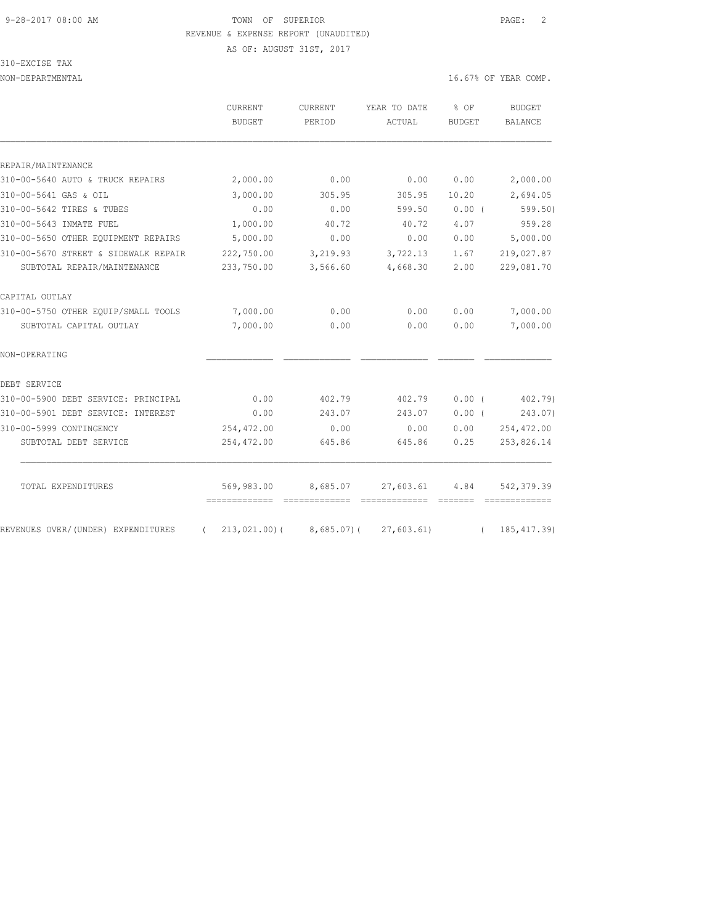# 9-28-2017 08:00 AM **TOWN** OF SUPERIOR **PAGE:** 2 REVENUE & EXPENSE REPORT (UNAUDITED)

AS OF: AUGUST 31ST, 2017

310-EXCISE TAX

NON-DEPARTMENTAL 16.67% OF YEAR COMP.

| CURRENT<br><b>BUDGET</b> | <b>CURRENT</b><br>PERIOD | YEAR TO DATE<br>ACTUAL | % OF<br><b>BUDGET</b> | BUDGET<br><b>BALANCE</b> |
|--------------------------|--------------------------|------------------------|-----------------------|--------------------------|
|                          |                          |                        |                       |                          |
|                          |                          |                        |                       |                          |
| 2,000.00                 | 0.00                     | 0.00                   | 0.00                  | 2,000.00                 |
| 3,000.00                 | 305.95                   | 305.95                 | 10.20                 | 2,694.05                 |
| 0.00                     | 0.00                     | 599.50                 | 0.00(                 | $599.50$ )               |
| 1,000.00                 | 40.72                    | 40.72                  | 4.07                  | 959.28                   |
| 5,000.00                 | 0.00                     | 0.00                   | 0.00                  | 5,000.00                 |
| 222,750.00               | 3,219.93                 | 3,722.13               | 1.67                  | 219,027.87               |
| 233,750.00               | 3,566.60                 | 4,668.30               | 2.00                  | 229,081.70               |
|                          |                          |                        |                       |                          |
| 7,000.00                 | 0.00                     | 0.00                   | 0.00                  | 7,000.00                 |
| 7,000.00                 | 0.00                     | 0.00                   | 0.00                  | 7,000.00                 |
|                          |                          |                        |                       |                          |
|                          |                          |                        |                       |                          |
| 0.00                     | 402.79                   | 402.79                 | 0.00(                 | 402.79)                  |
| 0.00                     | 243.07                   | 243.07                 | $0.00$ (              | 243.07)                  |
| 254,472.00               | 0.00                     | 0.00                   | 0.00                  | 254,472.00               |
| 254,472.00               | 645.86                   | 645.86                 | 0.25                  | 253,826.14               |
|                          |                          |                        |                       |                          |
|                          |                          |                        |                       |                          |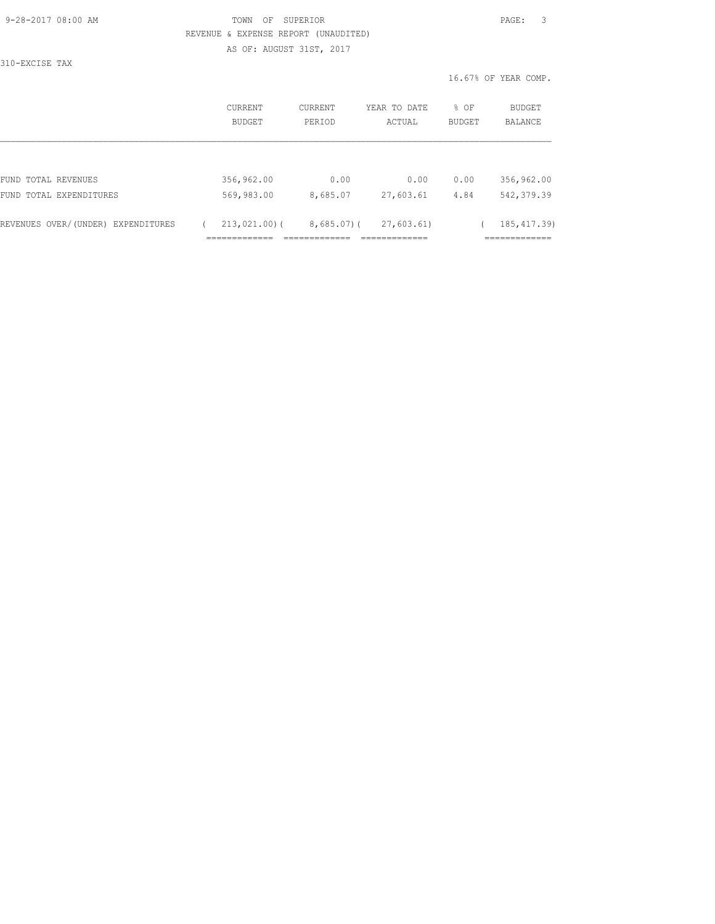## 9-28-2017 08:00 AM TOWN OF SUPERIOR PAGE: 3 REVENUE & EXPENSE REPORT (UNAUDITED) AS OF: AUGUST 31ST, 2017

310-EXCISE TAX

| <b>CURRENT</b><br>BUDGET | CURRENT<br>PERIOD            | YEAR TO DATE<br>ACTUAL                     | % OF<br>BUDGET | <b>BUDGET</b><br>BALANCE                   |
|--------------------------|------------------------------|--------------------------------------------|----------------|--------------------------------------------|
|                          |                              |                                            |                |                                            |
| 356,962.00               | 0.00                         | 0.00                                       | 0.00           | 356,962.00                                 |
| 569,983.00               | 8,685.07                     | 27,603.61                                  | 4.84           | 542, 379.39                                |
| $213,021,00$ (           | ________                     | 27,603.61)<br>_____________<br>----------- |                | 185, 417.39)<br>____________<br>__________ |
|                          | _____________<br>----------- |                                            | $8,685.07$ ) ( |                                            |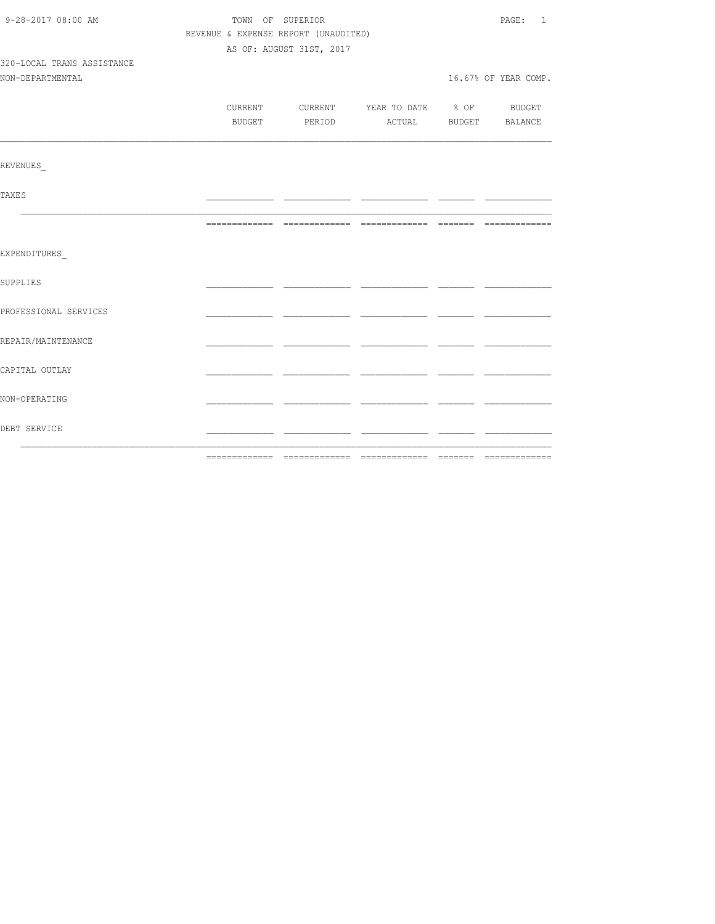| 9-28-2017 08:00 AM         | TOWN OF SUPERIOR                     |                          |                                          | PAGE:<br>$\overline{1}$ |
|----------------------------|--------------------------------------|--------------------------|------------------------------------------|-------------------------|
|                            | REVENUE & EXPENSE REPORT (UNAUDITED) |                          |                                          |                         |
|                            |                                      | AS OF: AUGUST 31ST, 2017 |                                          |                         |
| 320-LOCAL TRANS ASSISTANCE |                                      |                          |                                          |                         |
| NON-DEPARTMENTAL           |                                      |                          |                                          | 16.67% OF YEAR COMP.    |
|                            |                                      |                          |                                          |                         |
|                            |                                      |                          | CURRENT CURRENT YEAR TO DATE % OF BUDGET |                         |
|                            |                                      | BUDGET PERIOD            | ACTUAL BUDGET BALANCE                    |                         |
|                            |                                      |                          |                                          |                         |
| REVENUES                   |                                      |                          |                                          |                         |
| <b>TAXES</b>               |                                      |                          |                                          |                         |
|                            |                                      |                          |                                          |                         |
| EXPENDITURES               |                                      |                          |                                          |                         |
| SUPPLIES                   |                                      |                          |                                          |                         |
| PROFESSIONAL SERVICES      |                                      |                          |                                          |                         |
| REPAIR/MAINTENANCE         |                                      |                          |                                          |                         |
| CAPITAL OUTLAY             |                                      |                          |                                          |                         |
| NON-OPERATING              |                                      |                          |                                          |                         |
| DEBT SERVICE               |                                      |                          |                                          |                         |
|                            |                                      |                          |                                          |                         |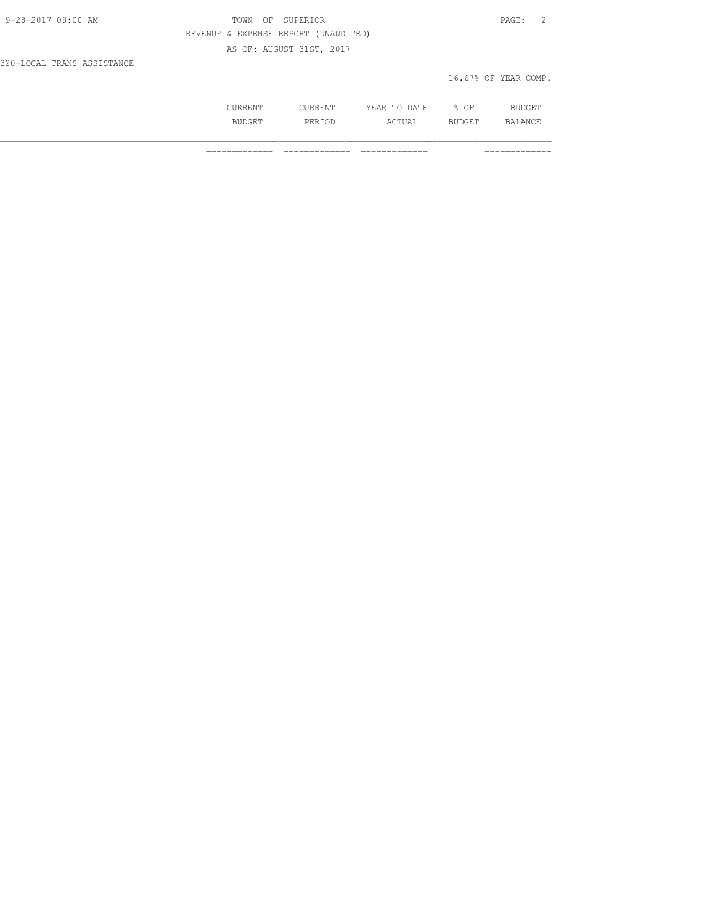| 9-28-2017 08:00 AM         | TOWN OF SUPERIOR                     | PAGE:                |  |
|----------------------------|--------------------------------------|----------------------|--|
|                            | REVENUE & EXPENSE REPORT (UNAUDITED) |                      |  |
|                            | AS OF: AUGUST 31ST, 2017             |                      |  |
| 320-LOCAL TRANS ASSISTANCE |                                      |                      |  |
|                            |                                      | 16.67% OF YEAR COMP. |  |

| . |               | A mr.<br>----<br>----- | OF<br>-<br>- | المستقلة والمنافسة |
|---|---------------|------------------------|--------------|--------------------|
|   | التالان<br>UL | $\cdots$<br>----       | ۔ سرے        | ΔN                 |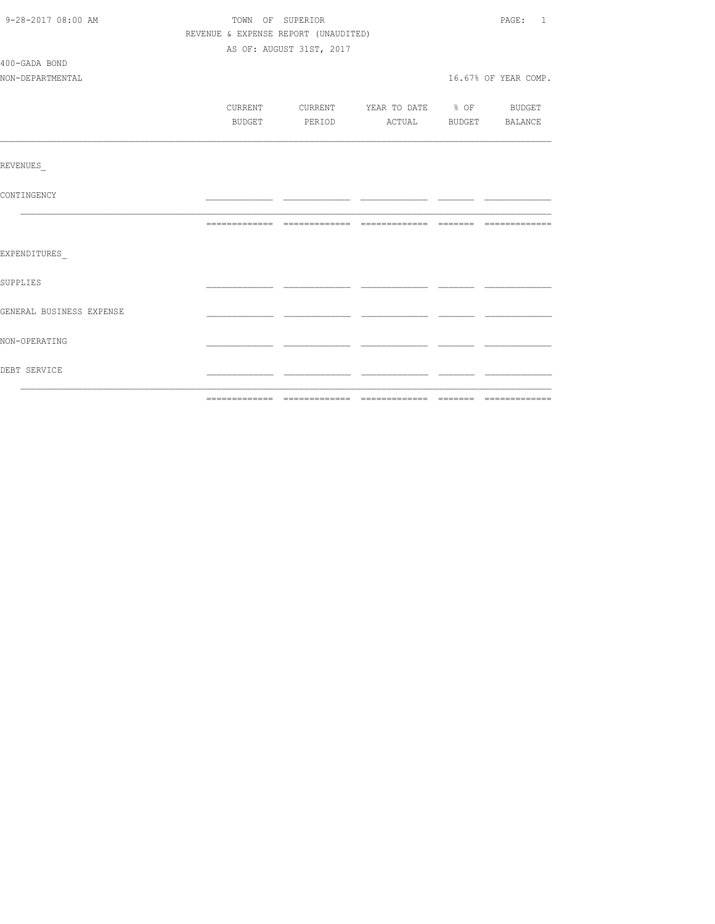| 9-28-2017 08:00 AM       | TOWN OF SUPERIOR                     | PAGE: 1                  |                                          |  |                      |
|--------------------------|--------------------------------------|--------------------------|------------------------------------------|--|----------------------|
|                          | REVENUE & EXPENSE REPORT (UNAUDITED) |                          |                                          |  |                      |
|                          |                                      | AS OF: AUGUST 31ST, 2017 |                                          |  |                      |
| 400-GADA BOND            |                                      |                          |                                          |  |                      |
| NON-DEPARTMENTAL         |                                      |                          |                                          |  | 16.67% OF YEAR COMP. |
|                          |                                      |                          |                                          |  |                      |
|                          |                                      |                          | CURRENT CURRENT YEAR TO DATE % OF BUDGET |  |                      |
|                          | BUDGET                               |                          | PERIOD ACTUAL BUDGET BALANCE             |  |                      |
|                          |                                      |                          |                                          |  |                      |
| <b>REVENUES</b>          |                                      |                          |                                          |  |                      |
| CONTINGENCY              |                                      |                          |                                          |  |                      |
|                          |                                      |                          |                                          |  |                      |
| EXPENDITURES             |                                      |                          |                                          |  |                      |
| SUPPLIES                 |                                      |                          |                                          |  |                      |
| GENERAL BUSINESS EXPENSE |                                      |                          |                                          |  |                      |
| NON-OPERATING            |                                      |                          |                                          |  |                      |
| DEBT SERVICE             |                                      |                          |                                          |  |                      |
|                          |                                      |                          |                                          |  |                      |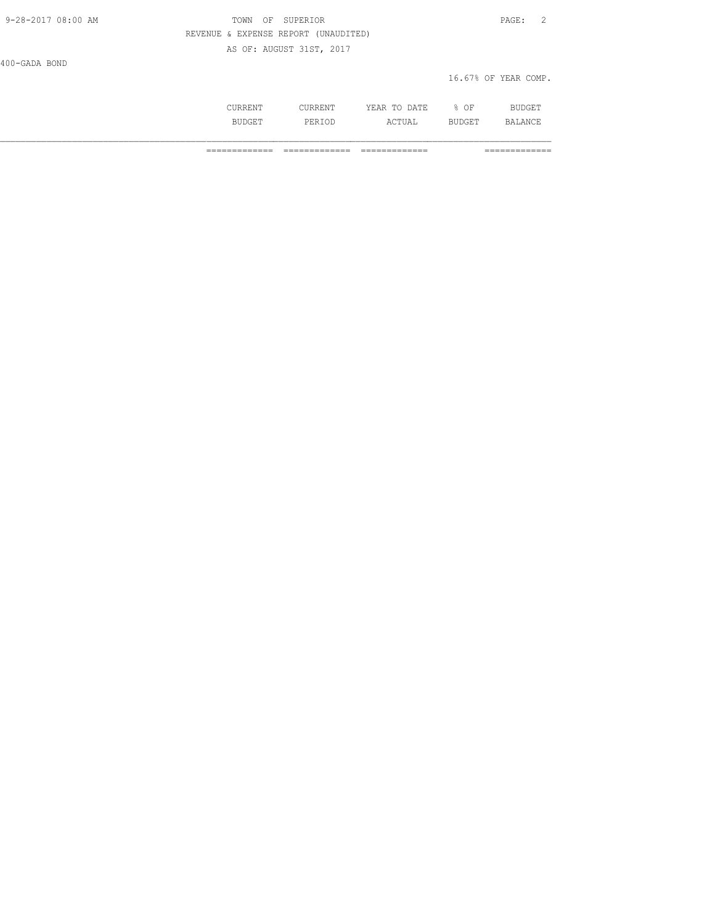| 9-28-2017 08:00 AM | SUPERIOR<br>- OF<br>TOWN             | PAGE:                |
|--------------------|--------------------------------------|----------------------|
|                    | REVENUE & EXPENSE REPORT (UNAUDITED) |                      |
|                    | AS OF: AUGUST 31ST, 2017             |                      |
| 400-GADA BOND      |                                      |                      |
|                    |                                      | 16.67% OF YEAR COMP. |

| ៶៱៶៲៲៱៱ |              | ∕ ∣.<br>۱Δ<br>----<br>----- | ΟF | الدساك والمنافذة |
|---------|--------------|-----------------------------|----|------------------|
|         | برا د .<br>. | ے دے                        |    | ΔNΙ              |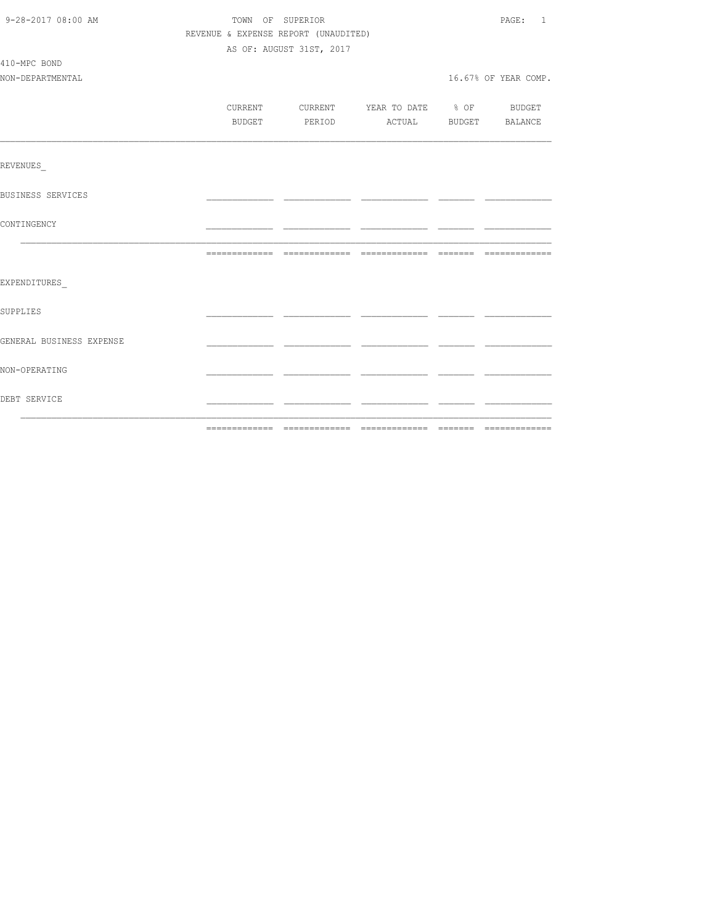| 9-28-2017 08:00 AM               | TOWN OF SUPERIOR<br>REVENUE & EXPENSE REPORT (UNAUDITED)<br>AS OF: AUGUST 31ST, 2017 |  |  |                                                                                 |  | PAGE: 1              |
|----------------------------------|--------------------------------------------------------------------------------------|--|--|---------------------------------------------------------------------------------|--|----------------------|
| 410-MPC BOND<br>NON-DEPARTMENTAL |                                                                                      |  |  |                                                                                 |  | 16.67% OF YEAR COMP. |
|                                  |                                                                                      |  |  | CURRENT CURRENT YEAR TO DATE % OF BUDGET<br>BUDGET PERIOD ACTUAL BUDGET BALANCE |  |                      |
| <b>REVENUES</b>                  |                                                                                      |  |  |                                                                                 |  |                      |
| <b>BUSINESS SERVICES</b>         |                                                                                      |  |  |                                                                                 |  |                      |
| CONTINGENCY                      |                                                                                      |  |  |                                                                                 |  |                      |
|                                  |                                                                                      |  |  |                                                                                 |  |                      |
| EXPENDITURES                     |                                                                                      |  |  |                                                                                 |  |                      |
| SUPPLIES                         |                                                                                      |  |  |                                                                                 |  |                      |
| GENERAL BUSINESS EXPENSE         |                                                                                      |  |  |                                                                                 |  |                      |
| NON-OPERATING                    |                                                                                      |  |  |                                                                                 |  |                      |
| DEBT SERVICE                     |                                                                                      |  |  |                                                                                 |  |                      |
|                                  |                                                                                      |  |  |                                                                                 |  |                      |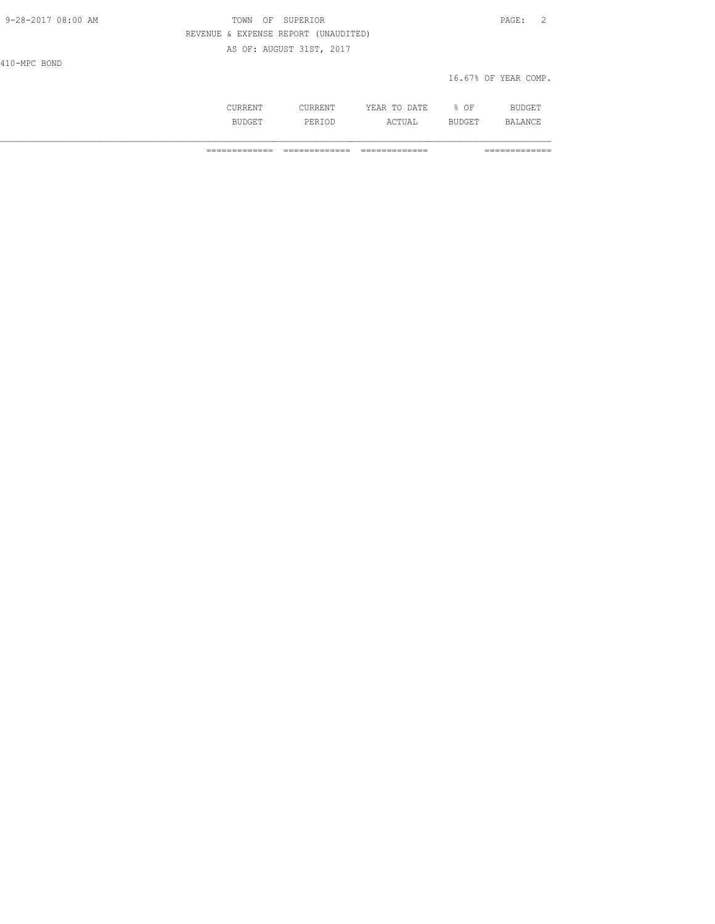| OF SUPERIOR<br>TOWN                  | PAGE: 2              |
|--------------------------------------|----------------------|
| REVENUE & EXPENSE REPORT (UNAUDITED) |                      |
| AS OF: AUGUST 31ST, 2017             |                      |
|                                      |                      |
|                                      | 16.67% OF YEAR COMP. |
|                                      |                      |
|                                      |                      |

 CURRENT CURRENT YEAR TO DATE % OF BUDGET BUDGET PERIOD ACTUAL BUDGET BALANCE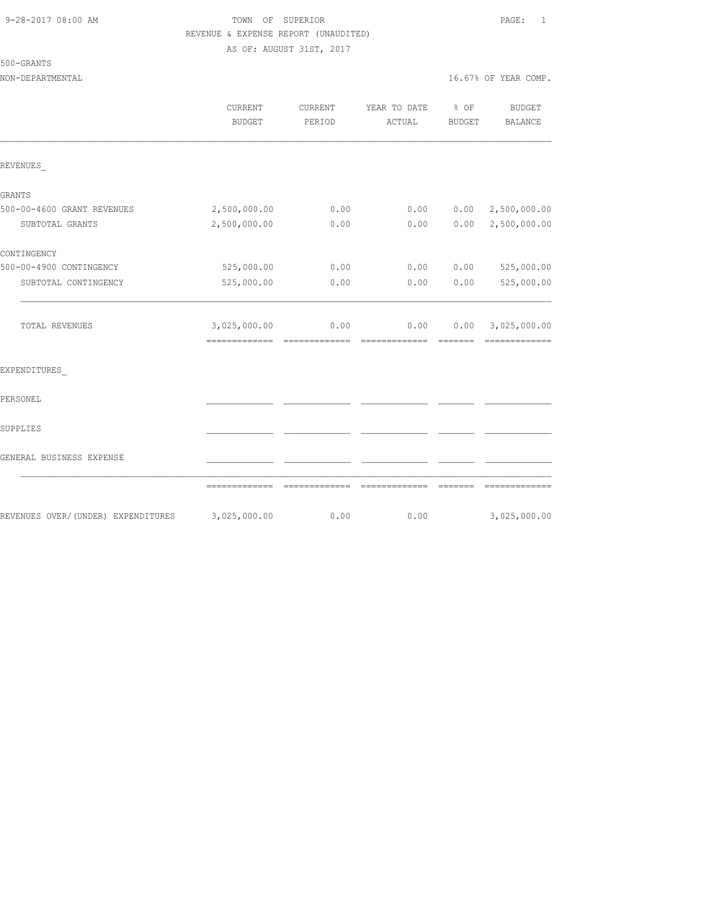## 9-28-2017 08:00 AM TOWN OF SUPERIOR PAGE: 1 REVENUE & EXPENSE REPORT (UNAUDITED) AS OF: AUGUST 31ST, 2017

500-GRANTS

|                                    | CURRENT<br><b>BUDGET</b>      | CURRENT<br>PERIOD                                                                                                                                                                                                                                                                                                                                                                                                                                                                              | YEAR TO DATE<br>ACTUAL | % OF<br><b>BUDGET</b> | <b>BUDGET</b><br><b>BALANCE</b>               |
|------------------------------------|-------------------------------|------------------------------------------------------------------------------------------------------------------------------------------------------------------------------------------------------------------------------------------------------------------------------------------------------------------------------------------------------------------------------------------------------------------------------------------------------------------------------------------------|------------------------|-----------------------|-----------------------------------------------|
| REVENUES                           |                               |                                                                                                                                                                                                                                                                                                                                                                                                                                                                                                |                        |                       |                                               |
| <b>GRANTS</b>                      |                               |                                                                                                                                                                                                                                                                                                                                                                                                                                                                                                |                        |                       |                                               |
| 500-00-4600 GRANT REVENUES         | 2,500,000.00                  | 0.00                                                                                                                                                                                                                                                                                                                                                                                                                                                                                           | 0.00                   | 0.00                  | 2,500,000.00                                  |
| SUBTOTAL GRANTS                    | 2,500,000.00                  | 0.00                                                                                                                                                                                                                                                                                                                                                                                                                                                                                           | 0.00                   | 0.00                  | 2,500,000.00                                  |
| CONTINGENCY                        |                               |                                                                                                                                                                                                                                                                                                                                                                                                                                                                                                |                        |                       |                                               |
| 500-00-4900 CONTINGENCY            | 525,000.00                    | 0.00                                                                                                                                                                                                                                                                                                                                                                                                                                                                                           | 0.00                   | 0.00                  | 525,000.00                                    |
| SUBTOTAL CONTINGENCY               | 525,000.00                    | 0.00                                                                                                                                                                                                                                                                                                                                                                                                                                                                                           | 0.00                   | 0.00                  | 525,000.00                                    |
| TOTAL REVENUES                     | 3,025,000.00<br>============= | 0.00<br>$\begin{array}{cccccccccc} \multicolumn{2}{c}{} & \multicolumn{2}{c}{} & \multicolumn{2}{c}{} & \multicolumn{2}{c}{} & \multicolumn{2}{c}{} & \multicolumn{2}{c}{} & \multicolumn{2}{c}{} & \multicolumn{2}{c}{} & \multicolumn{2}{c}{} & \multicolumn{2}{c}{} & \multicolumn{2}{c}{} & \multicolumn{2}{c}{} & \multicolumn{2}{c}{} & \multicolumn{2}{c}{} & \multicolumn{2}{c}{} & \multicolumn{2}{c}{} & \multicolumn{2}{c}{} & \multicolumn{2}{c}{} & \multicolumn{2}{c}{} & \mult$ | 0.00<br>============== | 0.00<br>--------      | 3,025,000.00<br>$=$ = = = = = = = = = = = = = |
| EXPENDITURES                       |                               |                                                                                                                                                                                                                                                                                                                                                                                                                                                                                                |                        |                       |                                               |
| PERSONEL                           |                               |                                                                                                                                                                                                                                                                                                                                                                                                                                                                                                |                        |                       |                                               |
| SUPPLIES                           |                               |                                                                                                                                                                                                                                                                                                                                                                                                                                                                                                |                        |                       |                                               |
| GENERAL BUSINESS EXPENSE           |                               |                                                                                                                                                                                                                                                                                                                                                                                                                                                                                                |                        |                       |                                               |
|                                    |                               |                                                                                                                                                                                                                                                                                                                                                                                                                                                                                                | =============          |                       |                                               |
| REVENUES OVER/(UNDER) EXPENDITURES | 3,025,000.00                  | 0.00                                                                                                                                                                                                                                                                                                                                                                                                                                                                                           | 0.00                   |                       | 3,025,000.00                                  |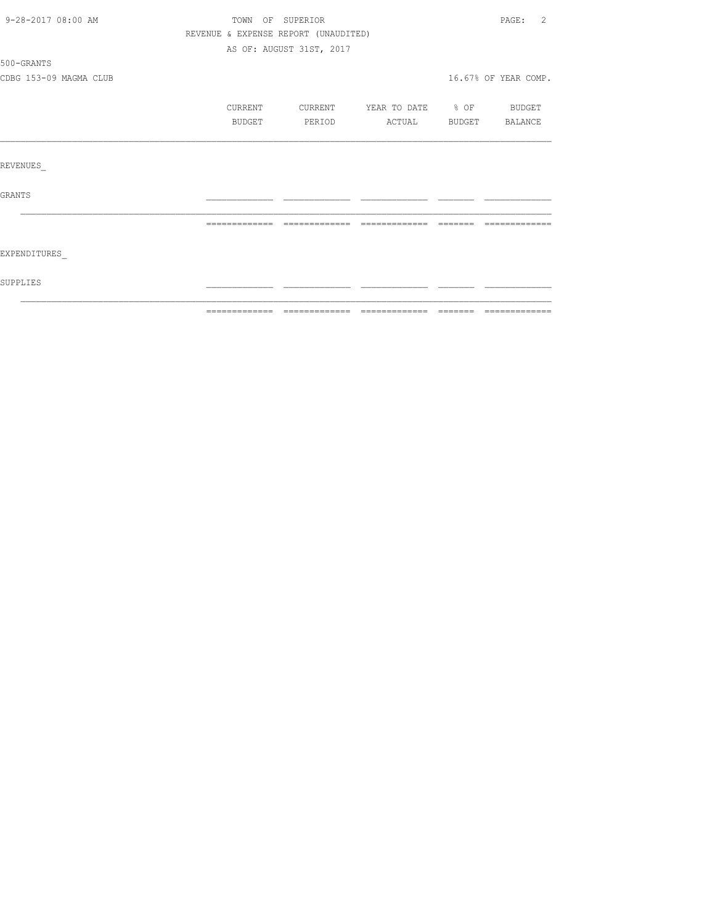| 9-28-2017 08:00 AM     |                                      | TOWN OF SUPERIOR         |                          | PAGE:<br>2           |
|------------------------|--------------------------------------|--------------------------|--------------------------|----------------------|
|                        | REVENUE & EXPENSE REPORT (UNAUDITED) |                          |                          |                      |
|                        |                                      | AS OF: AUGUST 31ST, 2017 |                          |                      |
| 500-GRANTS             |                                      |                          |                          |                      |
| CDBG 153-09 MAGMA CLUB |                                      |                          |                          | 16.67% OF YEAR COMP. |
|                        | CURRENT                              | CURRENT                  | YEAR TO DATE % OF BUDGET |                      |
|                        | BUDGET                               | PERIOD                   | ACTUAL BUDGET            | BALANCE              |
|                        |                                      |                          |                          |                      |
| REVENUES               |                                      |                          |                          |                      |
| <b>GRANTS</b>          |                                      |                          |                          |                      |
|                        |                                      |                          |                          |                      |
|                        |                                      |                          |                          |                      |
| <b>EXPENDITURES</b>    |                                      |                          |                          |                      |
| SUPPLIES               |                                      |                          |                          |                      |
|                        |                                      |                          |                          |                      |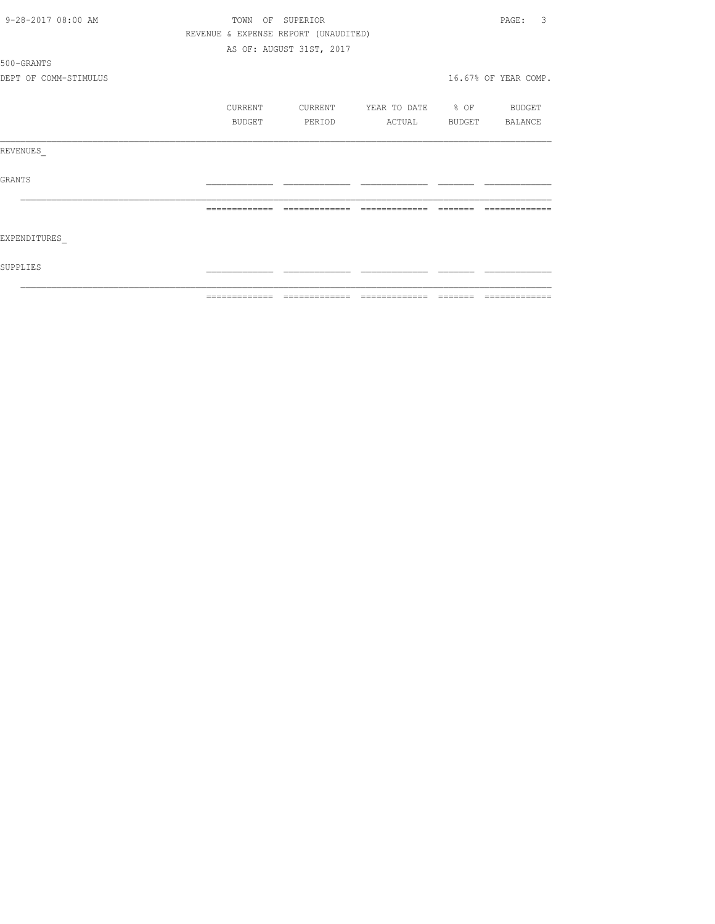|                       | ============= | $\begin{array}{c} \multicolumn{2}{c} {\textbf{2.4}} & \multicolumn{2}{c} {\textbf{2.5}} & \multicolumn{2}{c} {\textbf{2.6}} \\ \multicolumn{2}{c} {\textbf{2.6}} & \multicolumn{2}{c} {\textbf{2.6}} & \multicolumn{2}{c} {\textbf{2.6}} \\ \multicolumn{2}{c} {\textbf{2.6}} & \multicolumn{2}{c} {\textbf{2.6}} & \multicolumn{2}{c} {\textbf{2.6}} \\ \multicolumn{2}{c} {\textbf{2.6}} & \multicolumn{2}{c} {\textbf{2.6}} & \multicolumn{2}{c} {\textbf{2.$ | -------------     | -------- | =============        |
|-----------------------|---------------|------------------------------------------------------------------------------------------------------------------------------------------------------------------------------------------------------------------------------------------------------------------------------------------------------------------------------------------------------------------------------------------------------------------------------------------------------------------|-------------------|----------|----------------------|
| SUPPLIES              |               |                                                                                                                                                                                                                                                                                                                                                                                                                                                                  |                   |          |                      |
| EXPENDITURES          |               |                                                                                                                                                                                                                                                                                                                                                                                                                                                                  |                   |          |                      |
|                       |               | --------------                                                                                                                                                                                                                                                                                                                                                                                                                                                   | --------------    |          |                      |
| <b>GRANTS</b>         |               |                                                                                                                                                                                                                                                                                                                                                                                                                                                                  |                   |          |                      |
| REVENUES              |               |                                                                                                                                                                                                                                                                                                                                                                                                                                                                  |                   |          |                      |
|                       | <b>BUDGET</b> | PERIOD                                                                                                                                                                                                                                                                                                                                                                                                                                                           | ACTUAL            |          | BUDGET BALANCE       |
|                       | CURRENT       | CURRENT                                                                                                                                                                                                                                                                                                                                                                                                                                                          | YEAR TO DATE % OF |          | BUDGET               |
| DEPT OF COMM-STIMULUS |               |                                                                                                                                                                                                                                                                                                                                                                                                                                                                  |                   |          | 16.67% OF YEAR COMP. |
| 500-GRANTS            |               |                                                                                                                                                                                                                                                                                                                                                                                                                                                                  |                   |          |                      |
|                       |               | AS OF: AUGUST 31ST, 2017                                                                                                                                                                                                                                                                                                                                                                                                                                         |                   |          |                      |
|                       |               | REVENUE & EXPENSE REPORT (UNAUDITED)                                                                                                                                                                                                                                                                                                                                                                                                                             |                   |          |                      |
| 9-28-2017 08:00 AM    | TOWN          | OF SUPERIOR                                                                                                                                                                                                                                                                                                                                                                                                                                                      |                   |          | 3<br>PAGE:           |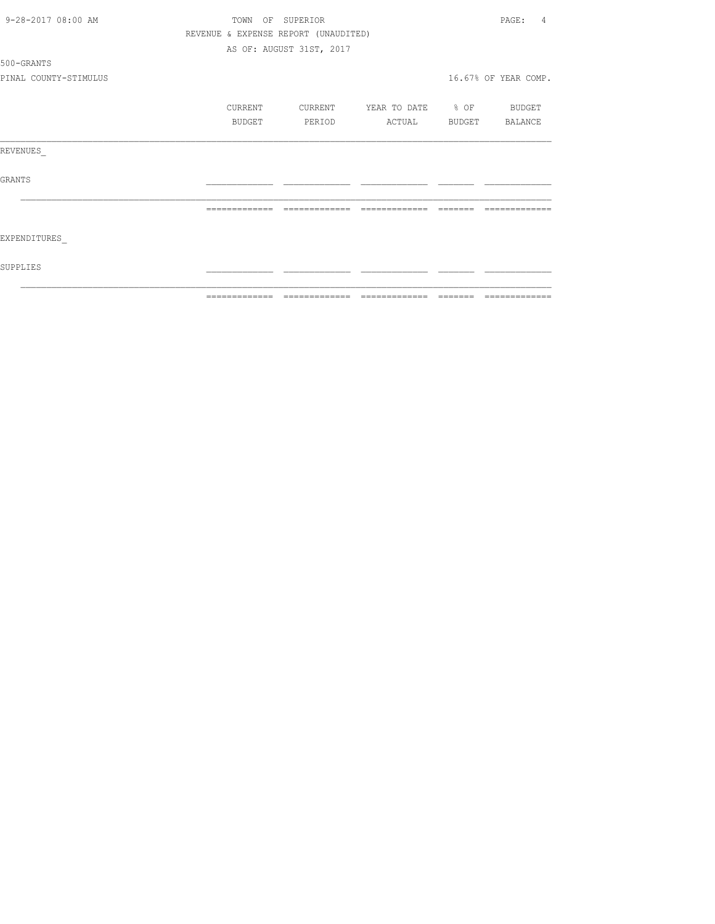| 9-28-2017 08:00 AM    | TOWN<br>OF    | SUPERIOR                             |                                                                                                                                                                                                                                                                                                                                                                                                                                                                  |         | PAGE:<br>4           |
|-----------------------|---------------|--------------------------------------|------------------------------------------------------------------------------------------------------------------------------------------------------------------------------------------------------------------------------------------------------------------------------------------------------------------------------------------------------------------------------------------------------------------------------------------------------------------|---------|----------------------|
|                       |               | REVENUE & EXPENSE REPORT (UNAUDITED) |                                                                                                                                                                                                                                                                                                                                                                                                                                                                  |         |                      |
|                       |               | AS OF: AUGUST 31ST, 2017             |                                                                                                                                                                                                                                                                                                                                                                                                                                                                  |         |                      |
| 500-GRANTS            |               |                                      |                                                                                                                                                                                                                                                                                                                                                                                                                                                                  |         |                      |
| PINAL COUNTY-STIMULUS |               |                                      |                                                                                                                                                                                                                                                                                                                                                                                                                                                                  |         | 16.67% OF YEAR COMP. |
|                       | CURRENT       | CURRENT                              | YEAR TO DATE % OF                                                                                                                                                                                                                                                                                                                                                                                                                                                |         | BUDGET               |
|                       | BUDGET        | PERIOD                               | ACTUAL                                                                                                                                                                                                                                                                                                                                                                                                                                                           | BUDGET  | BALANCE              |
| REVENUES              |               |                                      |                                                                                                                                                                                                                                                                                                                                                                                                                                                                  |         |                      |
| <b>GRANTS</b>         |               |                                      |                                                                                                                                                                                                                                                                                                                                                                                                                                                                  |         |                      |
|                       |               |                                      |                                                                                                                                                                                                                                                                                                                                                                                                                                                                  |         |                      |
| EXPENDITURES          |               |                                      |                                                                                                                                                                                                                                                                                                                                                                                                                                                                  |         |                      |
| SUPPLIES              |               |                                      |                                                                                                                                                                                                                                                                                                                                                                                                                                                                  |         |                      |
|                       | ============= | -------------                        | $\begin{array}{c} \multicolumn{2}{c} {\textbf{2.4}} & \multicolumn{2}{c} {\textbf{2.5}} & \multicolumn{2}{c} {\textbf{2.6}} \\ \multicolumn{2}{c} {\textbf{2.6}} & \multicolumn{2}{c} {\textbf{2.6}} & \multicolumn{2}{c} {\textbf{2.6}} \\ \multicolumn{2}{c} {\textbf{2.6}} & \multicolumn{2}{c} {\textbf{2.6}} & \multicolumn{2}{c} {\textbf{2.6}} \\ \multicolumn{2}{c} {\textbf{2.6}} & \multicolumn{2}{c} {\textbf{2.6}} & \multicolumn{2}{c} {\textbf{2.$ | ======= | =============        |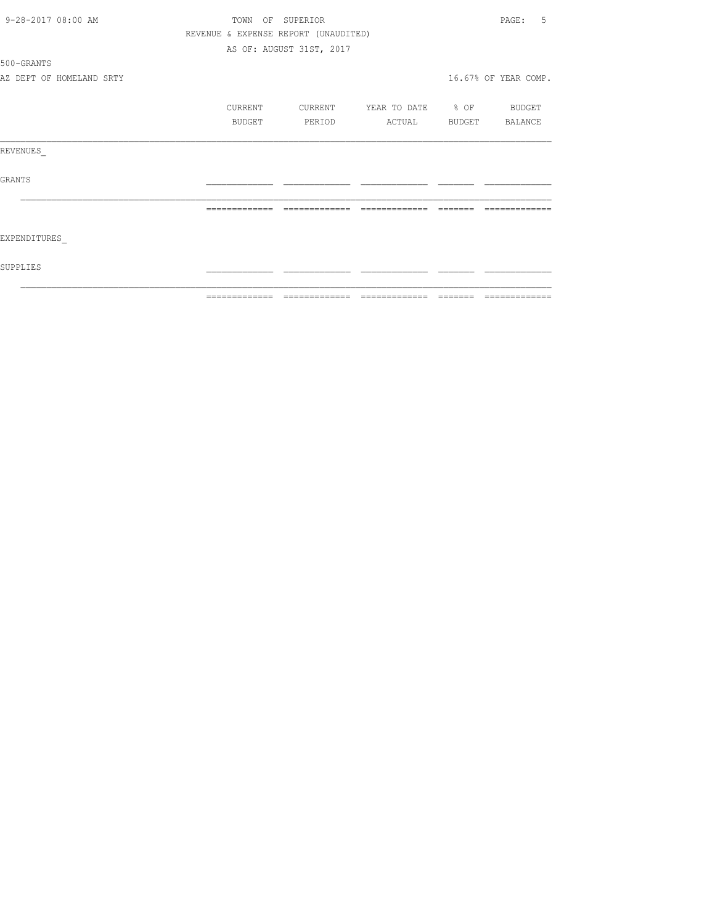| 9-28-2017 08:00 AM       |                                      | TOWN OF SUPERIOR         |                   | PAGE:<br>.5          |
|--------------------------|--------------------------------------|--------------------------|-------------------|----------------------|
|                          | REVENUE & EXPENSE REPORT (UNAUDITED) |                          |                   |                      |
|                          |                                      | AS OF: AUGUST 31ST, 2017 |                   |                      |
| 500-GRANTS               |                                      |                          |                   |                      |
| AZ DEPT OF HOMELAND SRTY |                                      |                          |                   | 16.67% OF YEAR COMP. |
|                          | CURRENT                              | CURRENT                  | YEAR TO DATE % OF | <b>BUDGET</b>        |
|                          | BUDGET                               | PERIOD                   | <b>ACTUAL</b>     | BUDGET BALANCE       |
| REVENUES                 |                                      |                          |                   |                      |
| GRANTS                   |                                      |                          |                   |                      |
|                          |                                      |                          |                   |                      |
| EXPENDITURES             |                                      |                          |                   |                      |
| SUPPLIES                 |                                      |                          |                   |                      |
|                          |                                      |                          |                   | =============        |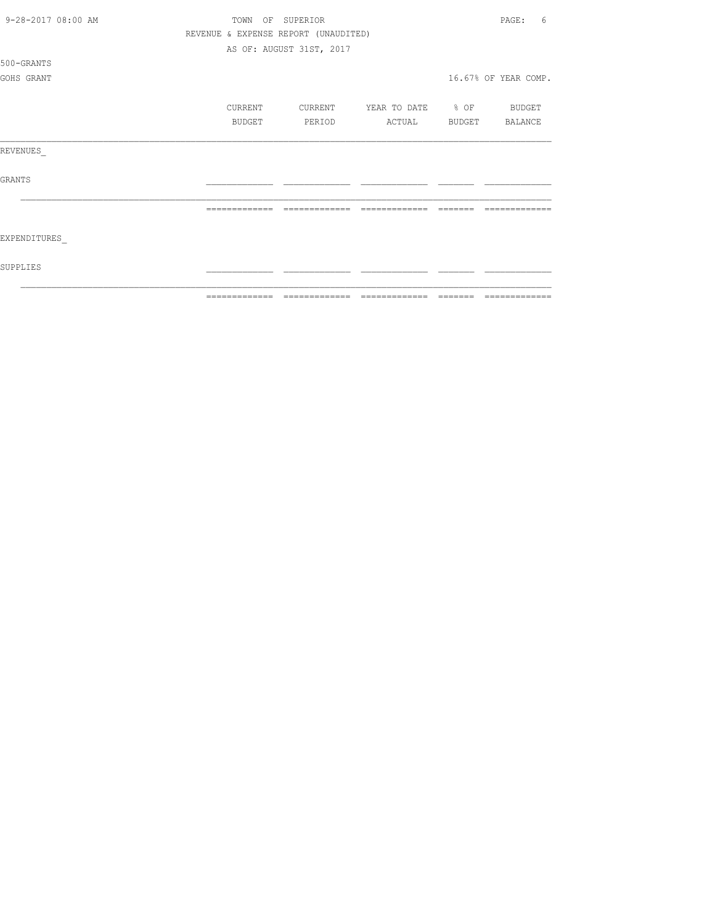| 9-28-2017 08:00 AM | TOWN          | OF SUPERIOR                          |                          |               | 6<br>PAGE:           |
|--------------------|---------------|--------------------------------------|--------------------------|---------------|----------------------|
|                    |               | REVENUE & EXPENSE REPORT (UNAUDITED) |                          |               |                      |
|                    |               | AS OF: AUGUST 31ST, 2017             |                          |               |                      |
| 500-GRANTS         |               |                                      |                          |               |                      |
| GOHS GRANT         |               |                                      |                          |               | 16.67% OF YEAR COMP. |
|                    |               |                                      |                          |               |                      |
|                    | CURRENT       | CURRENT                              | YEAR TO DATE % OF BUDGET |               |                      |
|                    | <b>BUDGET</b> | PERIOD                               | ACTUAL                   | <b>BUDGET</b> | <b>BALANCE</b>       |
| REVENUES           |               |                                      |                          |               |                      |
| GRANTS             |               |                                      |                          |               |                      |
|                    |               |                                      |                          |               |                      |
| EXPENDITURES       |               |                                      |                          |               |                      |
| SUPPLIES           |               |                                      |                          |               |                      |
|                    | ------------- |                                      |                          |               |                      |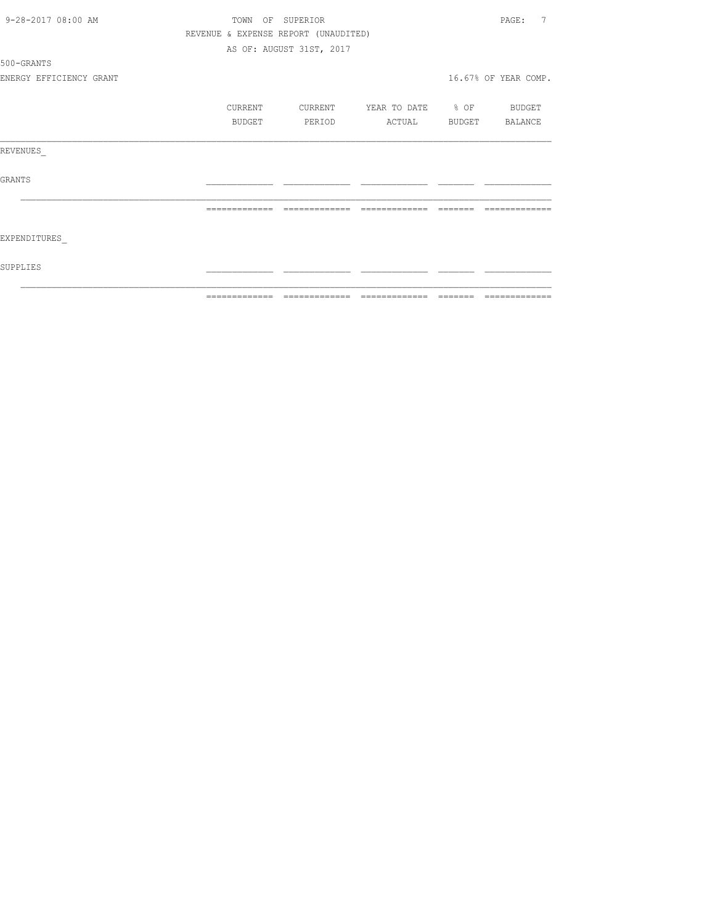| 9-28-2017 08:00 AM      |                                      | TOWN OF SUPERIOR         |                          |          | PAGE:<br>7                                                                                                                                                                                                                                                                                                                                                                                                                                                                                   |
|-------------------------|--------------------------------------|--------------------------|--------------------------|----------|----------------------------------------------------------------------------------------------------------------------------------------------------------------------------------------------------------------------------------------------------------------------------------------------------------------------------------------------------------------------------------------------------------------------------------------------------------------------------------------------|
|                         | REVENUE & EXPENSE REPORT (UNAUDITED) |                          |                          |          |                                                                                                                                                                                                                                                                                                                                                                                                                                                                                              |
|                         |                                      | AS OF: AUGUST 31ST, 2017 |                          |          |                                                                                                                                                                                                                                                                                                                                                                                                                                                                                              |
| 500-GRANTS              |                                      |                          |                          |          |                                                                                                                                                                                                                                                                                                                                                                                                                                                                                              |
| ENERGY EFFICIENCY GRANT |                                      |                          |                          |          | 16.67% OF YEAR COMP.                                                                                                                                                                                                                                                                                                                                                                                                                                                                         |
|                         | CURRENT                              | CURRENT                  | YEAR TO DATE % OF BUDGET |          |                                                                                                                                                                                                                                                                                                                                                                                                                                                                                              |
|                         | BUDGET                               | PERIOD                   | ACTUAL BUDGET BALANCE    |          |                                                                                                                                                                                                                                                                                                                                                                                                                                                                                              |
| REVENUES                |                                      |                          |                          |          |                                                                                                                                                                                                                                                                                                                                                                                                                                                                                              |
| GRANTS                  |                                      |                          |                          |          |                                                                                                                                                                                                                                                                                                                                                                                                                                                                                              |
|                         | =============                        | =============            | =============            | -------- |                                                                                                                                                                                                                                                                                                                                                                                                                                                                                              |
| EXPENDITURES            |                                      |                          |                          |          |                                                                                                                                                                                                                                                                                                                                                                                                                                                                                              |
| SUPPLIES                |                                      |                          |                          |          |                                                                                                                                                                                                                                                                                                                                                                                                                                                                                              |
|                         |                                      |                          |                          |          | $\begin{array}{c} \multicolumn{2}{c} {\textbf{1}} & \multicolumn{2}{c} {\textbf{2}} & \multicolumn{2}{c} {\textbf{3}} & \multicolumn{2}{c} {\textbf{4}} \\ \multicolumn{2}{c} {\textbf{5}} & \multicolumn{2}{c} {\textbf{6}} & \multicolumn{2}{c} {\textbf{7}} & \multicolumn{2}{c} {\textbf{8}} & \multicolumn{2}{c} {\textbf{9}} \\ \multicolumn{2}{c} {\textbf{1}} & \multicolumn{2}{c} {\textbf{1}} & \multicolumn{2}{c} {\textbf{1}} & \multicolumn{2}{c} {\textbf{1}} & \multicolumn{$ |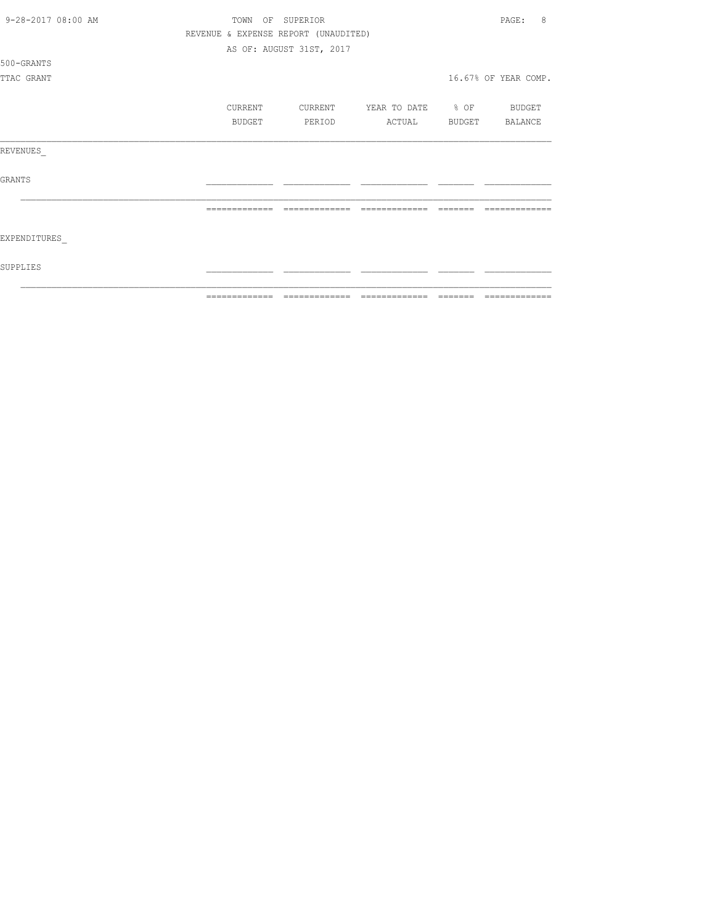| 9-28-2017 08:00 AM |               | TOWN OF SUPERIOR                     |                          | 8<br>PAGE:           |
|--------------------|---------------|--------------------------------------|--------------------------|----------------------|
|                    |               | REVENUE & EXPENSE REPORT (UNAUDITED) |                          |                      |
|                    |               | AS OF: AUGUST 31ST, 2017             |                          |                      |
| 500-GRANTS         |               |                                      |                          |                      |
| TTAC GRANT         |               |                                      |                          | 16.67% OF YEAR COMP. |
|                    |               |                                      |                          |                      |
|                    | CURRENT       | CURRENT                              | YEAR TO DATE % OF BUDGET |                      |
|                    | BUDGET        | PERIOD                               | ACTUAL                   | BUDGET BALANCE       |
|                    |               |                                      |                          |                      |
| REVENUES           |               |                                      |                          |                      |
|                    |               |                                      |                          |                      |
| <b>GRANTS</b>      |               |                                      |                          |                      |
|                    |               |                                      |                          |                      |
|                    |               |                                      |                          |                      |
|                    |               |                                      |                          |                      |
| EXPENDITURES       |               |                                      |                          |                      |
|                    |               |                                      |                          |                      |
| SUPPLIES           |               |                                      |                          |                      |
|                    |               |                                      |                          |                      |
|                    | ------------- |                                      |                          |                      |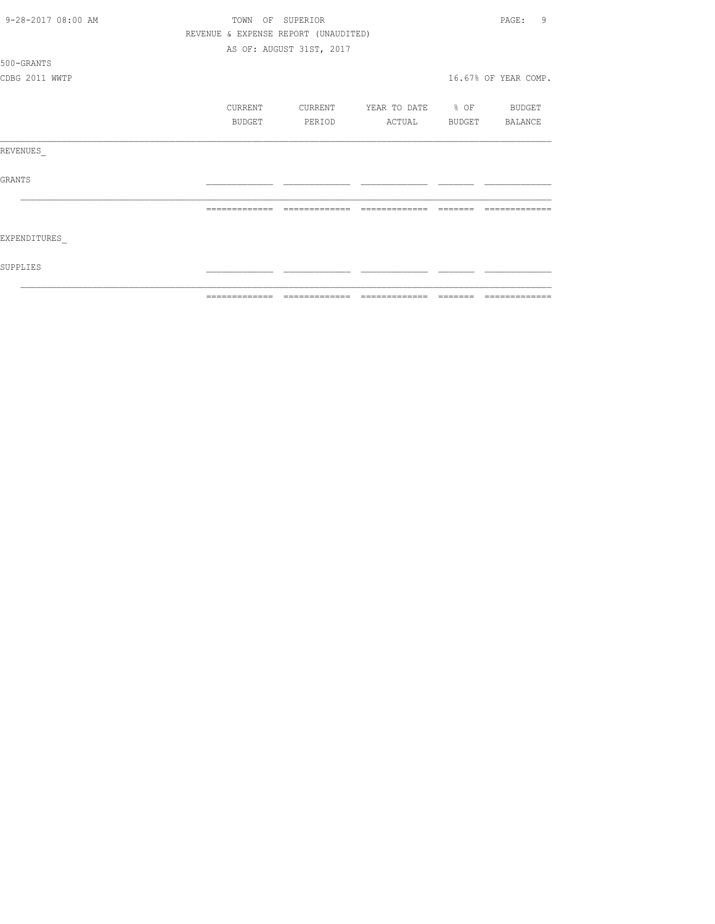| 9-28-2017 08:00 AM | TOWN OF SUPERIOR |                                      |                               |         | 9<br>PAGE:                                                                                                                                                                                                                                                                                                                                                                                                                                                                                   |
|--------------------|------------------|--------------------------------------|-------------------------------|---------|----------------------------------------------------------------------------------------------------------------------------------------------------------------------------------------------------------------------------------------------------------------------------------------------------------------------------------------------------------------------------------------------------------------------------------------------------------------------------------------------|
|                    |                  | REVENUE & EXPENSE REPORT (UNAUDITED) |                               |         |                                                                                                                                                                                                                                                                                                                                                                                                                                                                                              |
|                    |                  | AS OF: AUGUST 31ST, 2017             |                               |         |                                                                                                                                                                                                                                                                                                                                                                                                                                                                                              |
| 500-GRANTS         |                  |                                      |                               |         |                                                                                                                                                                                                                                                                                                                                                                                                                                                                                              |
| CDBG 2011 WWTP     |                  |                                      |                               |         | 16.67% OF YEAR COMP.                                                                                                                                                                                                                                                                                                                                                                                                                                                                         |
|                    | CURRENT          | CURRENT                              | YEAR TO DATE % OF BUDGET      |         |                                                                                                                                                                                                                                                                                                                                                                                                                                                                                              |
|                    | BUDGET           | PERIOD                               | ACTUAL BUDGET BALANCE         |         |                                                                                                                                                                                                                                                                                                                                                                                                                                                                                              |
| REVENUES           |                  |                                      |                               |         |                                                                                                                                                                                                                                                                                                                                                                                                                                                                                              |
| GRANTS             |                  |                                      |                               |         |                                                                                                                                                                                                                                                                                                                                                                                                                                                                                              |
|                    |                  |                                      | =============                 |         |                                                                                                                                                                                                                                                                                                                                                                                                                                                                                              |
| EXPENDITURES       |                  |                                      |                               |         |                                                                                                                                                                                                                                                                                                                                                                                                                                                                                              |
| SUPPLIES           |                  |                                      |                               |         |                                                                                                                                                                                                                                                                                                                                                                                                                                                                                              |
|                    | =============    |                                      | ============================= | ======= | $\begin{array}{c} \multicolumn{2}{c} {\textbf{1}} & \multicolumn{2}{c} {\textbf{2}} & \multicolumn{2}{c} {\textbf{3}} & \multicolumn{2}{c} {\textbf{4}} \\ \multicolumn{2}{c} {\textbf{5}} & \multicolumn{2}{c} {\textbf{6}} & \multicolumn{2}{c} {\textbf{7}} & \multicolumn{2}{c} {\textbf{8}} & \multicolumn{2}{c} {\textbf{9}} \\ \multicolumn{2}{c} {\textbf{1}} & \multicolumn{2}{c} {\textbf{1}} & \multicolumn{2}{c} {\textbf{1}} & \multicolumn{2}{c} {\textbf{1}} & \multicolumn{$ |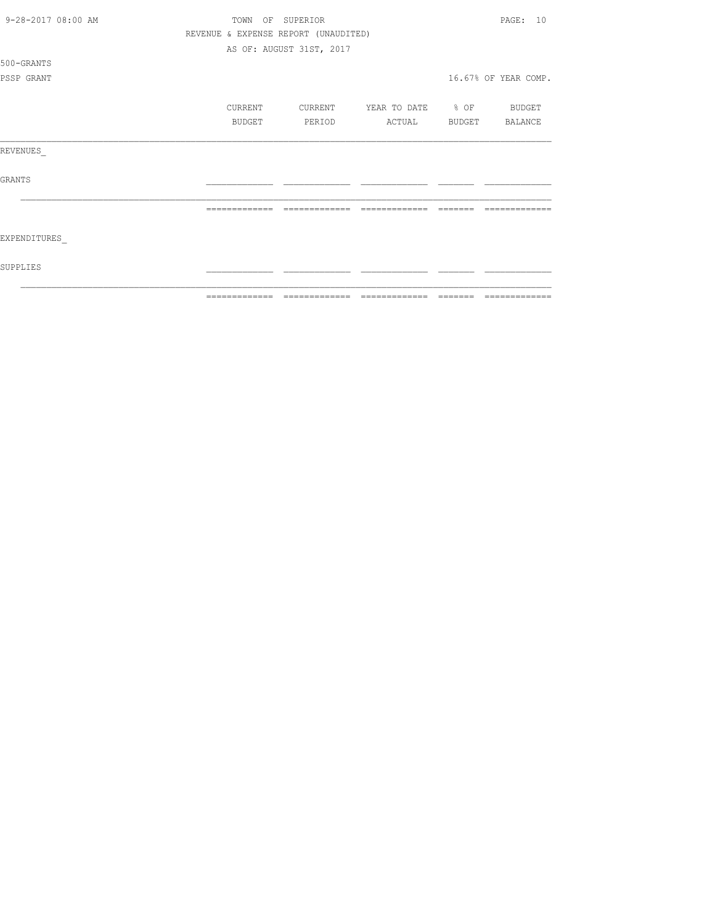| 9-28-2017 08:00 AM | TOWN          | OF SUPERIOR                          |                   |        | PAGE: 10             |
|--------------------|---------------|--------------------------------------|-------------------|--------|----------------------|
|                    |               | REVENUE & EXPENSE REPORT (UNAUDITED) |                   |        |                      |
|                    |               | AS OF: AUGUST 31ST, 2017             |                   |        |                      |
| 500-GRANTS         |               |                                      |                   |        |                      |
| PSSP GRANT         |               |                                      |                   |        | 16.67% OF YEAR COMP. |
|                    | CURRENT       | CURRENT                              | YEAR TO DATE % OF |        | BUDGET               |
|                    | BUDGET        | PERIOD                               | ACTUAL            | BUDGET | BALANCE              |
| REVENUES           |               |                                      |                   |        |                      |
| <b>GRANTS</b>      |               |                                      |                   |        |                      |
|                    |               |                                      |                   |        |                      |
| EXPENDITURES       |               |                                      |                   |        |                      |
| SUPPLIES           |               |                                      |                   |        |                      |
|                    | ------------- |                                      |                   |        |                      |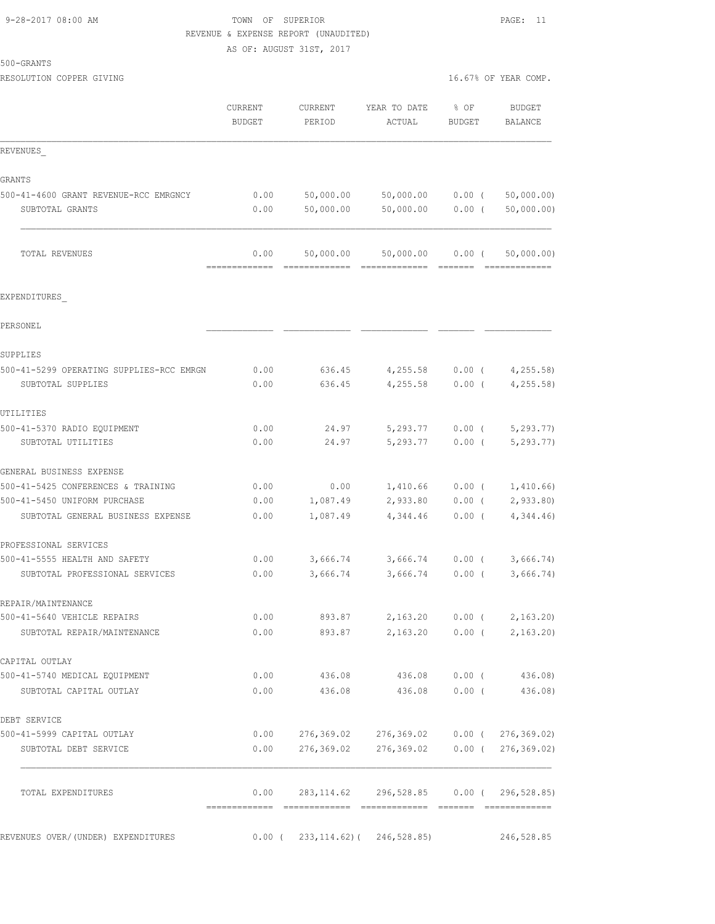# 9-28-2017 08:00 AM **TOWN** OF SUPERIOR **PAGE:** 11 REVENUE & EXPENSE REPORT (UNAUDITED) AS OF: AUGUST 31ST, 2017

500-GRANTS

| RESOLUTION COPPER GIVING                 |                          |                   |                                         |                       | 16.67% OF YEAR COMP.                                                                                                                                                                                                                                                                                                                                                                                                                                                                                 |
|------------------------------------------|--------------------------|-------------------|-----------------------------------------|-----------------------|------------------------------------------------------------------------------------------------------------------------------------------------------------------------------------------------------------------------------------------------------------------------------------------------------------------------------------------------------------------------------------------------------------------------------------------------------------------------------------------------------|
|                                          | CURRENT<br><b>BUDGET</b> | CURRENT<br>PERIOD | YEAR TO DATE<br>ACTUAL                  | % OF<br><b>BUDGET</b> | <b>BUDGET</b><br>BALANCE                                                                                                                                                                                                                                                                                                                                                                                                                                                                             |
| REVENUES                                 |                          |                   |                                         |                       |                                                                                                                                                                                                                                                                                                                                                                                                                                                                                                      |
| GRANTS                                   |                          |                   |                                         |                       |                                                                                                                                                                                                                                                                                                                                                                                                                                                                                                      |
| 500-41-4600 GRANT REVENUE-RCC EMRGNCY    | 0.00                     | 50,000.00         | 50,000.00                               | $0.00$ (              | 50,000.00)                                                                                                                                                                                                                                                                                                                                                                                                                                                                                           |
| SUBTOTAL GRANTS                          | 0.00                     | 50,000.00         | 50,000.00                               | $0.00$ (              | 50,000.00)                                                                                                                                                                                                                                                                                                                                                                                                                                                                                           |
| TOTAL REVENUES                           | 0.00<br>--------------   | 50,000.00         | 50,000.00                               | $0.00$ (              | 50,000.00)<br>$\begin{array}{cccccccccccccc} \multicolumn{2}{c}{} & \multicolumn{2}{c}{} & \multicolumn{2}{c}{} & \multicolumn{2}{c}{} & \multicolumn{2}{c}{} & \multicolumn{2}{c}{} & \multicolumn{2}{c}{} & \multicolumn{2}{c}{} & \multicolumn{2}{c}{} & \multicolumn{2}{c}{} & \multicolumn{2}{c}{} & \multicolumn{2}{c}{} & \multicolumn{2}{c}{} & \multicolumn{2}{c}{} & \multicolumn{2}{c}{} & \multicolumn{2}{c}{} & \multicolumn{2}{c}{} & \multicolumn{2}{c}{} & \multicolumn{2}{c}{} & \$ |
| EXPENDITURES                             |                          |                   |                                         |                       |                                                                                                                                                                                                                                                                                                                                                                                                                                                                                                      |
| PERSONEL                                 |                          |                   |                                         |                       |                                                                                                                                                                                                                                                                                                                                                                                                                                                                                                      |
| SUPPLIES                                 |                          |                   |                                         |                       |                                                                                                                                                                                                                                                                                                                                                                                                                                                                                                      |
| 500-41-5299 OPERATING SUPPLIES-RCC EMRGN | 0.00                     | 636.45            | 4,255.58                                | $0.00$ (              | 4, 255.58                                                                                                                                                                                                                                                                                                                                                                                                                                                                                            |
| SUBTOTAL SUPPLIES                        | 0.00                     | 636.45            | 4,255.58                                | $0.00$ (              | 4, 255.58                                                                                                                                                                                                                                                                                                                                                                                                                                                                                            |
| UTILITIES                                |                          |                   |                                         |                       |                                                                                                                                                                                                                                                                                                                                                                                                                                                                                                      |
| 500-41-5370 RADIO EQUIPMENT              | 0.00                     | 24.97             | 5,293.77                                | $0.00$ (              | 5, 293.77                                                                                                                                                                                                                                                                                                                                                                                                                                                                                            |
| SUBTOTAL UTILITIES                       | 0.00                     | 24.97             | 5,293.77                                | 0.00(                 | 5, 293.77)                                                                                                                                                                                                                                                                                                                                                                                                                                                                                           |
| GENERAL BUSINESS EXPENSE                 |                          |                   |                                         |                       |                                                                                                                                                                                                                                                                                                                                                                                                                                                                                                      |
| 500-41-5425 CONFERENCES & TRAINING       | 0.00                     | 0.00              | 1,410.66                                | $0.00$ (              | 1,410.66                                                                                                                                                                                                                                                                                                                                                                                                                                                                                             |
| 500-41-5450 UNIFORM PURCHASE             | 0.00                     | 1,087.49          | 2,933.80                                | $0.00$ (              | 2,933.80                                                                                                                                                                                                                                                                                                                                                                                                                                                                                             |
| SUBTOTAL GENERAL BUSINESS EXPENSE        | 0.00                     | 1,087.49          | 4,344.46                                | $0.00$ (              | 4,344.46                                                                                                                                                                                                                                                                                                                                                                                                                                                                                             |
| PROFESSIONAL SERVICES                    |                          |                   |                                         |                       |                                                                                                                                                                                                                                                                                                                                                                                                                                                                                                      |
| 500-41-5555 HEALTH AND SAFETY            | 0.00                     | 3,666.74          | 3,666.74                                | $0.00$ (              | 3,666.74)                                                                                                                                                                                                                                                                                                                                                                                                                                                                                            |
| SUBTOTAL PROFESSIONAL SERVICES           | 0.00                     | 3,666.74          | 3,666.74                                | 0.00(                 | 3,666.74)                                                                                                                                                                                                                                                                                                                                                                                                                                                                                            |
| REPAIR/MAINTENANCE                       |                          |                   |                                         |                       |                                                                                                                                                                                                                                                                                                                                                                                                                                                                                                      |
| 500-41-5640 VEHICLE REPAIRS              | 0.00                     | 893.87            | 2,163.20 0.00 (                         |                       | 2,163.20                                                                                                                                                                                                                                                                                                                                                                                                                                                                                             |
| SUBTOTAL REPAIR/MAINTENANCE              | 0.00                     |                   | 893.87 2,163.20 0.00 (                  |                       | 2,163.20                                                                                                                                                                                                                                                                                                                                                                                                                                                                                             |
| CAPITAL OUTLAY                           |                          |                   |                                         |                       |                                                                                                                                                                                                                                                                                                                                                                                                                                                                                                      |
| 500-41-5740 MEDICAL EQUIPMENT            | 0.00                     |                   | 436.08 436.08                           | 0.00(                 | 436.08)                                                                                                                                                                                                                                                                                                                                                                                                                                                                                              |
| SUBTOTAL CAPITAL OUTLAY                  | 0.00                     | 436.08            | 436.08                                  | 0.00(                 | 436.08)                                                                                                                                                                                                                                                                                                                                                                                                                                                                                              |
| DEBT SERVICE                             |                          |                   |                                         |                       |                                                                                                                                                                                                                                                                                                                                                                                                                                                                                                      |
| 500-41-5999 CAPITAL OUTLAY               | 0.00                     | 276,369.02        | 276,369.02 0.00 ( 276,369.02)           |                       |                                                                                                                                                                                                                                                                                                                                                                                                                                                                                                      |
| SUBTOTAL DEBT SERVICE                    | 0.00                     | 276,369.02        | 276,369.02 0.00 (276,369.02)            |                       |                                                                                                                                                                                                                                                                                                                                                                                                                                                                                                      |
| TOTAL EXPENDITURES                       | 0.00                     |                   | 283,114.62 296,528.85 0.00 (296,528.85) |                       |                                                                                                                                                                                                                                                                                                                                                                                                                                                                                                      |
| REVENUES OVER/(UNDER) EXPENDITURES       | $0.00$ (                 |                   | 233, 114.62) (246, 528.85)              |                       | 246,528.85                                                                                                                                                                                                                                                                                                                                                                                                                                                                                           |
|                                          |                          |                   |                                         |                       |                                                                                                                                                                                                                                                                                                                                                                                                                                                                                                      |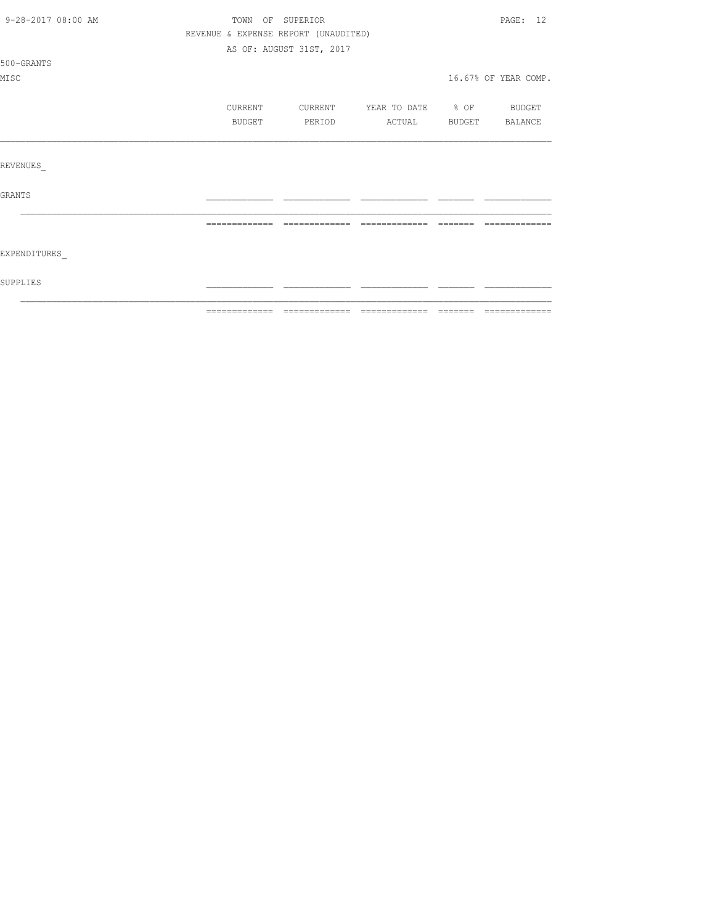| 9-28-2017 08:00 AM |               | TOWN OF SUPERIOR                     |                   |               | PAGE: 12             |
|--------------------|---------------|--------------------------------------|-------------------|---------------|----------------------|
|                    |               | REVENUE & EXPENSE REPORT (UNAUDITED) |                   |               |                      |
|                    |               | AS OF: AUGUST 31ST, 2017             |                   |               |                      |
| 500-GRANTS         |               |                                      |                   |               |                      |
| MISC               |               |                                      |                   |               | 16.67% OF YEAR COMP. |
|                    |               |                                      |                   |               |                      |
|                    | CURRENT       | CURRENT                              | YEAR TO DATE % OF |               | <b>BUDGET</b>        |
|                    | BUDGET        | PERIOD                               | ACTUAL            | <b>BUDGET</b> | BALANCE              |
|                    |               |                                      |                   |               |                      |
|                    |               |                                      |                   |               |                      |
| REVENUES           |               |                                      |                   |               |                      |
|                    |               |                                      |                   |               |                      |
| GRANTS             |               |                                      |                   |               |                      |
|                    |               |                                      |                   |               |                      |
|                    | ============= | =============                        | --------------    | --------      |                      |
|                    |               |                                      |                   |               |                      |
| EXPENDITURES       |               |                                      |                   |               |                      |
|                    |               |                                      |                   |               |                      |
| SUPPLIES           |               |                                      |                   |               |                      |
|                    |               |                                      |                   |               |                      |
|                    |               |                                      |                   |               |                      |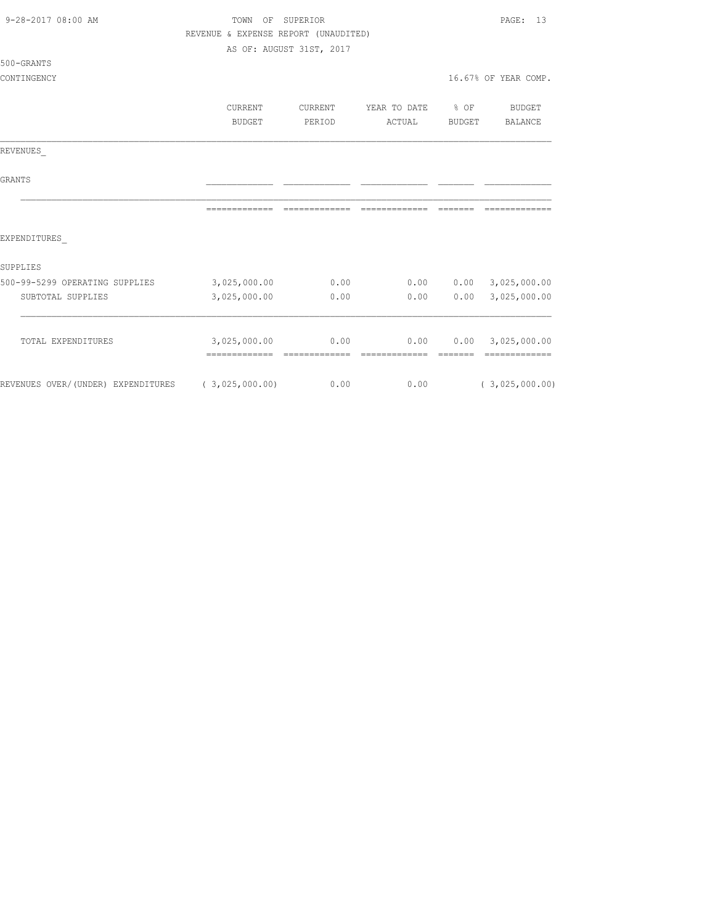| 9-28-2017 08:00 AM                                | TOWN<br>$\bigcirc$ $\bigcirc$ $\bigcirc$<br>REVENUE & EXPENSE REPORT (UNAUDITED) | SUPERIOR<br>AS OF: AUGUST 31ST, 2017 |                                 |                         | PAGE: 13                           |
|---------------------------------------------------|----------------------------------------------------------------------------------|--------------------------------------|---------------------------------|-------------------------|------------------------------------|
| 500-GRANTS                                        |                                                                                  |                                      |                                 |                         |                                    |
| CONTINGENCY                                       |                                                                                  |                                      |                                 |                         | 16.67% OF YEAR COMP.               |
|                                                   | CURRENT<br>BUDGET                                                                | CURRENT<br>PERIOD                    | YEAR TO DATE<br>ACTUAL          | $8$ OF<br><b>BUDGET</b> | <b>BUDGET</b><br>BALANCE           |
|                                                   |                                                                                  |                                      |                                 |                         |                                    |
| REVENUES                                          |                                                                                  |                                      |                                 |                         |                                    |
| <b>GRANTS</b>                                     |                                                                                  |                                      |                                 |                         |                                    |
|                                                   | -------------                                                                    |                                      | =============================== | --------                | -------------                      |
| EXPENDITURES                                      |                                                                                  |                                      |                                 |                         |                                    |
| SUPPLIES                                          |                                                                                  |                                      |                                 |                         |                                    |
| 500-99-5299 OPERATING SUPPLIES                    | 3,025,000.00                                                                     | 0.00                                 | 0.00                            |                         | $0.00$ 3,025,000.00                |
| SUBTOTAL SUPPLIES                                 | 3,025,000.00                                                                     | 0.00                                 | 0.00                            | 0.00                    | 3,025,000.00                       |
| TOTAL EXPENDITURES                                | 3,025,000.00<br>-------------- --------------                                    | 0.00                                 | 0.00<br>--------------          | --------                | 0.00 3,025,000.00<br>============= |
| REVENUES OVER/(UNDER) EXPENDITURES (3,025,000.00) |                                                                                  | 0.00                                 | 0.00                            |                         | (3,025,000.00)                     |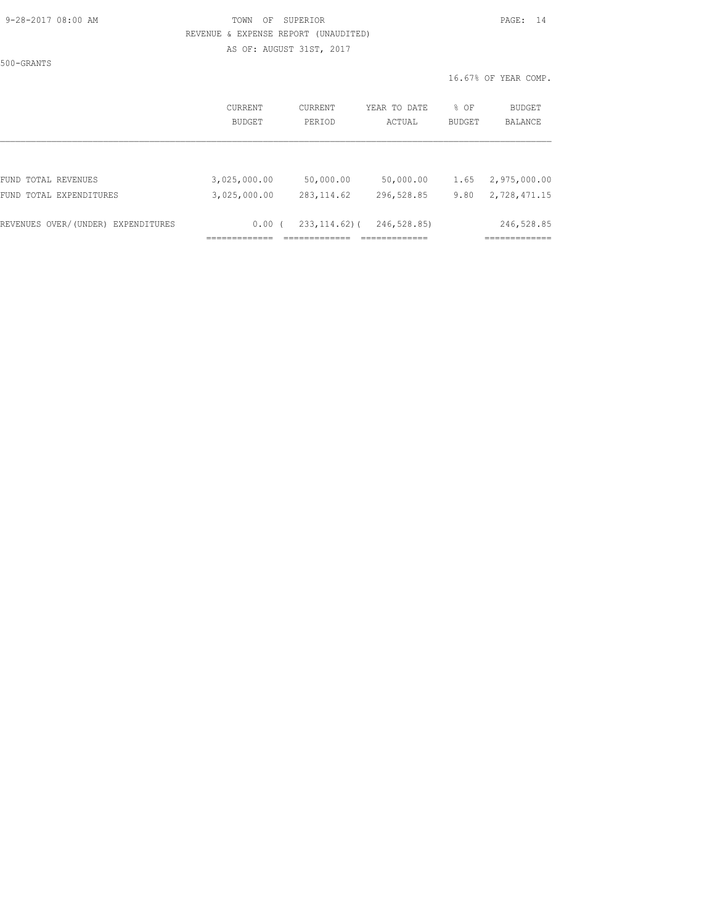### 9-28-2017 08:00 AM TOWN OF SUPERIOR PAGE: 14 REVENUE & EXPENSE REPORT (UNAUDITED)

AS OF: AUGUST 31ST, 2017

500-GRANTS

|                                    | CURRENT      | <b>CURRENT</b>    | YEAR TO DATE | % OF          | BUDGET       |
|------------------------------------|--------------|-------------------|--------------|---------------|--------------|
|                                    | BUDGET       | PERIOD            | ACTUAL       | <b>BUDGET</b> | BALANCE      |
| FUND TOTAL REVENUES                | 3,025,000.00 | 50,000.00         | 50,000.00    | 1.65          | 2,975,000.00 |
| FUND TOTAL EXPENDITURES            | 3,025,000.00 | 283, 114.62       | 296,528.85   | 9.80          | 2,728,471.15 |
| REVENUES OVER/(UNDER) EXPENDITURES | 0.00(        | $233, 114, 62)$ ( | 246,528.85)  |               | 246,528.85   |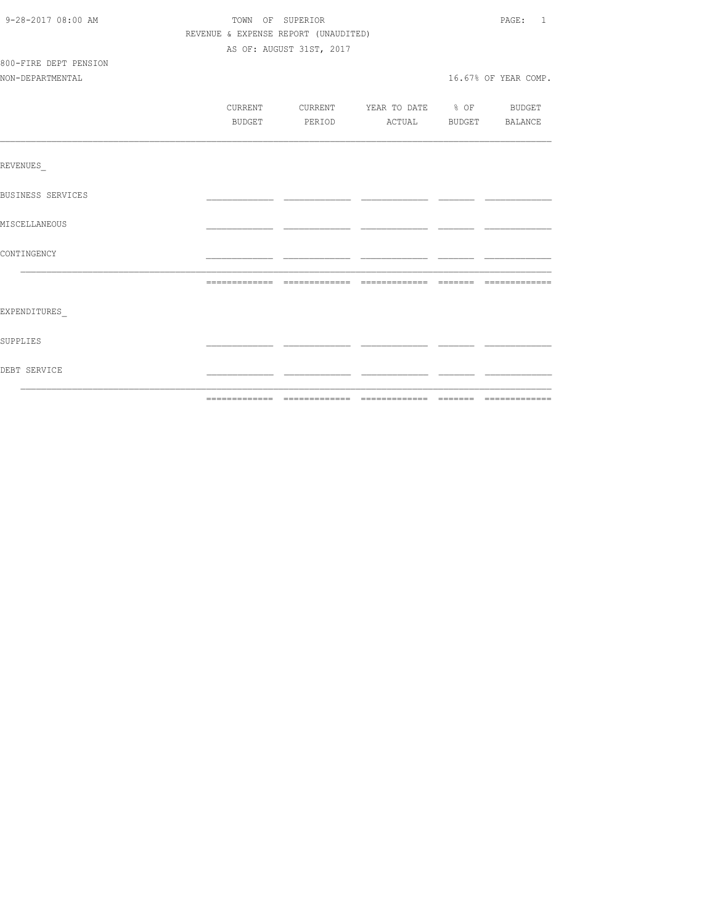| REVENUE & EXPENSE REPORT (UNAUDITED)<br>AS OF: AUGUST 31ST, 2017<br>800-FIRE DEPT PENSION<br>NON-DEPARTMENTAL<br>16.67% OF YEAR COMP.<br>CURRENT CURRENT YEAR TO DATE % OF BUDGET<br>BUDGET PERIOD ACTUAL BUDGET BALANCE |  |
|--------------------------------------------------------------------------------------------------------------------------------------------------------------------------------------------------------------------------|--|
|                                                                                                                                                                                                                          |  |
|                                                                                                                                                                                                                          |  |
|                                                                                                                                                                                                                          |  |
|                                                                                                                                                                                                                          |  |
|                                                                                                                                                                                                                          |  |
|                                                                                                                                                                                                                          |  |
|                                                                                                                                                                                                                          |  |
|                                                                                                                                                                                                                          |  |
| <b>REVENUES</b>                                                                                                                                                                                                          |  |
| <b>BUSINESS SERVICES</b>                                                                                                                                                                                                 |  |
| MISCELLANEOUS                                                                                                                                                                                                            |  |
| CONTINGENCY                                                                                                                                                                                                              |  |
|                                                                                                                                                                                                                          |  |
|                                                                                                                                                                                                                          |  |
| EXPENDITURES                                                                                                                                                                                                             |  |
| SUPPLIES                                                                                                                                                                                                                 |  |
| DEBT SERVICE                                                                                                                                                                                                             |  |
| --------------                                                                                                                                                                                                           |  |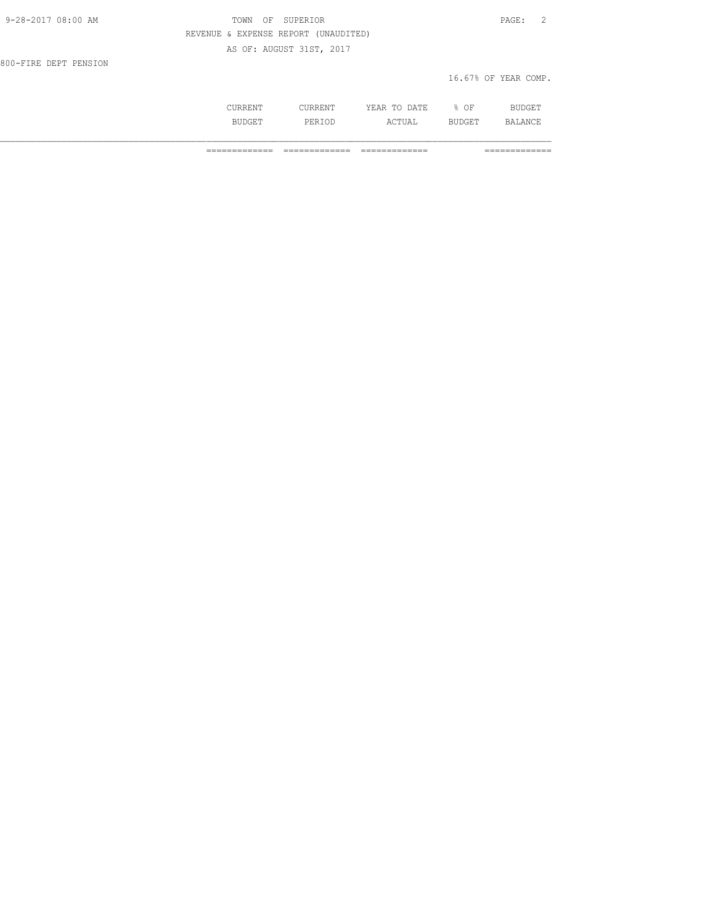| 9-28-2017 08:00 AM    | SUPERIOR<br>TOWN<br>OF               | $\texttt{PAGE}$ :<br>$\overline{2}$ |
|-----------------------|--------------------------------------|-------------------------------------|
|                       | REVENUE & EXPENSE REPORT (UNAUDITED) |                                     |
|                       | AS OF: AUGUST 31ST, 2017             |                                     |
| 800-FIRE DEPT PENSION |                                      |                                     |
|                       |                                      | 16.67% OF YEAR COMP.                |
|                       |                                      |                                     |

 CURRENT CURRENT YEAR TO DATE % OF BUDGET BUDGET PERIOD ACTUAL BUDGET BALANCE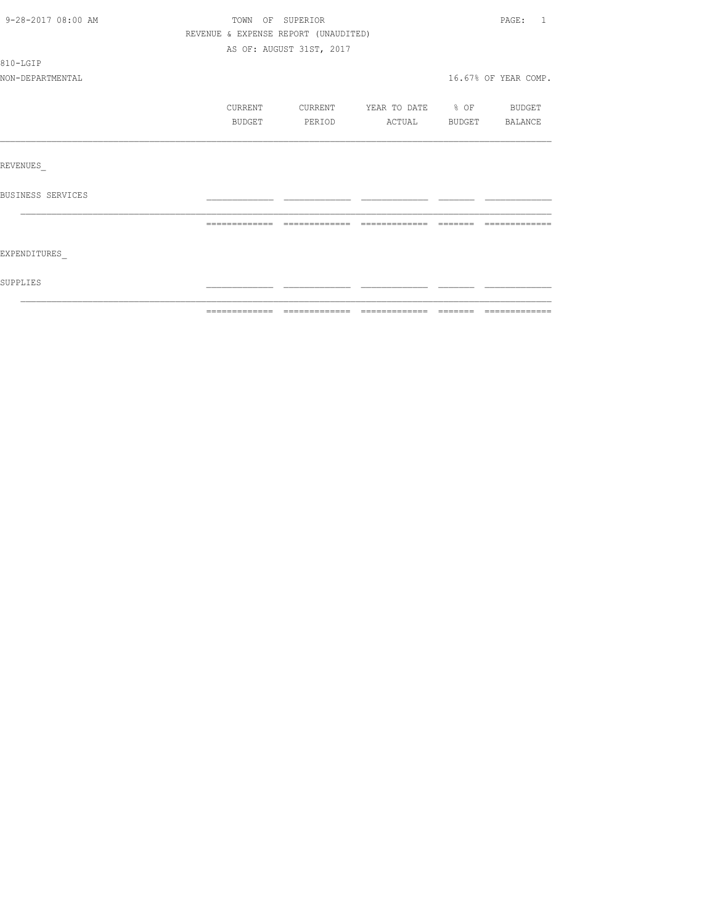| 9-28-2017 08:00 AM | TOWN OF SUPERIOR                     |                          |                          | PAGE: 1              |
|--------------------|--------------------------------------|--------------------------|--------------------------|----------------------|
|                    | REVENUE & EXPENSE REPORT (UNAUDITED) |                          |                          |                      |
|                    |                                      | AS OF: AUGUST 31ST, 2017 |                          |                      |
| 810-LGIP           |                                      |                          |                          |                      |
| NON-DEPARTMENTAL   |                                      |                          |                          | 16.67% OF YEAR COMP. |
|                    | CURRENT                              | CURRENT                  | YEAR TO DATE % OF BUDGET |                      |
|                    | BUDGET                               | <b>PERIOD</b>            | ACTUAL BUDGET BALANCE    |                      |
|                    |                                      |                          |                          |                      |
| REVENUES           |                                      |                          |                          |                      |
| BUSINESS SERVICES  |                                      |                          |                          |                      |
|                    |                                      |                          |                          |                      |
| EXPENDITURES       |                                      |                          |                          |                      |
| SUPPLIES           |                                      |                          |                          |                      |
|                    |                                      |                          |                          |                      |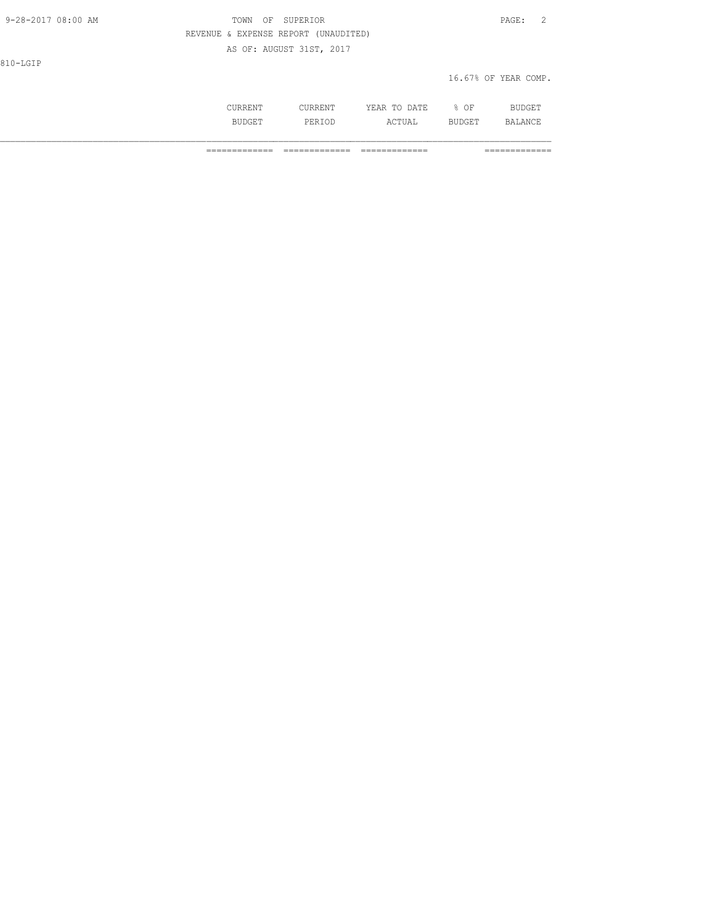| 9-28-2017 08:00 AM | TOWN OF SUPERIOR                     | 2<br>PAGE:           |
|--------------------|--------------------------------------|----------------------|
|                    | REVENUE & EXPENSE REPORT (UNAUDITED) |                      |
|                    | AS OF: AUGUST 31ST, 2017             |                      |
| 810-LGIP           |                                      |                      |
|                    |                                      | 16.67% OF YEAR COMP. |

| <b>DD</b> | ₹M⊤<br>.<br>.     | DA TR<br>VF∆R<br>m <sub>c</sub><br>----<br>$\sim$ | ΟF<br>∽. | <b>DITI</b><br>) ( - F |
|-----------|-------------------|---------------------------------------------------|----------|------------------------|
|           | <sup>-</sup> ס הם | TUAL                                              | TIYAR T  | BALANCE                |
|           | ------            | -10                                               | ∼⊔⊔      | <b>________</b>        |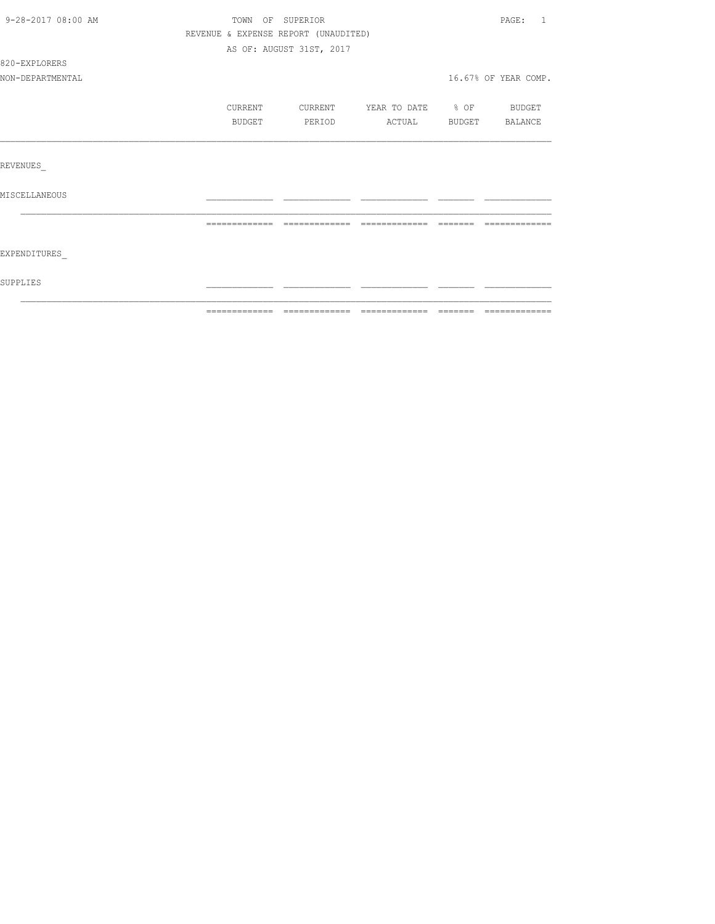| 9-28-2017 08:00 AM | TOWN OF SUPERIOR                     |                          |                          | PAGE: 1              |
|--------------------|--------------------------------------|--------------------------|--------------------------|----------------------|
|                    | REVENUE & EXPENSE REPORT (UNAUDITED) |                          |                          |                      |
|                    |                                      | AS OF: AUGUST 31ST, 2017 |                          |                      |
| 820-EXPLORERS      |                                      |                          |                          |                      |
| NON-DEPARTMENTAL   |                                      |                          |                          | 16.67% OF YEAR COMP. |
|                    | CURRENT                              | CURRENT                  | YEAR TO DATE % OF BUDGET |                      |
|                    | <b>BUDGET</b>                        | PERIOD                   | ACTUAL BUDGET BALANCE    |                      |
|                    |                                      |                          |                          |                      |
| REVENUES           |                                      |                          |                          |                      |
| MISCELLANEOUS      |                                      |                          |                          |                      |
|                    |                                      |                          |                          |                      |
|                    |                                      |                          |                          |                      |
| EXPENDITURES       |                                      |                          |                          |                      |
| SUPPLIES           |                                      |                          |                          |                      |
|                    |                                      |                          |                          |                      |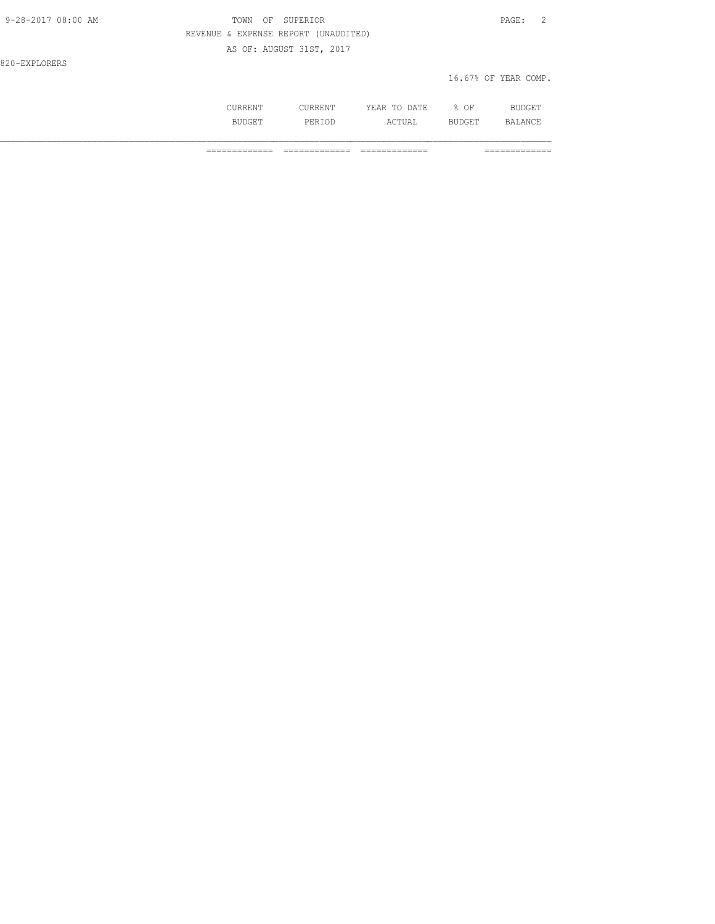| 9-28-2017 08:00 AM | SUPERIOR<br>TOWN<br>OF               | PAGE:<br>- 2         |
|--------------------|--------------------------------------|----------------------|
|                    | REVENUE & EXPENSE REPORT (UNAUDITED) |                      |
|                    | AS OF: AUGUST 31ST, 2017             |                      |
| 820-EXPLORERS      |                                      |                      |
|                    |                                      | 16.67% OF YEAR COMP. |
|                    |                                      |                      |

| NNLIV 1     | . \ . \        | DATE<br>$- - -$<br>$\sim$ $\sim$<br>ں ^<br>----- | ΟF                     | <b>BUDGET</b> |
|-------------|----------------|--------------------------------------------------|------------------------|---------------|
| мL<br>ד הבר | DF.<br>- ----- | IА<br>سدين                                       | - 12<br><u>LULUL 1</u> | .             |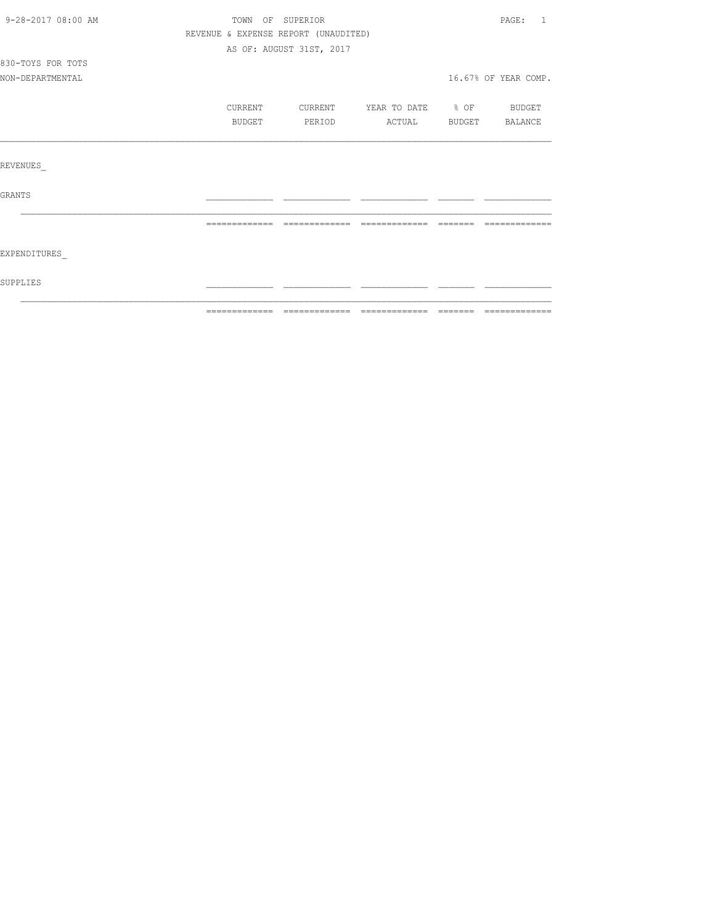| 9-28-2017 08:00 AM | TOWN OF SUPERIOR                     |                          |                          | PAGE: 1              |
|--------------------|--------------------------------------|--------------------------|--------------------------|----------------------|
|                    | REVENUE & EXPENSE REPORT (UNAUDITED) |                          |                          |                      |
|                    |                                      | AS OF: AUGUST 31ST, 2017 |                          |                      |
| 830-TOYS FOR TOTS  |                                      |                          |                          |                      |
| NON-DEPARTMENTAL   |                                      |                          |                          | 16.67% OF YEAR COMP. |
|                    | CURRENT                              | CURRENT                  | YEAR TO DATE % OF BUDGET |                      |
|                    | BUDGET                               | PERIOD                   | ACTUAL BUDGET BALANCE    |                      |
|                    |                                      |                          |                          |                      |
| REVENUES           |                                      |                          |                          |                      |
| GRANTS             |                                      |                          |                          |                      |
|                    | -------------                        |                          |                          |                      |
| EXPENDITURES       |                                      |                          |                          |                      |
| SUPPLIES           |                                      |                          |                          |                      |
|                    |                                      |                          |                          |                      |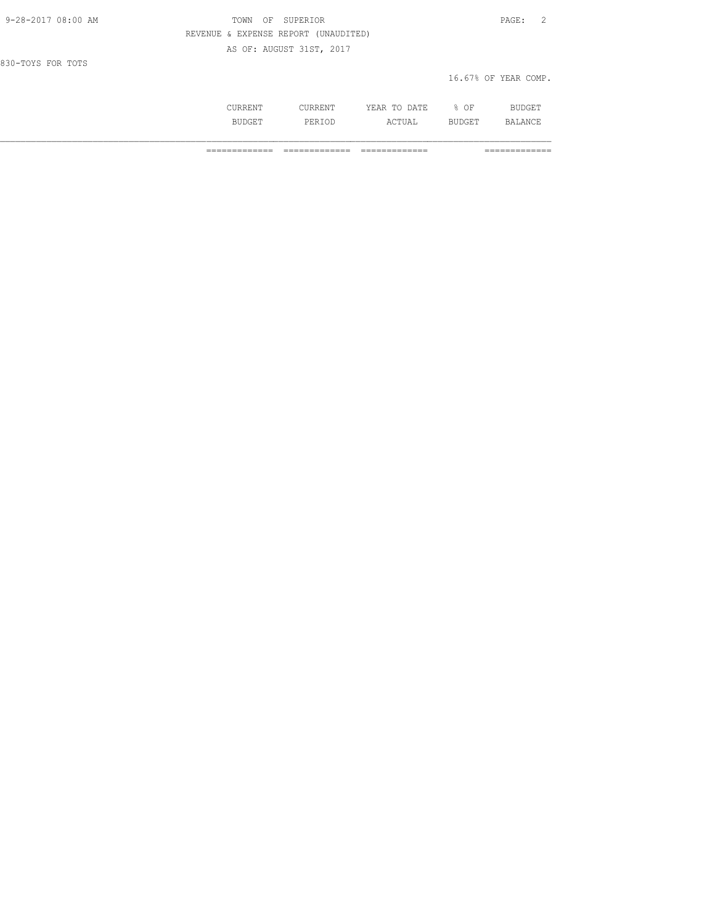| 9-28-2017 08:00 AM | TOWN    | SUPERIOR<br>OF                       |              |        | - 2<br>PAGE:         |
|--------------------|---------|--------------------------------------|--------------|--------|----------------------|
|                    |         | REVENUE & EXPENSE REPORT (UNAUDITED) |              |        |                      |
|                    |         | AS OF: AUGUST 31ST, 2017             |              |        |                      |
| 830-TOYS FOR TOTS  |         |                                      |              |        |                      |
|                    |         |                                      |              |        | 16.67% OF YEAR COMP. |
|                    |         |                                      |              |        |                      |
|                    | CURRENT | CURRENT                              | YEAR TO DATE | $8$ OF | <b>BUDGET</b>        |

BUDGET PERIOD ACTUAL BUDGET BALANCE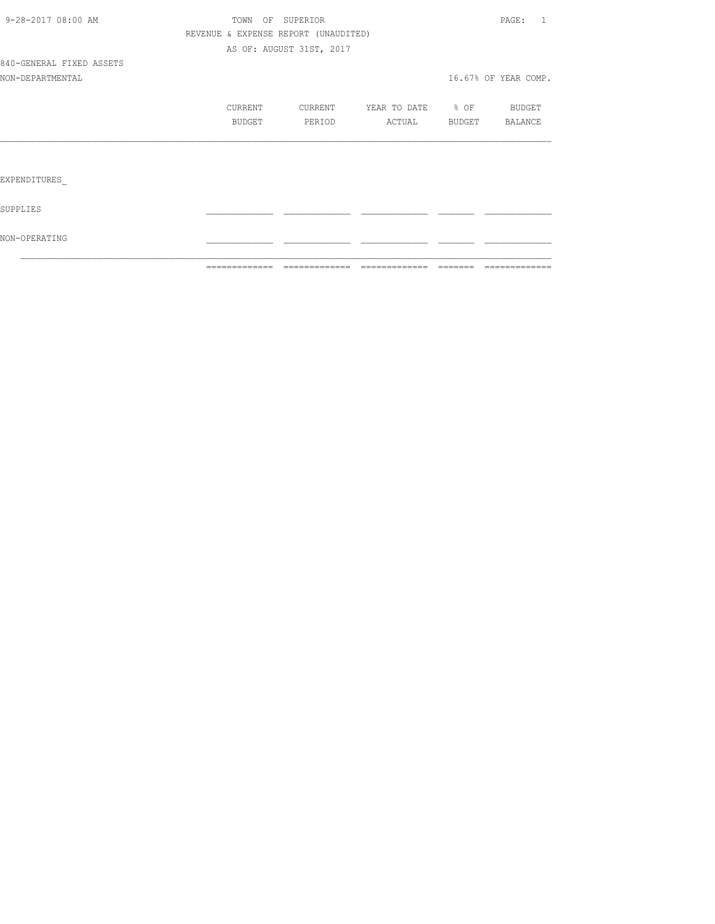|                          | =============                        | =============            | =============     |        | =============        |
|--------------------------|--------------------------------------|--------------------------|-------------------|--------|----------------------|
| NON-OPERATING            |                                      |                          |                   |        |                      |
| SUPPLIES                 |                                      |                          |                   |        |                      |
| EXPENDITURES             |                                      |                          |                   |        |                      |
|                          |                                      |                          |                   |        |                      |
|                          | BUDGET                               | PERIOD                   | ACTUAL            | BUDGET | BALANCE              |
|                          | CURRENT                              | CURRENT                  | YEAR TO DATE % OF |        | BUDGET               |
| NON-DEPARTMENTAL         |                                      |                          |                   |        | 16.67% OF YEAR COMP. |
| 840-GENERAL FIXED ASSETS |                                      |                          |                   |        |                      |
|                          |                                      | AS OF: AUGUST 31ST, 2017 |                   |        |                      |
|                          | REVENUE & EXPENSE REPORT (UNAUDITED) |                          |                   |        |                      |
| 9-28-2017 08:00 AM       | TOWN OF SUPERIOR                     |                          |                   |        | PAGE: 1              |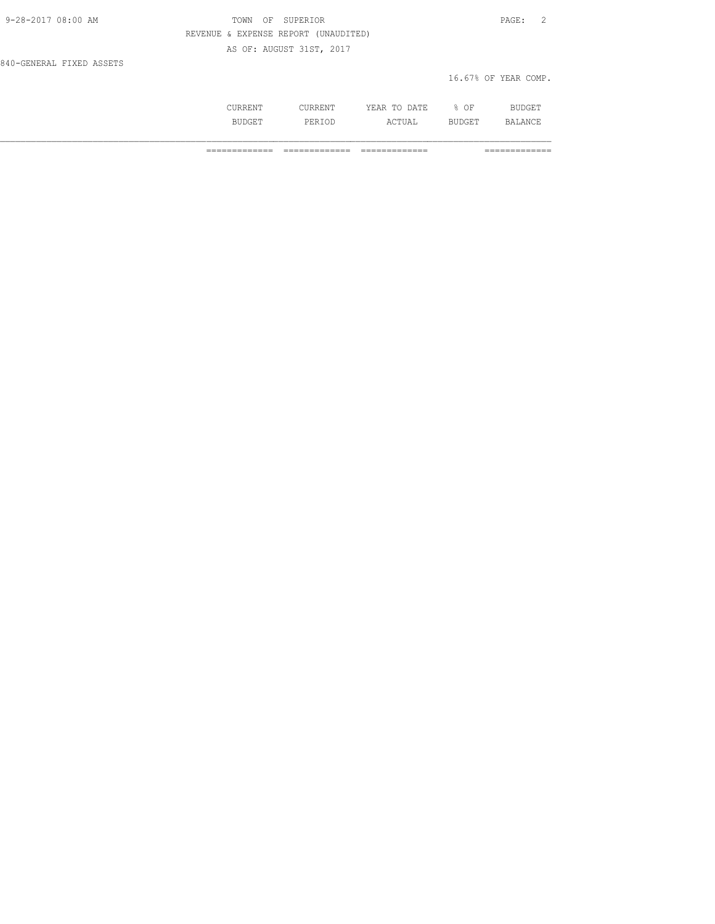| 9-28-2017 08:00 AM       | TOWN OF SUPERIOR                     | PAGE: 2              |
|--------------------------|--------------------------------------|----------------------|
|                          | REVENUE & EXPENSE REPORT (UNAUDITED) |                      |
|                          | AS OF: AUGUST 31ST, 2017             |                      |
| 840-GENERAL FIXED ASSETS |                                      |                      |
|                          |                                      | 16.67% OF YEAR COMP. |

|   | .<br>וחת ה<br>$\cdots$<br>----<br>-----                       | OF.<br>◡ |              |
|---|---------------------------------------------------------------|----------|--------------|
| . | <br>$\wedge$ $\wedge$ $\mathsf{m}\mathsf{r}$ .<br><b>UIII</b> | ے سات    | $\mathsf{R}$ |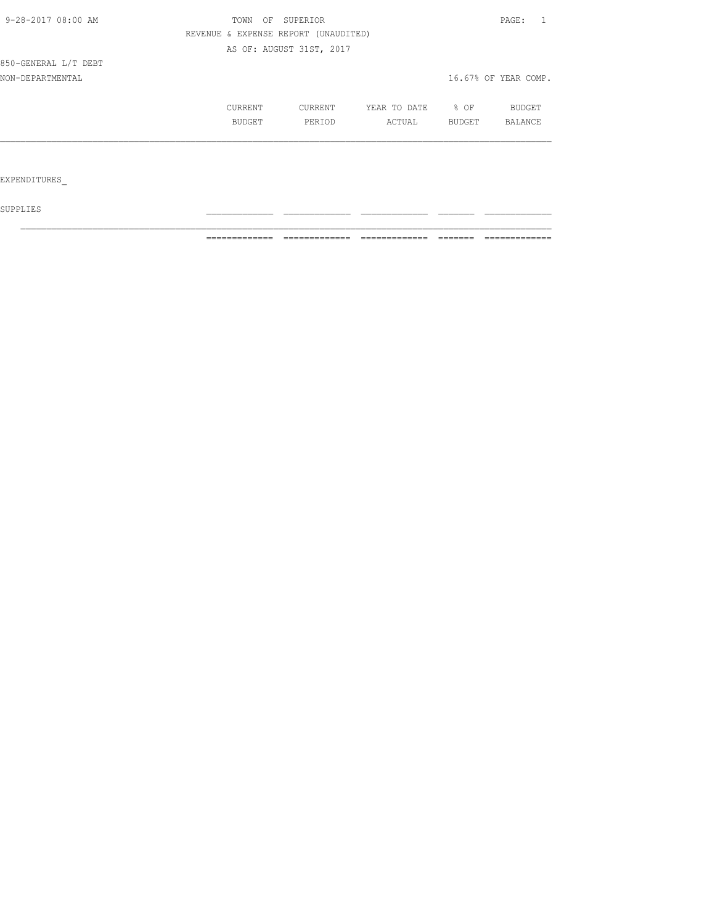| 9-28-2017 08:00 AM   | TOWN                                 | OF SUPERIOR              |              |        | PAGE:                |
|----------------------|--------------------------------------|--------------------------|--------------|--------|----------------------|
|                      | REVENUE & EXPENSE REPORT (UNAUDITED) |                          |              |        |                      |
|                      |                                      | AS OF: AUGUST 31ST, 2017 |              |        |                      |
| 850-GENERAL L/T DEBT |                                      |                          |              |        |                      |
| NON-DEPARTMENTAL     |                                      |                          |              |        | 16.67% OF YEAR COMP. |
|                      | CURRENT                              | CURRENT                  | YEAR TO DATE | % OF   | <b>BUDGET</b>        |
|                      | <b>BUDGET</b>                        | PERIOD                   | ACTUAL       | BUDGET | BALANCE              |
|                      |                                      |                          |              |        |                      |
|                      |                                      |                          |              |        |                      |
| EXPENDITURES         |                                      |                          |              |        |                      |

 ${\tt SUPPLIES}$